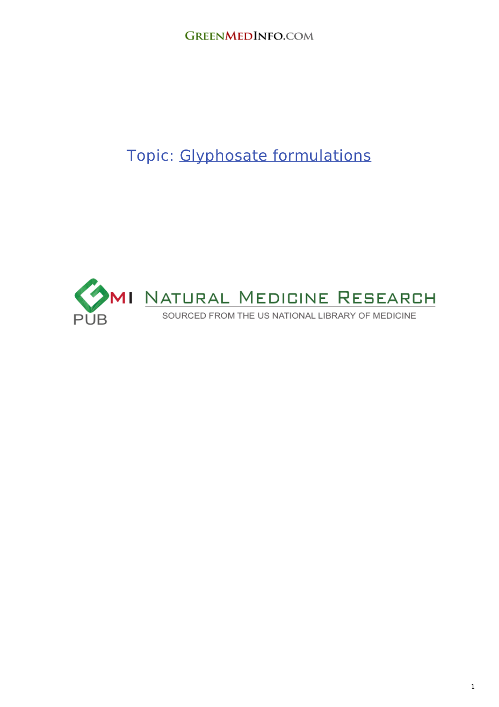# Topic: Glyphosate [formulations](http://www.greenmedinfo.com/toxic-ingredient/glyphosate-formulations)

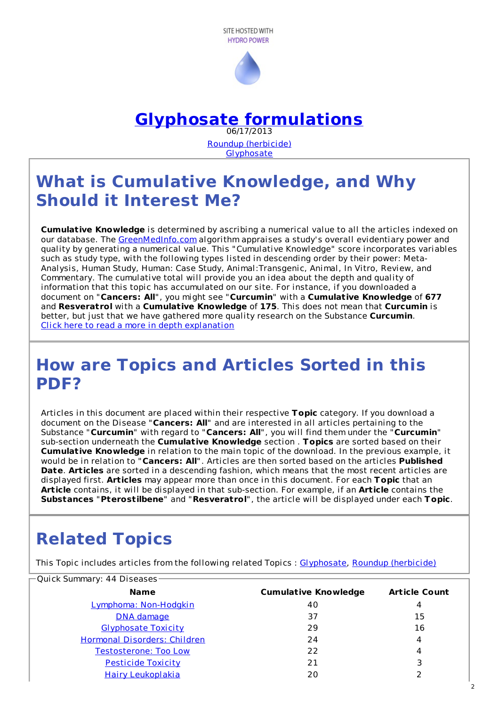



# **Glyphosate [formulations](http://www.greenmedinfo.com/toxic-ingredient/glyphosate-formulations)**

06/17/2013 Roundup [\(herbicide\)](http://www.greenmedinfo.com/toxic-ingredient/roundup-herbicide) **[Glyphosate](http://www.greenmedinfo.com/toxic-ingredient/glyphosate)** 

# **What is Cumulative Knowledge, and Why Should it Interest Me?**

**Cumulative Knowledge** is determined by ascribing a numerical value to all the articles indexed on our database. The [GreenMedInfo.com](http://www.greenmedinfo.com) algorithm appraises a study's overall evidentiary power and quality by generating a numerical value. This "Cumulative Knowledge" score incorporates variables such as study type, with the following types listed in descending order by their power: Meta-Analysis, Human Study, Human: Case Study, Animal:Transgenic, Animal, In Vitro, Review, and Commentary. The cumulative total will provide you an idea about the depth and quality of information that this topic has accumulated on our site. For instance, if you downloaded a document on "**Cancers: All**", you might see "**Curcumin**" with a **Cumulative Knowledge** of **677** and **Resveratrol** with a **Cumulative Knowledge** of **175**. This does not mean that **Curcumin** is better, but just that we have gathered more quality research on the Substance **Curcumin**. Click here to read a more in depth [explanation](http://www.greenmedinfo.com/page/cumulative-knowledge-explained)

# **How are Topics and Articles Sorted in this PDF?**

Articles in this document are placed within their respective **Topic** category. If you download a document on the Disease "**Cancers: All**" and are interested in all articles pertaining to the Substance "**Curcumin**" with regard to "**Cancers: All**", you will find them under the "**Curcumin**" sub-section underneath the **Cumulative Knowledge** section . **Topics** are sorted based on their **Cumulative Knowledge** in relation to the main topic of the download. In the previous example, it would be in relation to "**Cancers: All**". Articles are then sorted based on the articles **Published Date**. **Articles** are sorted in a descending fashion, which means that the most recent articles are displayed first. **Articles** may appear more than once in this document. For each **Topic** that an **Article** contains, it will be displayed in that sub-section. For example, if an **Article** contains the **Substances** "**Pterostilbene**" and "**Resveratrol**", the article will be displayed under each **Topic**.

# **Related Topics**

This Topic includes articles from the following related Topics : [Glyphosate](http://www.greenmedinfo.com/toxic-ingredient/glyphosate), Roundup [\(herbicide\)](http://www.greenmedinfo.com/toxic-ingredient/roundup-herbicide)

| −Quick Summary: 44 Diseases− |                             |                      |  |
|------------------------------|-----------------------------|----------------------|--|
| <b>Name</b>                  | <b>Cumulative Knowledge</b> | <b>Article Count</b> |  |
| Lymphoma: Non-Hodgkin        | 40                          | 4                    |  |
| DNA damage                   | 37                          | 15                   |  |
| <b>Glyphosate Toxicity</b>   | 29                          | 16                   |  |
| Hormonal Disorders: Children | 24                          | 4                    |  |
| <b>Testosterone: Too Low</b> | 22                          | 4                    |  |
| Pesticide Toxicity           | 21                          | 3                    |  |
| <b>Hairy Leukoplakia</b>     | 20                          |                      |  |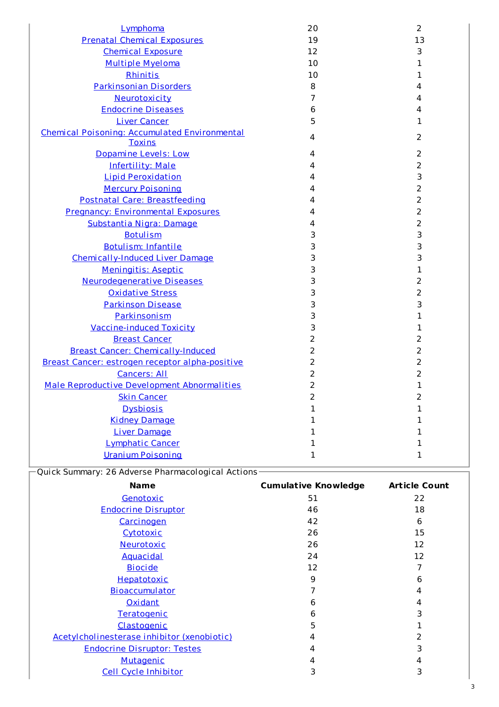| Lymphoma                                                       | 20 | $\overline{2}$ |
|----------------------------------------------------------------|----|----------------|
| <b>Prenatal Chemical Exposures</b>                             | 19 | 13             |
| <b>Chemical Exposure</b>                                       | 12 | 3              |
| <b>Multiple Myeloma</b>                                        | 10 | 1              |
| Rhinitis                                                       | 10 | 1              |
| <b>Parkinsonian Disorders</b>                                  | 8  | 4              |
| Neurotoxicity                                                  | 7  | 4              |
| <b>Endocrine Diseases</b>                                      | 6  | 4              |
| <b>Liver Cancer</b>                                            | 5  | 1              |
| Chemical Poisoning: Accumulated Environmental<br><b>Toxins</b> | 4  | 2              |
| Dopamine Levels: Low                                           | 4  | 2              |
| <b>Infertility: Male</b>                                       | 4  | 2              |
| <b>Lipid Peroxidation</b>                                      | 4  | 3              |
| <b>Mercury Poisoning</b>                                       | 4  | $\overline{2}$ |
| Postnatal Care: Breastfeeding                                  | 4  | 2              |
| <b>Pregnancy: Environmental Exposures</b>                      | 4  | 2              |
| Substantia Nigra: Damage                                       | 4  | 2              |
| <b>Botulism</b>                                                | 3  | 3              |
| <b>Botulism: Infantile</b>                                     | 3  | 3              |
| Chemically-Induced Liver Damage                                | 3  | 3              |
| Meningitis: Aseptic                                            | 3  | 1              |
| <b>Neurodegenerative Diseases</b>                              | 3  | 2              |
| <b>Oxidative Stress</b>                                        | 3  | 2              |
| <b>Parkinson Disease</b>                                       | 3  | 3              |
| Parkinsonism                                                   | 3  | 1              |
| <b>Vaccine-induced Toxicity</b>                                | 3  | 1              |
| <b>Breast Cancer</b>                                           | 2  | 2              |
| <b>Breast Cancer: Chemically-Induced</b>                       | 2  | 2              |
| Breast Cancer: estrogen receptor alpha-positive                | 2  | 2              |
| <b>Cancers: All</b>                                            | 2  | 2              |
| Male Reproductive Development Abnormalities                    | 2  | 1              |
| <b>Skin Cancer</b>                                             | 2  | ۷              |
| <b>Dysbiosis</b>                                               | 1  | 1              |
| <b>Kidney Damage</b>                                           | 1  | 1              |
| <b>Liver Damage</b>                                            | 1  | 1              |
| Lymphatic Cancer                                               | 1  | 1              |
| <b>Uranium Poisoning</b>                                       | 1  | 1              |

| -Quick Summary: 26 Adverse Pharmacological Actions- |  |  |  |  |
|-----------------------------------------------------|--|--|--|--|
|-----------------------------------------------------|--|--|--|--|

| <b>Name</b>                                 | <b>Cumulative Knowledge</b> | <b>Article Count</b> |
|---------------------------------------------|-----------------------------|----------------------|
| Genotoxic                                   | 51                          | 22                   |
| <b>Endocrine Disruptor</b>                  | 46                          | 18                   |
| Carcinogen                                  | 42                          | 6                    |
| Cytotoxic                                   | 26                          | 15                   |
| Neurotoxic                                  | 26                          | 12                   |
| <b>Aquacidal</b>                            | 24                          | 12                   |
| <b>Biocide</b>                              | 12                          |                      |
| Hepatotoxic                                 | 9                           | 6                    |
| Bioaccumulator                              |                             | 4                    |
| <b>Oxidant</b>                              | 6                           | 4                    |
| Teratogenic                                 | 6                           | 3                    |
| Clastogenic                                 | 5                           |                      |
| Acetylcholinesterase inhibitor (xenobiotic) | 4                           | 2                    |
| <b>Endocrine Disruptor: Testes</b>          | 4                           | 3                    |
| Mutagenic                                   | 4                           | 4                    |
| Cell Cycle Inhibitor                        | 3                           | 3                    |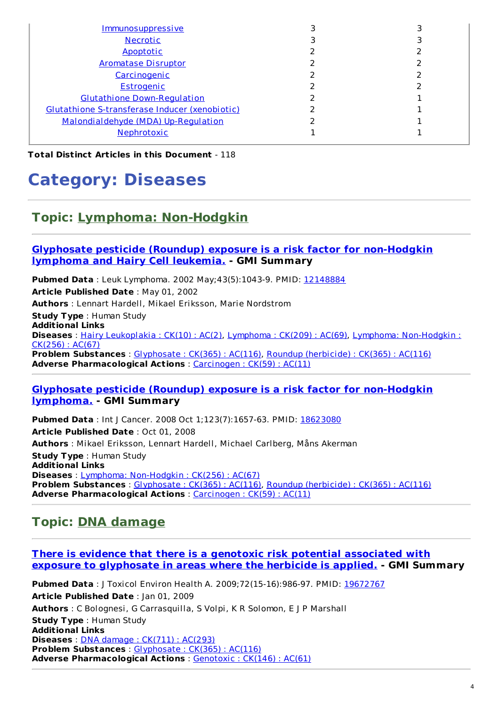| <u>Immunosuppressive</u>                       |  |
|------------------------------------------------|--|
| <b>Necrotic</b>                                |  |
| Apoptotic                                      |  |
| <b>Aromatase Disruptor</b>                     |  |
| Carcinogenic                                   |  |
| Estrogenic                                     |  |
| <b>Glutathione Down-Regulation</b>             |  |
| Glutathione S-transferase Inducer (xenobiotic) |  |
| Malondialdehyde (MDA) Up-Regulation            |  |
| Nephrotoxic                                    |  |

**Total Distinct Articles in this Document** - 118

# **Category: Diseases**

### **Topic: Lymphoma: [Non-Hodgkin](http://www.greenmedinfo.com/disease/lymphoma-non-hodgkin-0)**

#### **Glyphosate pesticide (Roundup) exposure is a risk factor for [non-Hodgkin](http://www.ncbi.nlm.nih.gov/pubmed/12148884) lymphoma and Hairy Cell leukemia. - GMI Summary**

**Pubmed Data** : Leuk Lymphoma. 2002 May; 43(5):1043-9. PMID: [12148884](http://www.ncbi.nlm.nih.gov/pubmed/12148884) **Article Published Date** : May 01, 2002 **Authors** : Lennart Hardell, Mikael Eriksson, Marie Nordstrom **Study Type** : Human Study **Additional Links Diseases** : Hairy [Leukoplakia](http://www.greenmedinfo.com/disease/hairy-leukoplakia) : CK(10) : AC(2), [Lymphoma](http://www.greenmedinfo.com/disease/lymphoma) : CK(209) : AC(69), Lymphoma: [Non-Hodgkin](http://www.greenmedinfo.com/disease/lymphoma-non-hodgkin-0) :  $CK(256) : AC(67)$ **Problem Substances** : [Glyphosate](http://www.greenmedinfo.com/toxic-ingredient/glyphosate) : CK(365) : AC(116), Roundup [\(herbicide\)](http://www.greenmedinfo.com/toxic-ingredient/roundup-herbicide) : CK(365) : AC(116) **Adverse Pharmacological Actions** : [Carcinogen](http://www.greenmedinfo.com/adverse-pharmacological-action/carcinogen) : CK(59) : AC(11)

#### **Glyphosate pesticide (Roundup) exposure is a risk factor for [non-Hodgkin](http://www.ncbi.nlm.nih.gov/pubmed/18623080) lymphoma. - GMI Summary**

**Pubmed Data** : Int J Cancer. 2008 Oct 1;123(7):1657-63. PMID: [18623080](http://www.ncbi.nlm.nih.gov/pubmed/18623080) **Article Published Date** : Oct 01, 2008 **Authors** : Mikael Eriksson, Lennart Hardell, Michael Carlberg, Måns Akerman **Study Type** : Human Study **Additional Links Diseases** : Lymphoma: [Non-Hodgkin](http://www.greenmedinfo.com/disease/lymphoma-non-hodgkin-0) : CK(256) : AC(67) **Problem Substances** : [Glyphosate](http://www.greenmedinfo.com/toxic-ingredient/glyphosate) : CK(365) : AC(116), Roundup [\(herbicide\)](http://www.greenmedinfo.com/toxic-ingredient/roundup-herbicide) : CK(365) : AC(116) **Adverse Pharmacological Actions** : [Carcinogen](http://www.greenmedinfo.com/adverse-pharmacological-action/carcinogen) : CK(59) : AC(11)

### **Topic: DNA [damage](http://www.greenmedinfo.com/disease/dna-damage)**

#### **There is evidence that there is a genotoxic risk potential associated with exposure to [glyphosate](http://www.ncbi.nlm.nih.gov/pubmed/19672767) in areas where the herbicide is applied. - GMI Summary**

**Pubmed Data** : J Toxicol Environ Health A. 2009;72(15-16):986-97. PMID: [19672767](http://www.ncbi.nlm.nih.gov/pubmed/19672767) **Article Published Date** : Jan 01, 2009 **Authors** : C Bolognesi, G Carrasquilla, S Volpi, K R Solomon, E J P Marshall **Study Type** : Human Study **Additional Links Diseases** : DNA damage : CK(711) : [AC\(293\)](http://www.greenmedinfo.com/disease/dna-damage) **Problem Substances** : [Glyphosate](http://www.greenmedinfo.com/toxic-ingredient/glyphosate) : CK(365) : AC(116) **Adverse Pharmacological Actions** : [Genotoxic](http://www.greenmedinfo.com/adverse-pharmacological-action/genotoxic) : CK(146) : AC(61)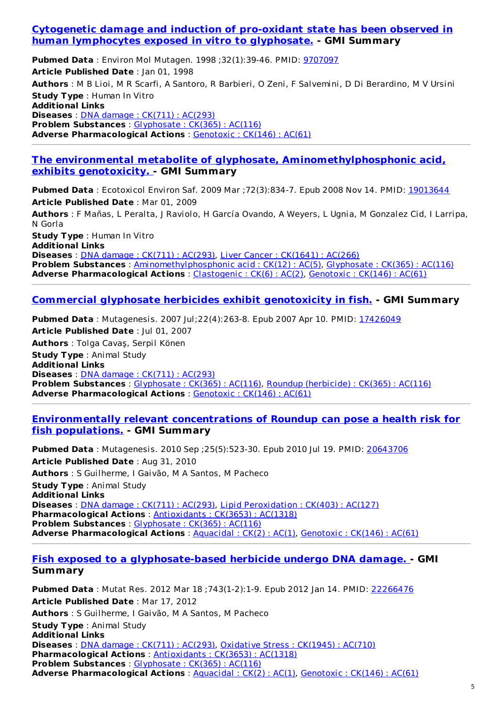#### **Cytogenetic damage and induction of pro-oxidant state has been observed in human [lymphocytes](http://www.ncbi.nlm.nih.gov/pubmed/9707097) exposed in vitro to glyphosate. - GMI Summary**

**Pubmed Data** : Environ Mol Mutagen. 1998 ;32(1):39-46. PMID: [9707097](http://www.ncbi.nlm.nih.gov/pubmed/9707097) **Article Published Date** : Jan 01, 1998 **Authors** : M B Lioi, M R Scarfi, A Santoro, R Barbieri, O Zeni, F Salvemini, D Di Berardino, M V Ursini **Study Type** : Human In Vitro **Additional Links Diseases** : DNA damage : CK(711) : [AC\(293\)](http://www.greenmedinfo.com/disease/dna-damage) **Problem Substances** : [Glyphosate](http://www.greenmedinfo.com/toxic-ingredient/glyphosate) : CK(365) : AC(116) **Adverse Pharmacological Actions** : [Genotoxic](http://www.greenmedinfo.com/adverse-pharmacological-action/genotoxic) : CK(146) : AC(61)

#### **The environmental metabolite of glyphosate, [Aminomethylphosphonic](http://www.ncbi.nlm.nih.gov/pubmed/19013644) acid, exhibits genotoxicity. - GMI Summary**

**Pubmed Data** : Ecotoxicol Environ Saf. 2009 Mar ;72(3):834-7. Epub 2008 Nov 14. PMID: [19013644](http://www.ncbi.nlm.nih.gov/pubmed/19013644) **Article Published Date** : Mar 01, 2009 **Authors** : F Mañas, L Peralta, J Raviolo, H García Ovando, A Weyers, L Ugnia, M Gonzalez Cid, I Larripa, N Gorla **Study Type** : Human In Vitro **Additional Links Diseases** : DNA damage : CK(711) : [AC\(293\)](http://www.greenmedinfo.com/disease/dna-damage), Liver Cancer : [CK\(1641\)](http://www.greenmedinfo.com/disease/liver-cancer) : AC(266) **Problem Substances** : [Aminomethylphosphonic](http://www.greenmedinfo.com/toxic-ingredient/aminomethylphosphonic-acid) acid : CK(12) : AC(5), [Glyphosate](http://www.greenmedinfo.com/toxic-ingredient/glyphosate) : CK(365) : AC(116) **Adverse Pharmacological Actions** : [Clastogenic](http://www.greenmedinfo.com/adverse-pharmacological-action/clastogenic) : CK(6) : AC(2), [Genotoxic](http://www.greenmedinfo.com/adverse-pharmacological-action/genotoxic) : CK(146) : AC(61)

#### **Commercial glyphosate herbicides exhibit [genotoxicity](http://www.ncbi.nlm.nih.gov/pubmed/17426049) in fish. - GMI Summary**

**Pubmed Data** : Mutagenesis. 2007 Jul;22(4):263-8. Epub 2007 Apr 10. PMID: [17426049](http://www.ncbi.nlm.nih.gov/pubmed/17426049) **Article Published Date** : Jul 01, 2007 **Authors** : Tolga Cavaş, Serpil Könen **Study Type** : Animal Study **Additional Links Diseases** : DNA damage : CK(711) : [AC\(293\)](http://www.greenmedinfo.com/disease/dna-damage) **Problem Substances** : [Glyphosate](http://www.greenmedinfo.com/toxic-ingredient/glyphosate) : CK(365) : AC(116), Roundup [\(herbicide\)](http://www.greenmedinfo.com/toxic-ingredient/roundup-herbicide) : CK(365) : AC(116) **Adverse Pharmacological Actions** : [Genotoxic](http://www.greenmedinfo.com/adverse-pharmacological-action/genotoxic) : CK(146) : AC(61)

#### **[Environmentally](http://www.ncbi.nlm.nih.gov/pubmed/20643706) relevant concentrations of Roundup can pose a health risk for fish populations. - GMI Summary**

**Pubmed Data** : Mutagenesis. 2010 Sep ;25(5):523-30. Epub 2010 Jul 19. PMID: [20643706](http://www.ncbi.nlm.nih.gov/pubmed/20643706) **Article Published Date** : Aug 31, 2010 **Authors** : S Guilherme, I Gaivão, M A Santos, M Pacheco **Study Type** : Animal Study **Additional Links Diseases** : DNA damage : CK(711) : [AC\(293\)](http://www.greenmedinfo.com/disease/dna-damage), Lipid [Peroxidation](http://www.greenmedinfo.com/disease/lipid-peroxidation) : CK(403) : AC(127) **Pharmacological Actions** : [Antioxidants](http://www.greenmedinfo.com/pharmacological-action/antioxidants) : CK(3653) : AC(1318) **Problem Substances** : [Glyphosate](http://www.greenmedinfo.com/toxic-ingredient/glyphosate) : CK(365) : AC(116) **Adverse Pharmacological Actions** : [Aquacidal](http://www.greenmedinfo.com/adverse-pharmacological-action/aquacidal) : CK(2) : AC(1), [Genotoxic](http://www.greenmedinfo.com/adverse-pharmacological-action/genotoxic) : CK(146) : AC(61)

#### **Fish exposed to a [glyphosate-based](http://www.ncbi.nlm.nih.gov/pubmed/22266476) herbicide undergo DNA damage. - GMI Summary**

**Pubmed Data** : Mutat Res. 2012 Mar 18 ;743(1-2):1-9. Epub 2012 Jan 14. PMID: [22266476](http://www.ncbi.nlm.nih.gov/pubmed/22266476) **Article Published Date** : Mar 17, 2012 **Authors** : S Guilherme, I Gaivão, M A Santos, M Pacheco **Study Type** : Animal Study **Additional Links Diseases** : DNA damage : CK(711) : [AC\(293\)](http://www.greenmedinfo.com/disease/dna-damage), [Oxidative](http://www.greenmedinfo.com/disease/oxidative-stress) Stress : CK(1945) : AC(710) **Pharmacological Actions** : [Antioxidants](http://www.greenmedinfo.com/pharmacological-action/antioxidants) : CK(3653) : AC(1318) **Problem Substances** : [Glyphosate](http://www.greenmedinfo.com/toxic-ingredient/glyphosate) : CK(365) : AC(116) **Adverse Pharmacological Actions** : [Aquacidal](http://www.greenmedinfo.com/adverse-pharmacological-action/aquacidal) : CK(2) : AC(1), [Genotoxic](http://www.greenmedinfo.com/adverse-pharmacological-action/genotoxic) : CK(146) : AC(61)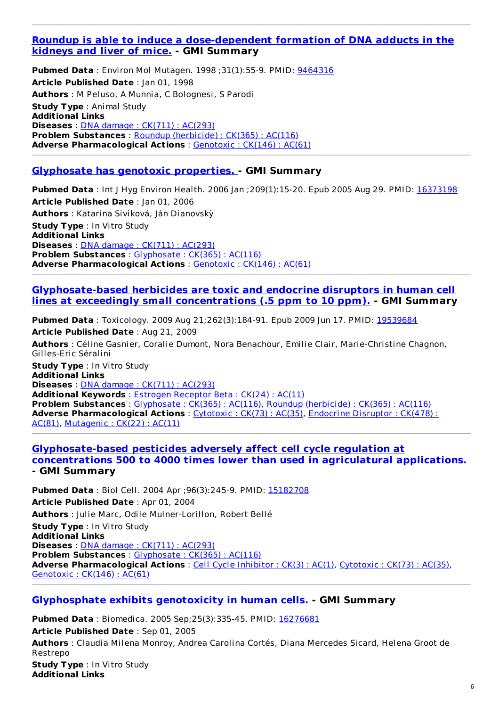#### **Roundup is able to induce a [dose-dependent](http://www.ncbi.nlm.nih.gov/pubmed/9464316) formation of DNA adducts in the kidneys and liver of mice. - GMI Summary**

**Pubmed Data** : Environ Mol Mutagen. 1998 ;31(1):55-9. PMID: [9464316](http://www.ncbi.nlm.nih.gov/pubmed/9464316) **Article Published Date** : Jan 01, 1998 **Authors** : M Peluso, A Munnia, C Bolognesi, S Parodi **Study Type** : Animal Study **Additional Links Diseases** : DNA damage : CK(711) : [AC\(293\)](http://www.greenmedinfo.com/disease/dna-damage) **Problem Substances** : Roundup [\(herbicide\)](http://www.greenmedinfo.com/toxic-ingredient/roundup-herbicide) : CK(365) : AC(116) **Adverse Pharmacological Actions** : [Genotoxic](http://www.greenmedinfo.com/adverse-pharmacological-action/genotoxic) : CK(146) : AC(61)

#### **[Glyphosate](http://www.ncbi.nlm.nih.gov/pubmed/16373198) has genotoxic properties. - GMI Summary**

**Pubmed Data** : Int J Hyg Environ Health. 2006 Jan ;209(1):15-20. Epub 2005 Aug 29. PMID: [16373198](http://www.ncbi.nlm.nih.gov/pubmed/16373198) **Article Published Date** : Jan 01, 2006 **Authors** : Katarína Siviková, Ján Dianovskỳ **Study Type** : In Vitro Study **Additional Links Diseases** : DNA damage : CK(711) : [AC\(293\)](http://www.greenmedinfo.com/disease/dna-damage) **Problem Substances** : [Glyphosate](http://www.greenmedinfo.com/toxic-ingredient/glyphosate) : CK(365) : AC(116) **Adverse Pharmacological Actions** : [Genotoxic](http://www.greenmedinfo.com/adverse-pharmacological-action/genotoxic) : CK(146) : AC(61)

#### **[Glyphosate-based](http://www.ncbi.nlm.nih.gov/pubmed/19539684) herbicides are toxic and endocrine disruptors in human cell lines at exceedingly small concentrations (.5 ppm to 10 ppm). - GMI Summary**

**Pubmed Data** : Toxicology. 2009 Aug 21;262(3):184-91. Epub 2009 Jun 17. PMID: [19539684](http://www.ncbi.nlm.nih.gov/pubmed/19539684) **Article Published Date** : Aug 21, 2009 **Authors** : Céline Gasnier, Coralie Dumont, Nora Benachour, Emilie Clair, Marie-Christine Chagnon, Gilles-Eric Séralini **Study Type** : In Vitro Study **Additional Links Diseases** : DNA damage : CK(711) : [AC\(293\)](http://www.greenmedinfo.com/disease/dna-damage) **Additional Keywords** : Estrogen [Receptor](http://www.greenmedinfo.com/keyword/estrogen-receptor-beta) Beta : CK(24) : AC(11) **Problem Substances** : [Glyphosate](http://www.greenmedinfo.com/toxic-ingredient/glyphosate) : CK(365) : AC(116), Roundup [\(herbicide\)](http://www.greenmedinfo.com/toxic-ingredient/roundup-herbicide) : CK(365) : AC(116) **Adverse [Pharmacological](http://www.greenmedinfo.com/adverse-pharmacological-action/endocrine-disruptor) Actions** : [Cytotoxic](http://www.greenmedinfo.com/adverse-pharmacological-action/cytotoxic) : CK(73) : AC(35), Endocrine Disruptor : CK(478) : AC(81), [Mutagenic](http://www.greenmedinfo.com/adverse-pharmacological-action/mutagenic) : CK(22) : AC(11)

#### **[Glyphosate-based](http://www.ncbi.nlm.nih.gov/pubmed/15182708) pesticides adversely affect cell cycle regulation at concentrations 500 to 4000 times lower than used in agriculatural applications. - GMI Summary**

**Pubmed Data** : Biol Cell. 2004 Apr ;96(3):245-9. PMID: [15182708](http://www.ncbi.nlm.nih.gov/pubmed/15182708) **Article Published Date** : Apr 01, 2004 **Authors** : Julie Marc, Odile Mulner-Lorillon, Robert Bellé **Study Type** : In Vitro Study **Additional Links Diseases** : DNA damage : CK(711) : [AC\(293\)](http://www.greenmedinfo.com/disease/dna-damage) **Problem Substances** : [Glyphosate](http://www.greenmedinfo.com/toxic-ingredient/glyphosate) : CK(365) : AC(116) **Adverse Pharmacological Actions** : Cell Cycle [Inhibitor](http://www.greenmedinfo.com/adverse-pharmacological-action/cell-cycle-inhibitor) : CK(3) : AC(1), [Cytotoxic](http://www.greenmedinfo.com/adverse-pharmacological-action/cytotoxic) : CK(73) : AC(35), [Genotoxic](http://www.greenmedinfo.com/adverse-pharmacological-action/genotoxic) : CK(146) : AC(61)

#### **[Glyphosphate](http://www.ncbi.nlm.nih.gov/pubmed/16276681) exhibits genotoxicity in human cells. - GMI Summary**

**Pubmed Data** : Biomedica. 2005 Sep;25(3):335-45. PMID: [16276681](http://www.ncbi.nlm.nih.gov/pubmed/16276681) **Article Published Date** : Sep 01, 2005 **Authors** : Claudia Milena Monroy, Andrea Carolina Cortés, Diana Mercedes Sicard, Helena Groot de Restrepo **Study Type** : In Vitro Study **Additional Links**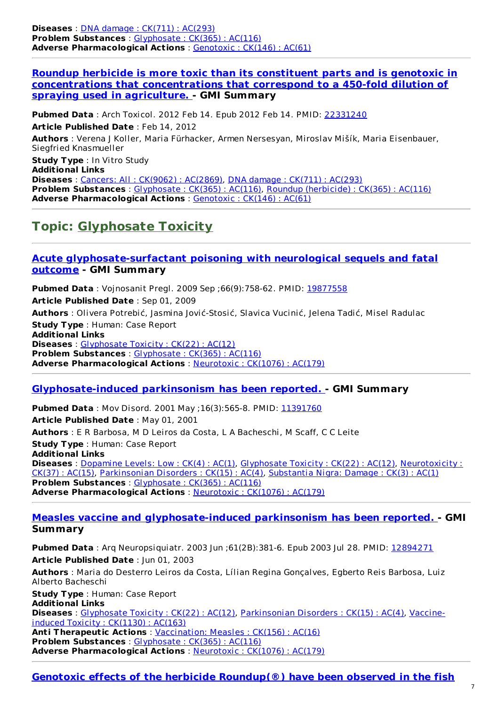**Diseases** : DNA damage : CK(711) : [AC\(293\)](http://www.greenmedinfo.com/disease/dna-damage) **Problem Substances** : [Glyphosate](http://www.greenmedinfo.com/toxic-ingredient/glyphosate) : CK(365) : AC(116) **Adverse Pharmacological Actions** : [Genotoxic](http://www.greenmedinfo.com/adverse-pharmacological-action/genotoxic) : CK(146) : AC(61)

#### **Roundup herbicide is more toxic than its constituent parts and is genotoxic in [concentrations](http://www.ncbi.nlm.nih.gov/pubmed/22331240) that concentrations that correspond to a 450-fold dilution of spraying used in agriculture. - GMI Summary**

**Pubmed Data** : Arch Toxicol. 2012 Feb 14. Epub 2012 Feb 14. PMID: [22331240](http://www.ncbi.nlm.nih.gov/pubmed/22331240) **Article Published Date** : Feb 14, 2012 **Authors** : Verena J Koller, Maria Fürhacker, Armen Nersesyan, Miroslav Mišík, Maria Eisenbauer, Siegfried Knasmueller **Study Type** : In Vitro Study

**Additional Links Diseases** : Cancers: All : [CK\(9062\)](http://www.greenmedinfo.com/disease/cancers-all) : AC(2869), DNA damage : [CK\(711\)](http://www.greenmedinfo.com/disease/dna-damage) : AC(293) **Problem Substances** : [Glyphosate](http://www.greenmedinfo.com/toxic-ingredient/glyphosate) : CK(365) : AC(116), Roundup [\(herbicide\)](http://www.greenmedinfo.com/toxic-ingredient/roundup-herbicide) : CK(365) : AC(116) **Adverse Pharmacological Actions** : [Genotoxic](http://www.greenmedinfo.com/adverse-pharmacological-action/genotoxic) : CK(146) : AC(61)

### **Topic: [Glyphosate](http://www.greenmedinfo.com/disease/glyphosate-toxicity) Toxicity**

#### **Acute [glyphosate-surfactant](http://www.ncbi.nlm.nih.gov/pubmed/19877558) poisoning with neurological sequels and fatal outcome - GMI Summary**

**Pubmed Data** : Vojnosanit Pregl. 2009 Sep ;66(9):758-62. PMID: [19877558](http://www.ncbi.nlm.nih.gov/pubmed/19877558) **Article Published Date** : Sep 01, 2009 **Authors** : Olivera Potrebić, Jasmina Jović-Stosić, Slavica Vucinić, Jelena Tadić, Misel Radulac **Study Type** : Human: Case Report **Additional Links Diseases** : [Glyphosate](http://www.greenmedinfo.com/disease/glyphosate-toxicity) Toxicity : CK(22) : AC(12) **Problem Substances** : [Glyphosate](http://www.greenmedinfo.com/toxic-ingredient/glyphosate) : CK(365) : AC(116) **Adverse Pharmacological Actions** : [Neurotoxic](http://www.greenmedinfo.com/adverse-pharmacological-action/neurotoxic) : CK(1076) : AC(179)

#### **[Glyphosate-induced](http://www.ncbi.nlm.nih.gov/pubmed/11391760) parkinsonism has been reported. - GMI Summary**

**Pubmed Data** : Mov Disord. 2001 May ; 16(3): 565-8. PMID: [11391760](http://www.ncbi.nlm.nih.gov/pubmed/11391760) **Article Published Date** : May 01, 2001 **Authors** : E R Barbosa, M D Leiros da Costa, L A Bacheschi, M Scaff, C C Leite **Study Type** : Human: Case Report **Additional Links Diseases** : <u>[Dopamine](http://www.greenmedinfo.com/disease/dopamine-levels-low) Levels: Low : CK(4) : AC(1)</u>, [Glyphosate](http://www.greenmedinfo.com/disease/glyphosate-toxicity) Toxicity : CK(22) : AC(12), [Neurotoxicity](http://www.greenmedinfo.com/disease/neurotoxicity) : CK(37) : AC(15), [Parkinsonian](http://www.greenmedinfo.com/disease/parkinsonian-disorders) Disorders : CK(15) : AC(4), [Substantia](http://www.greenmedinfo.com/disease/substantia-nigra-damage) Nigra: Damage : CK(3) : AC(1) **Problem Substances** : [Glyphosate](http://www.greenmedinfo.com/toxic-ingredient/glyphosate) : CK(365) : AC(116) **Adverse Pharmacological Actions** : [Neurotoxic](http://www.greenmedinfo.com/adverse-pharmacological-action/neurotoxic) : CK(1076) : AC(179)

#### **Measles vaccine and [glyphosate-induced](http://www.ncbi.nlm.nih.gov/pubmed/12894271) parkinsonism has been reported. - GMI Summary**

**Pubmed Data** : Arq Neuropsiquiatr. 2003 Jun ;61(2B):381-6. Epub 2003 Jul 28. PMID: [12894271](http://www.ncbi.nlm.nih.gov/pubmed/12894271) **Article Published Date** : Jun 01, 2003

**Authors** : Maria do Desterro Leiros da Costa, Lílian Regina Gonçalves, Egberto Reis Barbosa, Luiz Alberto Bacheschi

**Study Type** : Human: Case Report

**Additional Links**

**Diseases** : [Glyphosate](http://www.greenmedinfo.com/disease/glyphosate-toxicity) Toxicity : CK(22) : AC(12), [Parkinsonian](http://www.greenmedinfo.com/disease/vaccine-induced-toxicity) Disorders : CK(15) : AC(4), Vaccineinduced Toxicity : CK(1130) : AC(163)

**Anti Therapeutic Actions** : [Vaccination:](http://www.greenmedinfo.com/anti-therapeutic-action/vaccination-measles) Measles : CK(156) : AC(16) **Problem Substances** : [Glyphosate](http://www.greenmedinfo.com/toxic-ingredient/glyphosate) : CK(365) : AC(116) **Adverse Pharmacological Actions** : [Neurotoxic](http://www.greenmedinfo.com/adverse-pharmacological-action/neurotoxic) : CK(1076) : AC(179)

#### **Genotoxic effects of the herbicide Roundup(®) have been observed in the fish**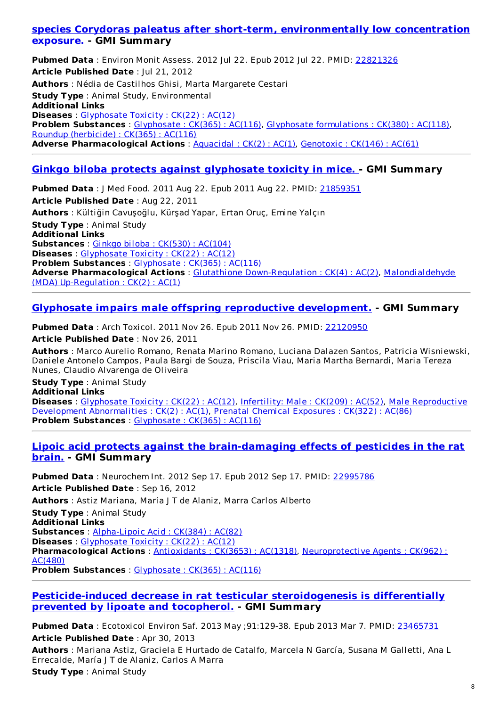#### **species Corydoras paleatus after short-term, [environmentally](http://www.ncbi.nlm.nih.gov/pubmed/22821326) low concentration exposure. - GMI Summary**

**Pubmed Data** : Environ Monit Assess. 2012 Jul 22. Epub 2012 Jul 22. PMID: [22821326](http://www.ncbi.nlm.nih.gov/pubmed/22821326) **Article Published Date** : Jul 21, 2012 **Authors** : Nédia de Castilhos Ghisi, Marta Margarete Cestari **Study Type** : Animal Study, Environmental **Additional Links Diseases** : [Glyphosate](http://www.greenmedinfo.com/disease/glyphosate-toxicity) Toxicity : CK(22) : AC(12) **Problem Substances** : [Glyphosate](http://www.greenmedinfo.com/toxic-ingredient/glyphosate) : CK(365) : AC(116), Glyphosate [formulations](http://www.greenmedinfo.com/toxic-ingredient/glyphosate-formulations) : CK(380) : AC(118), Roundup [\(herbicide\)](http://www.greenmedinfo.com/toxic-ingredient/roundup-herbicide) : CK(365) : AC(116) **Adverse Pharmacological Actions** : [Aquacidal](http://www.greenmedinfo.com/adverse-pharmacological-action/aquacidal) : CK(2) : AC(1), [Genotoxic](http://www.greenmedinfo.com/adverse-pharmacological-action/genotoxic) : CK(146) : AC(61)

#### **Ginkgo biloba protects against [glyphosate](http://www.ncbi.nlm.nih.gov/pubmed/21859351) toxicity in mice. - GMI Summary**

**Pubmed Data** : J Med Food. 2011 Aug 22. Epub 2011 Aug 22. PMID: [21859351](http://www.ncbi.nlm.nih.gov/pubmed/21859351) **Article Published Date** : Aug 22, 2011 **Authors** : Kültiğin Cavuşoğlu, Kürşad Yapar, Ertan Oruç, Emine Yalçın **Study Type** : Animal Study **Additional Links Substances** : Ginkgo biloba : [CK\(530\)](http://www.greenmedinfo.com/substance/ginkgo-biloba) : AC(104) **Diseases** : [Glyphosate](http://www.greenmedinfo.com/disease/glyphosate-toxicity) Toxicity : CK(22) : AC(12) **Problem Substances** : [Glyphosate](http://www.greenmedinfo.com/toxic-ingredient/glyphosate) : CK(365) : AC(116) **Adverse [Pharmacological](http://www.greenmedinfo.com/adverse-pharmacological-action/malondialdehyde-mda-regulation) Actions** : Glutathione [Down-Regulation](http://www.greenmedinfo.com/adverse-pharmacological-action/glutathione-down-regulation) : CK(4) : AC(2), Malondialdehyde (MDA) Up-Regulation : CK(2) : AC(1)

#### **Glyphosate impairs male offspring reproductive [development.](http://www.ncbi.nlm.nih.gov/pubmed/22120950) - GMI Summary**

**Pubmed Data** : Arch Toxicol. 2011 Nov 26. Epub 2011 Nov 26. PMID: [22120950](http://www.ncbi.nlm.nih.gov/pubmed/22120950) **Article Published Date** : Nov 26, 2011

**Authors** : Marco Aurelio Romano, Renata Marino Romano, Luciana Dalazen Santos, Patricia Wisniewski, Daniele Antonelo Campos, Paula Bargi de Souza, Priscila Viau, Maria Martha Bernardi, Maria Tereza Nunes, Claudio Alvarenga de Oliveira

**Study Type** : Animal Study **Additional Links Diseases** : [Glyphosate](http://www.greenmedinfo.com/disease/glyphosate-toxicity) Toxicity : CK(22) : AC(12), [Infertility:](http://www.greenmedinfo.com/disease/infertility-male) Male : CK(209) : AC(52), Male [Reproductive](http://www.greenmedinfo.com/disease/male-reproductive-development-abnormalities) Development Abnormalities : CK(2) : AC(1), Prenatal Chemical [Exposures](http://www.greenmedinfo.com/disease/prenatal-chemical-exposures) : CK(322) : AC(86) **Problem Substances** : [Glyphosate](http://www.greenmedinfo.com/toxic-ingredient/glyphosate) : CK(365) : AC(116)

#### **Lipoic acid protects against the [brain-damaging](http://www.ncbi.nlm.nih.gov/pubmed/22995786) effects of pesticides in the rat brain. - GMI Summary**

**Pubmed Data** : Neurochem Int. 2012 Sep 17. Epub 2012 Sep 17. PMID: [22995786](http://www.ncbi.nlm.nih.gov/pubmed/22995786) **Article Published Date** : Sep 16, 2012 **Authors** : Astiz Mariana, María J T de Alaniz, Marra Carlos Alberto **Study Type** : Animal Study **Additional Links Substances** : [Alpha-Lipoic](http://www.greenmedinfo.com/substance/alpha-lipoic-acid) Acid : CK(384) : AC(82) **Diseases** : [Glyphosate](http://www.greenmedinfo.com/disease/glyphosate-toxicity) Toxicity : CK(22) : AC(12) **[Pharmacological](http://www.greenmedinfo.com/pharmacological-action/neuroprotective-agents) Actions** : [Antioxidants](http://www.greenmedinfo.com/pharmacological-action/antioxidants) : CK(3653) : AC(1318), Neuroprotective Agents : CK(962) : AC(480) **Problem Substances** : [Glyphosate](http://www.greenmedinfo.com/toxic-ingredient/glyphosate) : CK(365) : AC(116)

#### **[Pesticide-induced](http://www.ncbi.nlm.nih.gov/pubmed/23465731) decrease in rat testicular steroidogenesis is differentially prevented by lipoate and tocopherol. - GMI Summary**

**Pubmed Data** : Ecotoxicol Environ Saf. 2013 May ;91:129-38. Epub 2013 Mar 7. PMID: [23465731](http://www.ncbi.nlm.nih.gov/pubmed/23465731) **Article Published Date** : Apr 30, 2013

**Authors** : Mariana Astiz, Graciela E Hurtado de Catalfo, Marcela N García, Susana M Galletti, Ana L Errecalde, María J T de Alaniz, Carlos A Marra

**Study Type** : Animal Study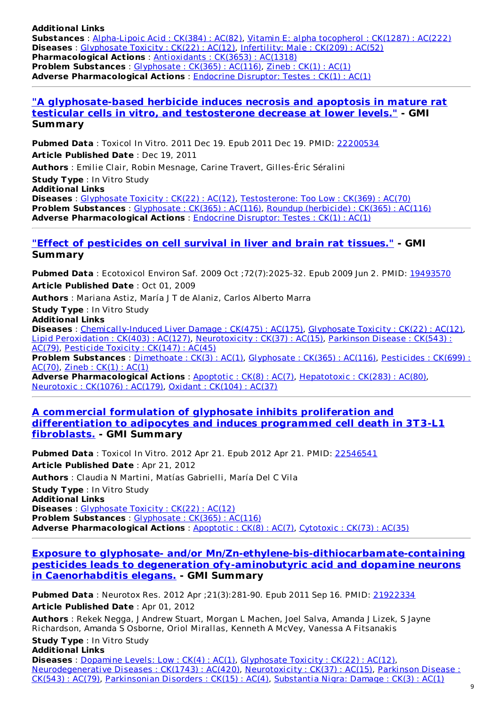**Additional Links Substances** : [Alpha-Lipoic](http://www.greenmedinfo.com/substance/alpha-lipoic-acid) Acid : CK(384) : AC(82), Vitamin E: alpha [tocopherol](http://www.greenmedinfo.com/substance/vitamin-e-alpha-tocopherol) : CK(1287) : AC(222) **Diseases** : [Glyphosate](http://www.greenmedinfo.com/disease/glyphosate-toxicity) Toxicity : CK(22) : AC(12), [Infertility:](http://www.greenmedinfo.com/disease/infertility-male) Male : CK(209) : AC(52) **Pharmacological Actions** : [Antioxidants](http://www.greenmedinfo.com/pharmacological-action/antioxidants) : CK(3653) : AC(1318) **Problem Substances** : [Glyphosate](http://www.greenmedinfo.com/toxic-ingredient/glyphosate) : CK(365) : AC(116), [Zineb](http://www.greenmedinfo.com/toxic-ingredient/zineb) : CK(1) : AC(1) **Adverse Pharmacological Actions** : Endocrine [Disruptor:](http://www.greenmedinfo.com/adverse-pharmacological-action/endocrine-disruptor-testes) Testes : CK(1) : AC(1)

#### **"A [glyphosate-based](http://www.ncbi.nlm.nih.gov/pubmed/22200534) herbicide induces necrosis and apoptosis in mature rat testicular cells in vitro, and testosterone decrease at lower levels." - GMI Summary**

**Pubmed Data** : Toxicol In Vitro. 2011 Dec 19. Epub 2011 Dec 19. PMID: [22200534](http://www.ncbi.nlm.nih.gov/pubmed/22200534) **Article Published Date** : Dec 19, 2011 **Authors** : Emilie Clair, Robin Mesnage, Carine Travert, Gilles-Éric Séralini **Study Type** : In Vitro Study

**Additional Links Diseases** : [Glyphosate](http://www.greenmedinfo.com/disease/glyphosate-toxicity) Toxicity : CK(22) : AC(12), [Testosterone:](http://www.greenmedinfo.com/disease/testosterone-too-low) Too Low : CK(369) : AC(70) **Problem Substances** : [Glyphosate](http://www.greenmedinfo.com/toxic-ingredient/glyphosate) : CK(365) : AC(116), Roundup [\(herbicide\)](http://www.greenmedinfo.com/toxic-ingredient/roundup-herbicide) : CK(365) : AC(116) **Adverse Pharmacological Actions** : Endocrine [Disruptor:](http://www.greenmedinfo.com/adverse-pharmacological-action/endocrine-disruptor-testes) Testes : CK(1) : AC(1)

#### **"Effect of [pesticides](http://www.ncbi.nlm.nih.gov/pubmed/19493570) on cell survival in liver and brain rat tissues." - GMI Summary**

**Pubmed Data** : Ecotoxicol Environ Saf. 2009 Oct ;72(7):2025-32. Epub 2009 Jun 2. PMID: [19493570](http://www.ncbi.nlm.nih.gov/pubmed/19493570) **Article Published Date** : Oct 01, 2009 **Authors** : Mariana Astiz, María J T de Alaniz, Carlos Alberto Marra **Study Type** : In Vitro Study

**Additional Links**

**Diseases** : [Chemically-Induced](http://www.greenmedinfo.com/disease/chemically-induced-liver-damage) Liver Damage : CK(475) : AC(175), [Glyphosate](http://www.greenmedinfo.com/disease/glyphosate-toxicity) Toxicity : CK(22) : AC(12), Lipid [Peroxidation](http://www.greenmedinfo.com/disease/lipid-peroxidation) : CK(403) : AC(127), [Neurotoxicity](http://www.greenmedinfo.com/disease/parkinson-disease) : CK(37) : AC(15), Parkinson Disease : CK(543) : AC(79), [Pesticide](http://www.greenmedinfo.com/disease/pesticide-toxicity) Toxicity : CK(147) : AC(45)

**Problem [Substances](http://www.greenmedinfo.com/toxic-ingredient/pesticides)** : [Dimethoate](http://www.greenmedinfo.com/toxic-ingredient/dimethoate) : CK(3) : AC(1), [Glyphosate](http://www.greenmedinfo.com/toxic-ingredient/glyphosate) : CK(365) : AC(116), Pesticides : CK(699) : AC(70), [Zineb](http://www.greenmedinfo.com/toxic-ingredient/zineb) : CK(1) : AC(1)

**Adverse Pharmacological Actions** : [Apoptotic](http://www.greenmedinfo.com/adverse-pharmacological-action/apoptotic) : CK(8) : AC(7), [Hepatotoxic](http://www.greenmedinfo.com/adverse-pharmacological-action/hepatotoxic) : CK(283) : AC(80), [Neurotoxic](http://www.greenmedinfo.com/adverse-pharmacological-action/neurotoxic) : CK(1076) : AC(179), Oxidant : [CK\(104\)](http://www.greenmedinfo.com/adverse-pharmacological-action/oxidant) : AC(37)

#### **A commercial formulation of glyphosate inhibits proliferation and [differentiation](http://www.ncbi.nlm.nih.gov/pubmed/22546541) to adipocytes and induces programmed cell death in 3T3-L1 fibroblasts. - GMI Summary**

**Pubmed Data** : Toxicol In Vitro. 2012 Apr 21. Epub 2012 Apr 21. PMID: [22546541](http://www.ncbi.nlm.nih.gov/pubmed/22546541) **Article Published Date** : Apr 21, 2012 **Authors** : Claudia N Martini, Matías Gabrielli, María Del C Vila **Study Type** : In Vitro Study **Additional Links Diseases** : [Glyphosate](http://www.greenmedinfo.com/disease/glyphosate-toxicity) Toxicity : CK(22) : AC(12) **Problem Substances** : [Glyphosate](http://www.greenmedinfo.com/toxic-ingredient/glyphosate) : CK(365) : AC(116) **Adverse Pharmacological Actions** : [Apoptotic](http://www.greenmedinfo.com/adverse-pharmacological-action/apoptotic) : CK(8) : AC(7), [Cytotoxic](http://www.greenmedinfo.com/adverse-pharmacological-action/cytotoxic) : CK(73) : AC(35)

**Exposure to glyphosate- and/or [Mn/Zn-ethylene-bis-dithiocarbamate-containing](http://www.ncbi.nlm.nih.gov/pubmed/21922334) pesticides leads to degeneration ofγ-aminobutyric acid and dopamine neurons in Caenorhabditis elegans. - GMI Summary**

**Pubmed Data** : Neurotox Res. 2012 Apr ;21(3):281-90. Epub 2011 Sep 16. PMID: [21922334](http://www.ncbi.nlm.nih.gov/pubmed/21922334) **Article Published Date** : Apr 01, 2012

**Authors** : Rekek Negga, J Andrew Stuart, Morgan L Machen, Joel Salva, Amanda J Lizek, S Jayne Richardson, Amanda S Osborne, Oriol Mirallas, Kenneth A McVey, Vanessa A Fitsanakis

**Study Type** : In Vitro Study **Additional Links**

**Diseases** : [Dopamine](http://www.greenmedinfo.com/disease/dopamine-levels-low) Levels: Low : CK(4) : AC(1), [Glyphosate](http://www.greenmedinfo.com/disease/glyphosate-toxicity) Toxicity : CK(22) : AC(12), [Neurodegenerative](http://www.greenmedinfo.com/disease/parkinson-disease) Diseases : CK(1743) : AC(420), [Neurotoxicity](http://www.greenmedinfo.com/disease/neurotoxicity) : CK(37) : AC(15), Parkinson Disease : CK(543) : AC(79), [Parkinsonian](http://www.greenmedinfo.com/disease/parkinsonian-disorders) Disorders : CK(15) : AC(4), [Substantia](http://www.greenmedinfo.com/disease/substantia-nigra-damage) Nigra: Damage : CK(3) : AC(1)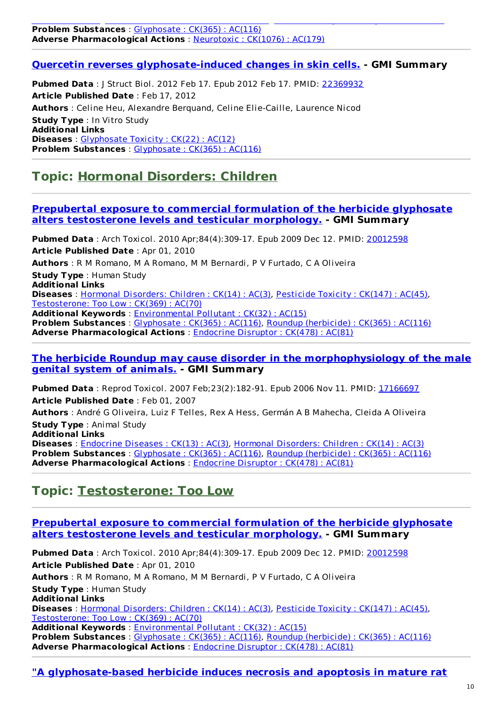#### **Problem Substances** : [Glyphosate](http://www.greenmedinfo.com/toxic-ingredient/glyphosate) : CK(365) : AC(116) **Adverse Pharmacological Actions** : [Neurotoxic](http://www.greenmedinfo.com/adverse-pharmacological-action/neurotoxic) : CK(1076) : AC(179)

#### **Quercetin reverses [glyphosate-induced](http://www.ncbi.nlm.nih.gov/pubmed/22369932) changes in skin cells. - GMI Summary**

CK(543) : AC(79), Parkinsonian Disorders : CK(15) : AC(4), Substantia Nigra: Damage : CK(3) : AC(1)

**Pubmed Data** : J Struct Biol. 2012 Feb 17. Epub 2012 Feb 17. PMID: [22369932](http://www.ncbi.nlm.nih.gov/pubmed/22369932) **Article Published Date** : Feb 17, 2012 **Authors** : Celine Heu, Alexandre Berquand, Celine Elie-Caille, Laurence Nicod **Study Type** : In Vitro Study **Additional Links Diseases** : [Glyphosate](http://www.greenmedinfo.com/disease/glyphosate-toxicity) Toxicity : CK(22) : AC(12) **Problem Substances** : [Glyphosate](http://www.greenmedinfo.com/toxic-ingredient/glyphosate) : CK(365) : AC(116)

### **Topic: Hormonal [Disorders:](http://www.greenmedinfo.com/disease/hormonal-disorders-children) Children**

#### **Prepubertal exposure to commercial formulation of the herbicide glyphosate alters [testosterone](http://www.ncbi.nlm.nih.gov/pubmed/20012598) levels and testicular morphology. - GMI Summary**

**Pubmed Data** : Arch Toxicol. 2010 Apr;84(4):309-17. Epub 2009 Dec 12. PMID: [20012598](http://www.ncbi.nlm.nih.gov/pubmed/20012598) **Article Published Date** : Apr 01, 2010 **Authors** : R M Romano, M A Romano, M M Bernardi, P V Furtado, C A Oliveira **Study Type** : Human Study **Additional Links Diseases** : Hormonal [Disorders:](http://www.greenmedinfo.com/disease/hormonal-disorders-children) Children : CK(14) : AC(3), [Pesticide](http://www.greenmedinfo.com/disease/pesticide-toxicity) Toxicity : CK(147) : AC(45), [Testosterone:](http://www.greenmedinfo.com/disease/testosterone-too-low) Too Low : CK(369) : AC(70) **Additional Keywords** : [Environmental](http://www.greenmedinfo.com/keyword/environmental-pollutant) Pollutant : CK(32) : AC(15)

**Problem Substances** : [Glyphosate](http://www.greenmedinfo.com/toxic-ingredient/glyphosate) : CK(365) : AC(116), Roundup [\(herbicide\)](http://www.greenmedinfo.com/toxic-ingredient/roundup-herbicide) : CK(365) : AC(116) **Adverse Pharmacological Actions** : [Endocrine](http://www.greenmedinfo.com/adverse-pharmacological-action/endocrine-disruptor) Disruptor : CK(478) : AC(81)

#### **The herbicide Roundup may cause disorder in the [morphophysiology](http://www.ncbi.nlm.nih.gov/pubmed/17166697) of the male genital system of animals. - GMI Summary**

**Pubmed Data**: Reprod Toxicol. 2007 Feb;23(2):182-91. Epub 2006 Nov 11. PMID: [17166697](http://www.ncbi.nlm.nih.gov/pubmed/17166697) **Article Published Date** : Feb 01, 2007 **Authors** : André G Oliveira, Luiz F Telles, Rex A Hess, Germán A B Mahecha, Cleida A Oliveira **Study Type** : Animal Study **Additional Links Diseases** : [Endocrine](http://www.greenmedinfo.com/disease/endocrine-diseases) Diseases : CK(13) : AC(3), Hormonal [Disorders:](http://www.greenmedinfo.com/disease/hormonal-disorders-children) Children : CK(14) : AC(3) **Problem Substances** : [Glyphosate](http://www.greenmedinfo.com/toxic-ingredient/glyphosate) : CK(365) : AC(116), Roundup [\(herbicide\)](http://www.greenmedinfo.com/toxic-ingredient/roundup-herbicide) : CK(365) : AC(116) **Adverse Pharmacological Actions** : [Endocrine](http://www.greenmedinfo.com/adverse-pharmacological-action/endocrine-disruptor) Disruptor : CK(478) : AC(81)

### **Topic: [Testosterone:](http://www.greenmedinfo.com/disease/testosterone-too-low) Too Low**

#### **Prepubertal exposure to commercial formulation of the herbicide glyphosate alters [testosterone](http://www.ncbi.nlm.nih.gov/pubmed/20012598) levels and testicular morphology. - GMI Summary**

**Pubmed Data** : Arch Toxicol. 2010 Apr;84(4):309-17. Epub 2009 Dec 12. PMID: [20012598](http://www.ncbi.nlm.nih.gov/pubmed/20012598) **Article Published Date** : Apr 01, 2010 **Authors** : R M Romano, M A Romano, M M Bernardi, P V Furtado, C A Oliveira **Study Type** : Human Study **Additional Links Diseases** : Hormonal [Disorders:](http://www.greenmedinfo.com/disease/hormonal-disorders-children) Children : CK(14) : AC(3), [Pesticide](http://www.greenmedinfo.com/disease/pesticide-toxicity) Toxicity : CK(147) : AC(45), [Testosterone:](http://www.greenmedinfo.com/disease/testosterone-too-low) Too Low : CK(369) : AC(70) **Additional Keywords** : [Environmental](http://www.greenmedinfo.com/keyword/environmental-pollutant) Pollutant : CK(32) : AC(15) **Problem Substances** : [Glyphosate](http://www.greenmedinfo.com/toxic-ingredient/glyphosate) : CK(365) : AC(116), Roundup [\(herbicide\)](http://www.greenmedinfo.com/toxic-ingredient/roundup-herbicide) : CK(365) : AC(116) **Adverse Pharmacological Actions** : [Endocrine](http://www.greenmedinfo.com/adverse-pharmacological-action/endocrine-disruptor) Disruptor : CK(478) : AC(81)

#### **"A glyphosate-based herbicide induces necrosis and apoptosis in mature rat**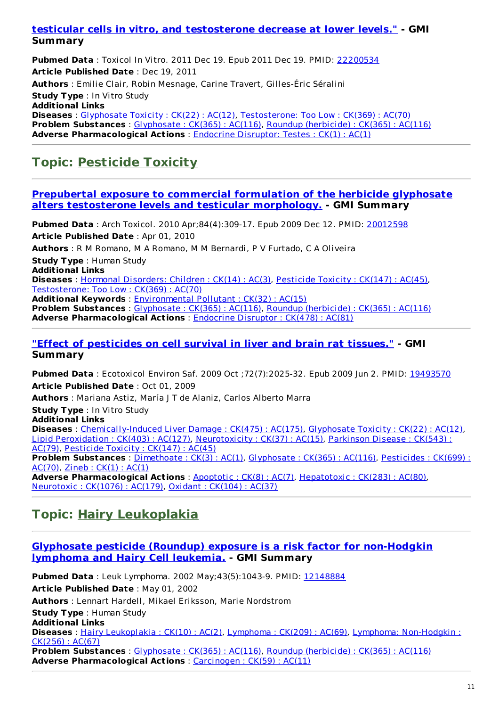#### **testicular cells in vitro, and [testosterone](http://www.ncbi.nlm.nih.gov/pubmed/22200534) decrease at lower levels." - GMI Summary**

**Pubmed Data** : Toxicol In Vitro. 2011 Dec 19. Epub 2011 Dec 19. PMID: [22200534](http://www.ncbi.nlm.nih.gov/pubmed/22200534) **Article Published Date** : Dec 19, 2011

**Authors** : Emilie Clair, Robin Mesnage, Carine Travert, Gilles-Éric Séralini

**Study Type** : In Vitro Study

**Additional Links Diseases** : [Glyphosate](http://www.greenmedinfo.com/disease/glyphosate-toxicity) Toxicity : CK(22) : AC(12), [Testosterone:](http://www.greenmedinfo.com/disease/testosterone-too-low) Too Low : CK(369) : AC(70) **Problem Substances** : [Glyphosate](http://www.greenmedinfo.com/toxic-ingredient/glyphosate) : CK(365) : AC(116), Roundup [\(herbicide\)](http://www.greenmedinfo.com/toxic-ingredient/roundup-herbicide) : CK(365) : AC(116) **Adverse Pharmacological Actions** : Endocrine [Disruptor:](http://www.greenmedinfo.com/adverse-pharmacological-action/endocrine-disruptor-testes) Testes : CK(1) : AC(1)

# **Topic: [Pesticide](http://www.greenmedinfo.com/disease/pesticide-toxicity) Toxicity**

#### **Prepubertal exposure to commercial [formulation](http://www.ncbi.nlm.nih.gov/pubmed/20012598) of the herbicide glyphosate alters testosterone levels and testicular morphology. - GMI Summary**

**Pubmed Data** : Arch Toxicol. 2010 Apr;84(4):309-17. Epub 2009 Dec 12. PMID: [20012598](http://www.ncbi.nlm.nih.gov/pubmed/20012598) **Article Published Date** : Apr 01, 2010 **Authors** : R M Romano, M A Romano, M M Bernardi, P V Furtado, C A Oliveira

**Study Type** : Human Study **Additional Links Diseases** : Hormonal [Disorders:](http://www.greenmedinfo.com/disease/hormonal-disorders-children) Children : CK(14) : AC(3), [Pesticide](http://www.greenmedinfo.com/disease/pesticide-toxicity) Toxicity : CK(147) : AC(45), [Testosterone:](http://www.greenmedinfo.com/disease/testosterone-too-low) Too Low : CK(369) : AC(70) **Additional Keywords** : [Environmental](http://www.greenmedinfo.com/keyword/environmental-pollutant) Pollutant : CK(32) : AC(15)

**Problem Substances** : [Glyphosate](http://www.greenmedinfo.com/toxic-ingredient/glyphosate) : CK(365) : AC(116), Roundup [\(herbicide\)](http://www.greenmedinfo.com/toxic-ingredient/roundup-herbicide) : CK(365) : AC(116) **Adverse Pharmacological Actions** : [Endocrine](http://www.greenmedinfo.com/adverse-pharmacological-action/endocrine-disruptor) Disruptor : CK(478) : AC(81)

#### **"Effect of [pesticides](http://www.ncbi.nlm.nih.gov/pubmed/19493570) on cell survival in liver and brain rat tissues." - GMI Summary**

**Pubmed Data** : Ecotoxicol Environ Saf. 2009 Oct ;72(7):2025-32. Epub 2009 Jun 2. PMID: [19493570](http://www.ncbi.nlm.nih.gov/pubmed/19493570) **Article Published Date** : Oct 01, 2009 **Authors** : Mariana Astiz, María J T de Alaniz, Carlos Alberto Marra **Study Type** : In Vitro Study **Additional Links Diseases** : [Chemically-Induced](http://www.greenmedinfo.com/disease/chemically-induced-liver-damage) Liver Damage : CK(475) : AC(175), [Glyphosate](http://www.greenmedinfo.com/disease/glyphosate-toxicity) Toxicity : CK(22) : AC(12), Lipid [Peroxidation](http://www.greenmedinfo.com/disease/lipid-peroxidation) : CK(403) : AC(127), [Neurotoxicity](http://www.greenmedinfo.com/disease/parkinson-disease) : CK(37) : AC(15), Parkinson Disease : CK(543) : AC(79), [Pesticide](http://www.greenmedinfo.com/disease/pesticide-toxicity) Toxicity : CK(147) : AC(45) **Problem [Substances](http://www.greenmedinfo.com/toxic-ingredient/pesticides)** : [Dimethoate](http://www.greenmedinfo.com/toxic-ingredient/dimethoate) : CK(3) : AC(1), [Glyphosate](http://www.greenmedinfo.com/toxic-ingredient/glyphosate) : CK(365) : AC(116), Pesticides : CK(699) : AC(70), [Zineb](http://www.greenmedinfo.com/toxic-ingredient/zineb) : CK(1) : AC(1) **Adverse Pharmacological Actions** : [Apoptotic](http://www.greenmedinfo.com/adverse-pharmacological-action/apoptotic) : CK(8) : AC(7), [Hepatotoxic](http://www.greenmedinfo.com/adverse-pharmacological-action/hepatotoxic) : CK(283) : AC(80), [Neurotoxic](http://www.greenmedinfo.com/adverse-pharmacological-action/neurotoxic) : CK(1076) : AC(179), Oxidant : [CK\(104\)](http://www.greenmedinfo.com/adverse-pharmacological-action/oxidant) : AC(37)

# **Topic: Hairy [Leukoplakia](http://www.greenmedinfo.com/disease/hairy-leukoplakia)**

#### **Glyphosate pesticide (Roundup) exposure is a risk factor for [non-Hodgkin](http://www.ncbi.nlm.nih.gov/pubmed/12148884) lymphoma and Hairy Cell leukemia. - GMI Summary**

**Pubmed Data** : Leuk Lymphoma. 2002 May;43(5):1043-9. PMID: [12148884](http://www.ncbi.nlm.nih.gov/pubmed/12148884) **Article Published Date** : May 01, 2002 **Authors** : Lennart Hardell, Mikael Eriksson, Marie Nordstrom **Study Type** : Human Study **Additional Links Diseases** : Hairy [Leukoplakia](http://www.greenmedinfo.com/disease/hairy-leukoplakia) : CK(10) : AC(2), [Lymphoma](http://www.greenmedinfo.com/disease/lymphoma) : CK(209) : AC(69), Lymphoma: [Non-Hodgkin](http://www.greenmedinfo.com/disease/lymphoma-non-hodgkin-0) : CK(256) : AC(67) **Problem Substances** : [Glyphosate](http://www.greenmedinfo.com/toxic-ingredient/glyphosate) : CK(365) : AC(116), Roundup [\(herbicide\)](http://www.greenmedinfo.com/toxic-ingredient/roundup-herbicide) : CK(365) : AC(116) **Adverse Pharmacological Actions** : [Carcinogen](http://www.greenmedinfo.com/adverse-pharmacological-action/carcinogen) : CK(59) : AC(11)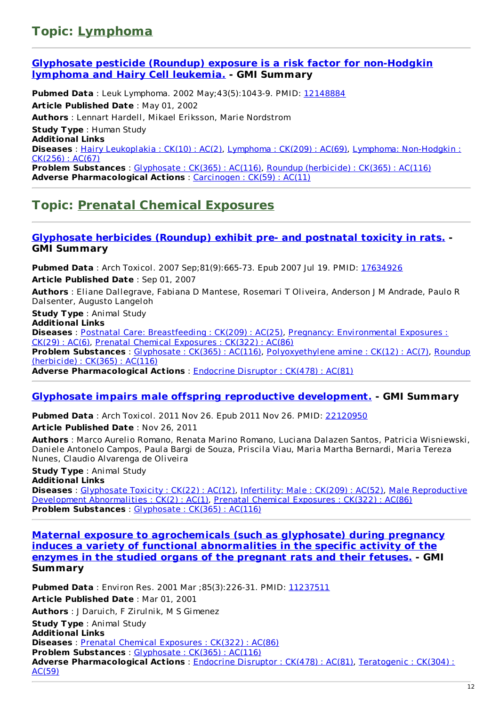### **Topic: [Lymphoma](http://www.greenmedinfo.com/disease/lymphoma)**

#### **Glyphosate pesticide (Roundup) exposure is a risk factor for [non-Hodgkin](http://www.ncbi.nlm.nih.gov/pubmed/12148884) lymphoma and Hairy Cell leukemia. - GMI Summary**

**Pubmed Data** : Leuk Lymphoma. 2002 May;43(5):1043-9. PMID: [12148884](http://www.ncbi.nlm.nih.gov/pubmed/12148884) **Article Published Date** : May 01, 2002 **Authors** : Lennart Hardell, Mikael Eriksson, Marie Nordstrom **Study Type** : Human Study **Additional Links Diseases** : Hairy [Leukoplakia](http://www.greenmedinfo.com/disease/hairy-leukoplakia) : CK(10) : AC(2), [Lymphoma](http://www.greenmedinfo.com/disease/lymphoma) : CK(209) : AC(69), Lymphoma: [Non-Hodgkin](http://www.greenmedinfo.com/disease/lymphoma-non-hodgkin-0) : CK(256) : AC(67) **Problem Substances** : [Glyphosate](http://www.greenmedinfo.com/toxic-ingredient/glyphosate) : CK(365) : AC(116), Roundup [\(herbicide\)](http://www.greenmedinfo.com/toxic-ingredient/roundup-herbicide) : CK(365) : AC(116) **Adverse Pharmacological Actions** : [Carcinogen](http://www.greenmedinfo.com/adverse-pharmacological-action/carcinogen) : CK(59) : AC(11)

## **Topic: Prenatal Chemical [Exposures](http://www.greenmedinfo.com/disease/prenatal-chemical-exposures)**

#### **[Glyphosate](http://www.ncbi.nlm.nih.gov/pubmed/17634926) herbicides (Roundup) exhibit pre- and postnatal toxicity in rats. - GMI Summary**

**Pubmed Data** : Arch Toxicol. 2007 Sep;81(9):665-73. Epub 2007 Jul 19. PMID: [17634926](http://www.ncbi.nlm.nih.gov/pubmed/17634926) **Article Published Date** : Sep 01, 2007

**Authors** : Eliane Dallegrave, Fabiana D Mantese, Rosemari T Oliveira, Anderson J M Andrade, Paulo R Dalsenter, Augusto Langeloh

**Study Type** : Animal Study **Additional Links**

**Diseases** : Postnatal Care: [Breastfeeding](http://www.greenmedinfo.com/disease/postnatal-care-breastfeeding) : CK(209) : AC(25), Pregnancy: [Environmental](http://www.greenmedinfo.com/disease/pregnancy-environmental-exposures) Exposures : CK(29) : AC(6), Prenatal Chemical [Exposures](http://www.greenmedinfo.com/disease/prenatal-chemical-exposures) : CK(322) : AC(86) **Problem Substances** : [Glyphosate](http://www.greenmedinfo.com/toxic-ingredient/glyphosate) : CK(365) : AC(116), [Polyoxyethylene](http://www.greenmedinfo.com/toxic-ingredient/roundup-herbicide) amine : CK(12) : AC(7), Roundup (herbicide) : CK(365) : AC(116) **Adverse Pharmacological Actions** : [Endocrine](http://www.greenmedinfo.com/adverse-pharmacological-action/endocrine-disruptor) Disruptor : CK(478) : AC(81)

#### **Glyphosate impairs male offspring reproductive [development.](http://www.ncbi.nlm.nih.gov/pubmed/22120950) - GMI Summary**

**Pubmed Data** : Arch Toxicol. 2011 Nov 26. Epub 2011 Nov 26. PMID: [22120950](http://www.ncbi.nlm.nih.gov/pubmed/22120950) **Article Published Date** : Nov 26, 2011

**Authors** : Marco Aurelio Romano, Renata Marino Romano, Luciana Dalazen Santos, Patricia Wisniewski, Daniele Antonelo Campos, Paula Bargi de Souza, Priscila Viau, Maria Martha Bernardi, Maria Tereza Nunes, Claudio Alvarenga de Oliveira

**Study Type** : Animal Study

**Additional Links Diseases** : [Glyphosate](http://www.greenmedinfo.com/disease/glyphosate-toxicity) Toxicity : CK(22) : AC(12), [Infertility:](http://www.greenmedinfo.com/disease/infertility-male) Male : CK(209) : AC(52), Male [Reproductive](http://www.greenmedinfo.com/disease/male-reproductive-development-abnormalities) Development Abnormalities : CK(2) : AC(1), Prenatal Chemical [Exposures](http://www.greenmedinfo.com/disease/prenatal-chemical-exposures) : CK(322) : AC(86) **Problem Substances** : [Glyphosate](http://www.greenmedinfo.com/toxic-ingredient/glyphosate) : CK(365) : AC(116)

**Maternal exposure to [agrochemicals](http://www.ncbi.nlm.nih.gov/pubmed/11237511) (such as glyphosate) during pregnancy induces a variety of functional abnormalities in the specific activity of the enzymes in the studied organs of the pregnant rats and their fetuses. - GMI Summary**

**Pubmed Data** : Environ Res. 2001 Mar ;85(3):226-31. PMID: [11237511](http://www.ncbi.nlm.nih.gov/pubmed/11237511) **Article Published Date** : Mar 01, 2001 **Authors** : J Daruich, F Zirulnik, M S Gimenez **Study Type** : Animal Study **Additional Links Diseases** : Prenatal Chemical [Exposures](http://www.greenmedinfo.com/disease/prenatal-chemical-exposures) : CK(322) : AC(86) **Problem Substances** : [Glyphosate](http://www.greenmedinfo.com/toxic-ingredient/glyphosate) : CK(365) : AC(116) **Adverse [Pharmacological](http://www.greenmedinfo.com/adverse-pharmacological-action/teratogenic) Actions** : [Endocrine](http://www.greenmedinfo.com/adverse-pharmacological-action/endocrine-disruptor) Disruptor : CK(478) : AC(81), Teratogenic : CK(304) : AC(59)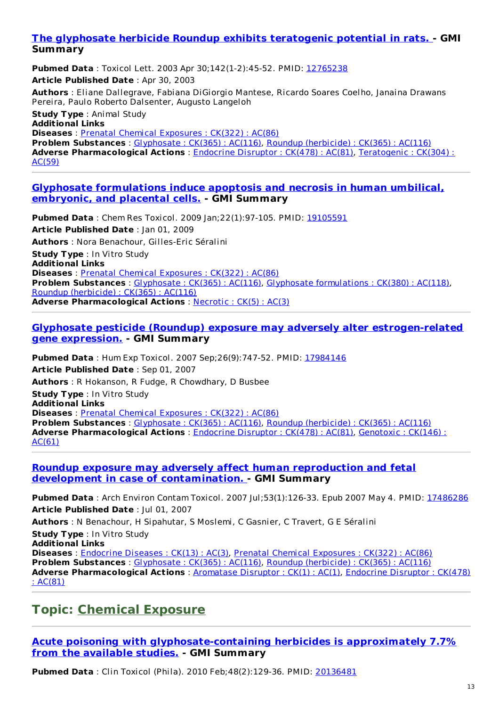#### **The glyphosate herbicide Roundup exhibits [teratogenic](http://www.ncbi.nlm.nih.gov/pubmed/12765238) potential in rats. - GMI Summary**

**Pubmed Data** : Toxicol Lett. 2003 Apr 30;142(1-2):45-52. PMID: [12765238](http://www.ncbi.nlm.nih.gov/pubmed/12765238) **Article Published Date** : Apr 30, 2003 **Authors** : Eliane Dallegrave, Fabiana DiGiorgio Mantese, Ricardo Soares Coelho, Janaina Drawans Pereira, Paulo Roberto Dalsenter, Augusto Langeloh

**Study Type** : Animal Study **Additional Links Diseases** : Prenatal Chemical [Exposures](http://www.greenmedinfo.com/disease/prenatal-chemical-exposures) : CK(322) : AC(86) **Problem Substances** : [Glyphosate](http://www.greenmedinfo.com/toxic-ingredient/glyphosate) : CK(365) : AC(116), Roundup [\(herbicide\)](http://www.greenmedinfo.com/toxic-ingredient/roundup-herbicide) : CK(365) : AC(116) **Adverse [Pharmacological](http://www.greenmedinfo.com/adverse-pharmacological-action/teratogenic) Actions** : [Endocrine](http://www.greenmedinfo.com/adverse-pharmacological-action/endocrine-disruptor) Disruptor : CK(478) : AC(81), Teratogenic : CK(304) : AC(59)

#### **Glyphosate [formulations](http://www.ncbi.nlm.nih.gov/pubmed/19105591) induce apoptosis and necrosis in human umbilical, embryonic, and placental cells. - GMI Summary**

**Pubmed Data** : Chem Res Toxicol. 2009 Jan;22(1):97-105. PMID: [19105591](http://www.ncbi.nlm.nih.gov/pubmed/19105591) **Article Published Date** : Jan 01, 2009 **Authors** : Nora Benachour, Gilles-Eric Séralini **Study Type** : In Vitro Study **Additional Links Diseases** : Prenatal Chemical [Exposures](http://www.greenmedinfo.com/disease/prenatal-chemical-exposures) : CK(322) : AC(86) **Problem Substances** : [Glyphosate](http://www.greenmedinfo.com/toxic-ingredient/glyphosate) : CK(365) : AC(116), Glyphosate [formulations](http://www.greenmedinfo.com/toxic-ingredient/glyphosate-formulations) : CK(380) : AC(118), Roundup [\(herbicide\)](http://www.greenmedinfo.com/toxic-ingredient/roundup-herbicide) : CK(365) : AC(116) **Adverse Pharmacological Actions** : [Necrotic](http://www.greenmedinfo.com/adverse-pharmacological-action/necrotic) : CK(5) : AC(3)

#### **Glyphosate pesticide (Roundup) exposure may adversely alter [estrogen-related](http://www.ncbi.nlm.nih.gov/pubmed/17984146) gene expression. - GMI Summary**

**Pubmed Data** : Hum Exp Toxicol. 2007 Sep;26(9):747-52. PMID: [17984146](http://www.ncbi.nlm.nih.gov/pubmed/17984146) **Article Published Date** : Sep 01, 2007 **Authors** : R Hokanson, R Fudge, R Chowdhary, D Busbee **Study Type** : In Vitro Study **Additional Links Diseases** : Prenatal Chemical [Exposures](http://www.greenmedinfo.com/disease/prenatal-chemical-exposures) : CK(322) : AC(86) **Problem Substances** : [Glyphosate](http://www.greenmedinfo.com/toxic-ingredient/glyphosate) : CK(365) : AC(116), Roundup [\(herbicide\)](http://www.greenmedinfo.com/toxic-ingredient/roundup-herbicide) : CK(365) : AC(116) **Adverse [Pharmacological](http://www.greenmedinfo.com/adverse-pharmacological-action/genotoxic) Actions** : [Endocrine](http://www.greenmedinfo.com/adverse-pharmacological-action/endocrine-disruptor) Disruptor : CK(478) : AC(81), Genotoxic : CK(146) : AC(61)

#### **Roundup exposure may adversely affect human reproduction and fetal development in case of [contamination.](http://www.ncbi.nlm.nih.gov/pubmed/17486286) - GMI Summary**

**Pubmed Data** : Arch Environ Contam Toxicol. 2007 Jul;53(1):126-33. Epub 2007 May 4. PMID: [17486286](http://www.ncbi.nlm.nih.gov/pubmed/17486286) **Article Published Date** : Jul 01, 2007 **Authors** : N Benachour, H Sipahutar, S Moslemi, C Gasnier, C Travert, G E Séralini **Study Type** : In Vitro Study **Additional Links Diseases** : [Endocrine](http://www.greenmedinfo.com/disease/endocrine-diseases) Diseases : CK(13) : AC(3), Prenatal Chemical [Exposures](http://www.greenmedinfo.com/disease/prenatal-chemical-exposures) : CK(322) : AC(86) **Problem Substances** : [Glyphosate](http://www.greenmedinfo.com/toxic-ingredient/glyphosate) : CK(365) : AC(116), Roundup [\(herbicide\)](http://www.greenmedinfo.com/toxic-ingredient/roundup-herbicide) : CK(365) : AC(116) **Adverse [Pharmacological](http://www.greenmedinfo.com/adverse-pharmacological-action/endocrine-disruptor) Actions** : [Aromatase](http://www.greenmedinfo.com/adverse-pharmacological-action/aromatase-disruptor) Disruptor : CK(1) : AC(1), Endocrine Disruptor : CK(478) : AC(81)

### **Topic: [Chemical](http://www.greenmedinfo.com/disease/chemical-exposure) Exposure**

**Acute poisoning with [glyphosate-containing](http://www.ncbi.nlm.nih.gov/pubmed/20136481) herbicides is approximately 7.7% from the available studies. - GMI Summary**

**Pubmed Data** : Clin Toxicol (Phila). 2010 Feb;48(2):129-36. PMID: [20136481](http://www.ncbi.nlm.nih.gov/pubmed/20136481)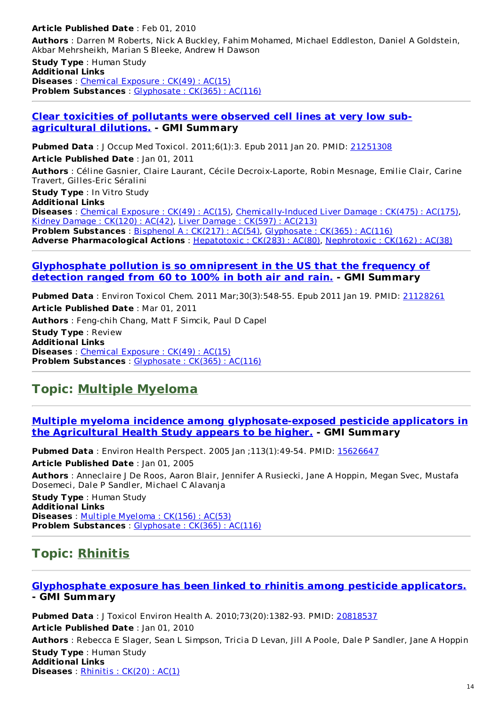#### **Article Published Date** : Feb 01, 2010

**Authors** : Darren M Roberts, Nick A Buckley, Fahim Mohamed, Michael Eddleston, Daniel A Goldstein, Akbar Mehrsheikh, Marian S Bleeke, Andrew H Dawson

**Study Type** : Human Study **Additional Links Diseases** : Chemical [Exposure](http://www.greenmedinfo.com/disease/chemical-exposure) : CK(49) : AC(15) **Problem Substances** : [Glyphosate](http://www.greenmedinfo.com/toxic-ingredient/glyphosate) : CK(365) : AC(116)

#### **Clear toxicities of pollutants were observed cell lines at very low sub[agricultural](http://www.ncbi.nlm.nih.gov/pubmed/21251308) dilutions. - GMI Summary**

**Pubmed Data** : J Occup Med Toxicol. 2011;6(1):3. Epub 2011 Jan 20. PMID: [21251308](http://www.ncbi.nlm.nih.gov/pubmed/21251308) **Article Published Date** : Jan 01, 2011 **Authors** : Céline Gasnier, Claire Laurant, Cécile Decroix-Laporte, Robin Mesnage, Emilie Clair, Carine Travert, Gilles-Eric Séralini

**Study Type** : In Vitro Study **Additional Links Diseases** : Chemical [Exposure](http://www.greenmedinfo.com/disease/chemical-exposure) : CK(49) : AC(15), [Chemically-Induced](http://www.greenmedinfo.com/disease/chemically-induced-liver-damage) Liver Damage : CK(475) : AC(175), Kidney [Damage](http://www.greenmedinfo.com/disease/kidney-damage) : CK(120) : AC(42), Liver [Damage](http://www.greenmedinfo.com/disease/liver-damage) : CK(597) : AC(213) **Problem Substances** : [Bisphenol](http://www.greenmedinfo.com/toxic-ingredient/bisphenol) A : CK(217) : AC(54), [Glyphosate](http://www.greenmedinfo.com/toxic-ingredient/glyphosate) : CK(365) : AC(116) **Adverse Pharmacological Actions** : [Hepatotoxic](http://www.greenmedinfo.com/adverse-pharmacological-action/hepatotoxic) : CK(283) : AC(80), [Nephrotoxic](http://www.greenmedinfo.com/adverse-pharmacological-action/nephrotoxic) : CK(162) : AC(38)

#### **[Glyphosphate](http://www.ncbi.nlm.nih.gov/pubmed/21128261) pollution is so omnipresent in the US that the frequency of detection ranged from 60 to 100% in both air and rain. - GMI Summary**

**Pubmed Data** : Environ Toxicol Chem. 2011 Mar;30(3):548-55. Epub 2011 Jan 19. PMID: [21128261](http://www.ncbi.nlm.nih.gov/pubmed/21128261) **Article Published Date** : Mar 01, 2011 **Authors** : Feng-chih Chang, Matt F Simcik, Paul D Capel **Study Type** : Review **Additional Links Diseases** : Chemical [Exposure](http://www.greenmedinfo.com/disease/chemical-exposure) : CK(49) : AC(15) **Problem Substances** : [Glyphosate](http://www.greenmedinfo.com/toxic-ingredient/glyphosate) : CK(365) : AC(116)

### **Topic: Multiple [Myeloma](http://www.greenmedinfo.com/disease/multiple-myeloma)**

#### **Multiple myeloma incidence among [glyphosate-exposed](http://www.ncbi.nlm.nih.gov/pubmed/15626647) pesticide applicators in the Agricultural Health Study appears to be higher. - GMI Summary**

**Pubmed Data** : Environ Health Perspect. 2005 Jan ;113(1):49-54. PMID: [15626647](http://www.ncbi.nlm.nih.gov/pubmed/15626647) **Article Published Date** : Jan 01, 2005 **Authors** : Anneclaire J De Roos, Aaron Blair, Jennifer A Rusiecki, Jane A Hoppin, Megan Svec, Mustafa Dosemeci, Dale P Sandler, Michael C Alavanja **Study Type** : Human Study **Additional Links Diseases** : Multiple [Myeloma](http://www.greenmedinfo.com/disease/multiple-myeloma) : CK(156) : AC(53) **Problem Substances** : [Glyphosate](http://www.greenmedinfo.com/toxic-ingredient/glyphosate) : CK(365) : AC(116)

### **Topic: [Rhinitis](http://www.greenmedinfo.com/disease/rhinitis)**

#### **[Glyphosphate](http://www.ncbi.nlm.nih.gov/pubmed/20818537) exposure has been linked to rhinitis among pesticide applicators. - GMI Summary**

**Pubmed Data** : J Toxicol Environ Health A. 2010;73(20):1382-93. PMID: [20818537](http://www.ncbi.nlm.nih.gov/pubmed/20818537) **Article Published Date** : Jan 01, 2010 **Authors** : Rebecca E Slager, Sean L Simpson, Tricia D Levan, Jill A Poole, Dale P Sandler, Jane A Hoppin **Study Type** : Human Study **Additional Links Diseases** : [Rhinitis](http://www.greenmedinfo.com/disease/rhinitis) : CK(20) : AC(1)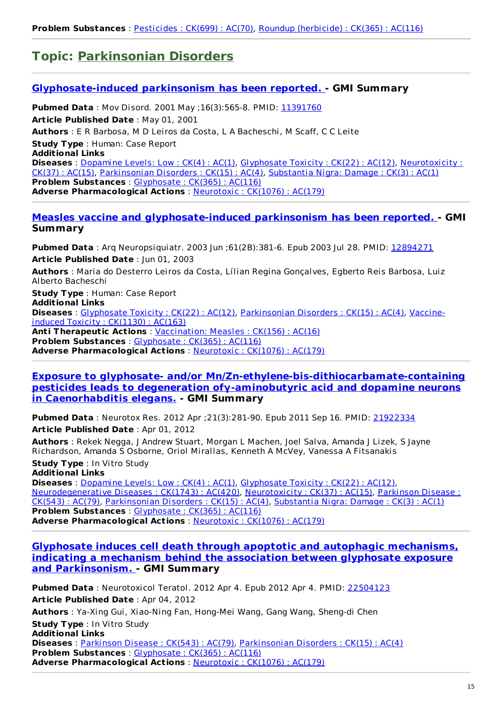### **Topic: [Parkinsonian](http://www.greenmedinfo.com/disease/parkinsonian-disorders) Disorders**

#### **[Glyphosate-induced](http://www.ncbi.nlm.nih.gov/pubmed/11391760) parkinsonism has been reported. - GMI Summary**

**Pubmed Data** : Mov Disord. 2001 May ;16(3):565-8. PMID: [11391760](http://www.ncbi.nlm.nih.gov/pubmed/11391760) **Article Published Date** : May 01, 2001 **Authors** : E R Barbosa, M D Leiros da Costa, L A Bacheschi, M Scaff, C C Leite **Study Type** : Human: Case Report **Additional Links Diseases** : [Dopamine](http://www.greenmedinfo.com/disease/dopamine-levels-low) Levels: Low : CK(4) : AC(1), [Glyphosate](http://www.greenmedinfo.com/disease/glyphosate-toxicity) Toxicity : CK(22) : AC(12), [Neurotoxicity](http://www.greenmedinfo.com/disease/neurotoxicity) : CK(37) : AC(15), [Parkinsonian](http://www.greenmedinfo.com/disease/parkinsonian-disorders) Disorders : CK(15) : AC(4), [Substantia](http://www.greenmedinfo.com/disease/substantia-nigra-damage) Nigra: Damage : CK(3) : AC(1) **Problem Substances** : [Glyphosate](http://www.greenmedinfo.com/toxic-ingredient/glyphosate) : CK(365) : AC(116) **Adverse Pharmacological Actions** : [Neurotoxic](http://www.greenmedinfo.com/adverse-pharmacological-action/neurotoxic) : CK(1076) : AC(179)

#### **Measles vaccine and [glyphosate-induced](http://www.ncbi.nlm.nih.gov/pubmed/12894271) parkinsonism has been reported. - GMI Summary**

**Pubmed Data** : Arq Neuropsiquiatr. 2003 Jun ;61(2B):381-6. Epub 2003 Jul 28. PMID: [12894271](http://www.ncbi.nlm.nih.gov/pubmed/12894271) **Article Published Date** : Jun 01, 2003

**Authors** : Maria do Desterro Leiros da Costa, Lílian Regina Gonçalves, Egberto Reis Barbosa, Luiz Alberto Bacheschi

**Study Type** : Human: Case Report **Additional Links Diseases** : [Glyphosate](http://www.greenmedinfo.com/disease/glyphosate-toxicity) Toxicity : CK(22) : AC(12), [Parkinsonian](http://www.greenmedinfo.com/disease/vaccine-induced-toxicity) Disorders : CK(15) : AC(4), Vaccineinduced Toxicity : CK(1130) : AC(163) **Anti Therapeutic Actions** : [Vaccination:](http://www.greenmedinfo.com/anti-therapeutic-action/vaccination-measles) Measles : CK(156) : AC(16) **Problem Substances** : [Glyphosate](http://www.greenmedinfo.com/toxic-ingredient/glyphosate) : CK(365) : AC(116) **Adverse Pharmacological Actions** : [Neurotoxic](http://www.greenmedinfo.com/adverse-pharmacological-action/neurotoxic) : CK(1076) : AC(179)

#### **Exposure to glyphosate- and/or [Mn/Zn-ethylene-bis-dithiocarbamate-containing](http://www.ncbi.nlm.nih.gov/pubmed/21922334) pesticides leads to degeneration ofγ-aminobutyric acid and dopamine neurons in Caenorhabditis elegans. - GMI Summary**

**Pubmed Data** : Neurotox Res. 2012 Apr ;21(3):281-90. Epub 2011 Sep 16. PMID: [21922334](http://www.ncbi.nlm.nih.gov/pubmed/21922334) **Article Published Date** : Apr 01, 2012

**Authors** : Rekek Negga, J Andrew Stuart, Morgan L Machen, Joel Salva, Amanda J Lizek, S Jayne Richardson, Amanda S Osborne, Oriol Mirallas, Kenneth A McVey, Vanessa A Fitsanakis

**Study Type** : In Vitro Study **Additional Links**

**Diseases** : [Dopamine](http://www.greenmedinfo.com/disease/dopamine-levels-low) Levels: Low : CK(4) : AC(1), [Glyphosate](http://www.greenmedinfo.com/disease/glyphosate-toxicity) Toxicity : CK(22) : AC(12), [Neurodegenerative](http://www.greenmedinfo.com/disease/parkinson-disease) Diseases : CK(1743) : AC(420), [Neurotoxicity](http://www.greenmedinfo.com/disease/neurotoxicity) : CK(37) : AC(15), Parkinson Disease : CK(543) : AC(79), [Parkinsonian](http://www.greenmedinfo.com/disease/parkinsonian-disorders) Disorders : CK(15) : AC(4), [Substantia](http://www.greenmedinfo.com/disease/substantia-nigra-damage) Nigra: Damage : CK(3) : AC(1) **Problem Substances** : [Glyphosate](http://www.greenmedinfo.com/toxic-ingredient/glyphosate) : CK(365) : AC(116) **Adverse Pharmacological Actions** : [Neurotoxic](http://www.greenmedinfo.com/adverse-pharmacological-action/neurotoxic) : CK(1076) : AC(179)

#### **Glyphosate induces cell death through apoptotic and autophagic [mechanisms,](http://www.ncbi.nlm.nih.gov/pubmed/22504123) indicating a mechanism behind the association between glyphosate exposure and Parkinsonism. - GMI Summary**

**Pubmed Data** : Neurotoxicol Teratol. 2012 Apr 4. Epub 2012 Apr 4. PMID: [22504123](http://www.ncbi.nlm.nih.gov/pubmed/22504123) **Article Published Date** : Apr 04, 2012 **Authors** : Ya-Xing Gui, Xiao-Ning Fan, Hong-Mei Wang, Gang Wang, Sheng-di Chen **Study Type** : In Vitro Study **Additional Links Diseases** : [Parkinson](http://www.greenmedinfo.com/disease/parkinson-disease) Disease : CK(543) : AC(79), [Parkinsonian](http://www.greenmedinfo.com/disease/parkinsonian-disorders) Disorders : CK(15) : AC(4) **Problem Substances** : [Glyphosate](http://www.greenmedinfo.com/toxic-ingredient/glyphosate) : CK(365) : AC(116) **Adverse Pharmacological Actions** : [Neurotoxic](http://www.greenmedinfo.com/adverse-pharmacological-action/neurotoxic) : CK(1076) : AC(179)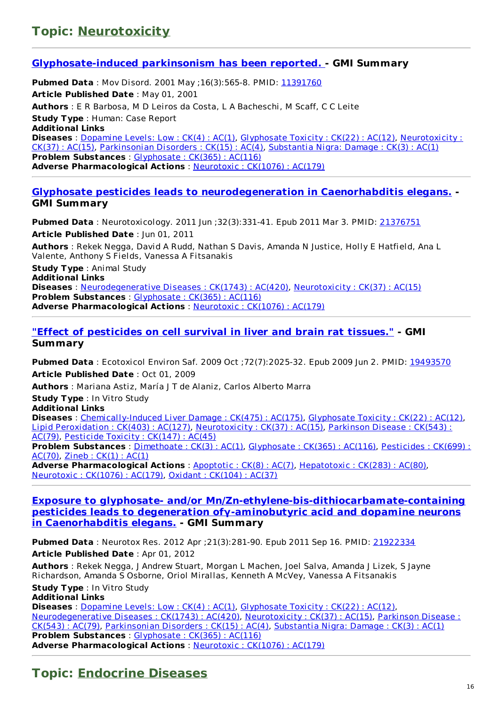### **Topic: [Neurotoxicity](http://www.greenmedinfo.com/disease/neurotoxicity)**

#### **[Glyphosate-induced](http://www.ncbi.nlm.nih.gov/pubmed/11391760) parkinsonism has been reported. - GMI Summary**

**Pubmed Data** : Mov Disord. 2001 May ; 16(3): 565-8. PMID: [11391760](http://www.ncbi.nlm.nih.gov/pubmed/11391760) **Article Published Date** : May 01, 2001 **Authors** : E R Barbosa, M D Leiros da Costa, L A Bacheschi, M Scaff, C C Leite **Study Type** : Human: Case Report **Additional Links Diseases** : <u>[Dopamine](http://www.greenmedinfo.com/disease/dopamine-levels-low) Levels: Low : CK(4) : AC(1)</u>, [Glyphosate](http://www.greenmedinfo.com/disease/glyphosate-toxicity) Toxicity : CK(22) : AC(12), [Neurotoxicity](http://www.greenmedinfo.com/disease/neurotoxicity) : CK(37) : AC(15), [Parkinsonian](http://www.greenmedinfo.com/disease/parkinsonian-disorders) Disorders : CK(15) : AC(4), [Substantia](http://www.greenmedinfo.com/disease/substantia-nigra-damage) Nigra: Damage : CK(3) : AC(1) **Problem Substances** : [Glyphosate](http://www.greenmedinfo.com/toxic-ingredient/glyphosate) : CK(365) : AC(116) **Adverse Pharmacological Actions** : [Neurotoxic](http://www.greenmedinfo.com/adverse-pharmacological-action/neurotoxic) : CK(1076) : AC(179)

#### **Glyphosate pesticides leads to [neurodegeneration](http://www.ncbi.nlm.nih.gov/pubmed/21376751) in Caenorhabditis elegans. - GMI Summary**

**Pubmed Data** : Neurotoxicology. 2011 Jun ;32(3):331-41. Epub 2011 Mar 3. PMID: [21376751](http://www.ncbi.nlm.nih.gov/pubmed/21376751) **Article Published Date** : Jun 01, 2011

**Authors** : Rekek Negga, David A Rudd, Nathan S Davis, Amanda N Justice, Holly E Hatfield, Ana L Valente, Anthony S Fields, Vanessa A Fitsanakis

**Study Type** : Animal Study **Additional Links Diseases** : [Neurodegenerative](http://www.greenmedinfo.com/disease/neurodegenerative-diseases) Diseases : CK(1743) : AC(420), [Neurotoxicity](http://www.greenmedinfo.com/disease/neurotoxicity) : CK(37) : AC(15) **Problem Substances** : [Glyphosate](http://www.greenmedinfo.com/toxic-ingredient/glyphosate) : CK(365) : AC(116) **Adverse Pharmacological Actions** : [Neurotoxic](http://www.greenmedinfo.com/adverse-pharmacological-action/neurotoxic) : CK(1076) : AC(179)

#### **"Effect of [pesticides](http://www.ncbi.nlm.nih.gov/pubmed/19493570) on cell survival in liver and brain rat tissues." - GMI Summary**

**Pubmed Data** : Ecotoxicol Environ Saf. 2009 Oct ;72(7):2025-32. Epub 2009 Jun 2. PMID: [19493570](http://www.ncbi.nlm.nih.gov/pubmed/19493570) **Article Published Date** : Oct 01, 2009

**Authors** : Mariana Astiz, María J T de Alaniz, Carlos Alberto Marra

**Study Type** : In Vitro Study

**Additional Links**

**Diseases** : [Chemically-Induced](http://www.greenmedinfo.com/disease/chemically-induced-liver-damage) Liver Damage : CK(475) : AC(175), [Glyphosate](http://www.greenmedinfo.com/disease/glyphosate-toxicity) Toxicity : CK(22) : AC(12), Lipid [Peroxidation](http://www.greenmedinfo.com/disease/lipid-peroxidation) : CK(403) : AC(127), [Neurotoxicity](http://www.greenmedinfo.com/disease/parkinson-disease) : CK(37) : AC(15), Parkinson Disease : CK(543) : AC(79), [Pesticide](http://www.greenmedinfo.com/disease/pesticide-toxicity) Toxicity : CK(147) : AC(45) **Problem [Substances](http://www.greenmedinfo.com/toxic-ingredient/pesticides)** : [Dimethoate](http://www.greenmedinfo.com/toxic-ingredient/dimethoate) : CK(3) : AC(1), [Glyphosate](http://www.greenmedinfo.com/toxic-ingredient/glyphosate) : CK(365) : AC(116), Pesticides : CK(699) :

AC(70), [Zineb](http://www.greenmedinfo.com/toxic-ingredient/zineb) : CK(1) : AC(1) **Adverse Pharmacological Actions** : [Apoptotic](http://www.greenmedinfo.com/adverse-pharmacological-action/apoptotic) : CK(8) : AC(7), [Hepatotoxic](http://www.greenmedinfo.com/adverse-pharmacological-action/hepatotoxic) : CK(283) : AC(80), [Neurotoxic](http://www.greenmedinfo.com/adverse-pharmacological-action/neurotoxic) : CK(1076) : AC(179), Oxidant : [CK\(104\)](http://www.greenmedinfo.com/adverse-pharmacological-action/oxidant) : AC(37)

#### **Exposure to glyphosate- and/or [Mn/Zn-ethylene-bis-dithiocarbamate-containing](http://www.ncbi.nlm.nih.gov/pubmed/21922334) pesticides leads to degeneration ofγ-aminobutyric acid and dopamine neurons in Caenorhabditis elegans. - GMI Summary**

**Pubmed Data** : Neurotox Res. 2012 Apr ;21(3):281-90. Epub 2011 Sep 16. PMID: [21922334](http://www.ncbi.nlm.nih.gov/pubmed/21922334) **Article Published Date** : Apr 01, 2012

**Authors** : Rekek Negga, J Andrew Stuart, Morgan L Machen, Joel Salva, Amanda J Lizek, S Jayne Richardson, Amanda S Osborne, Oriol Mirallas, Kenneth A McVey, Vanessa A Fitsanakis

**Study Type** : In Vitro Study

#### **Additional Links**

**Diseases** : [Dopamine](http://www.greenmedinfo.com/disease/dopamine-levels-low) Levels: Low : CK(4) : AC(1), [Glyphosate](http://www.greenmedinfo.com/disease/glyphosate-toxicity) Toxicity : CK(22) : AC(12), [Neurodegenerative](http://www.greenmedinfo.com/disease/parkinson-disease) Diseases : CK(1743) : AC(420), [Neurotoxicity](http://www.greenmedinfo.com/disease/neurotoxicity) : CK(37) : AC(15), Parkinson Disease : CK(543) : AC(79), [Parkinsonian](http://www.greenmedinfo.com/disease/parkinsonian-disorders) Disorders : CK(15) : AC(4), [Substantia](http://www.greenmedinfo.com/disease/substantia-nigra-damage) Nigra: Damage : CK(3) : AC(1) **Problem Substances** : [Glyphosate](http://www.greenmedinfo.com/toxic-ingredient/glyphosate) : CK(365) : AC(116) **Adverse Pharmacological Actions** : [Neurotoxic](http://www.greenmedinfo.com/adverse-pharmacological-action/neurotoxic) : CK(1076) : AC(179)

### **Topic: [Endocrine](http://www.greenmedinfo.com/disease/endocrine-diseases) Diseases**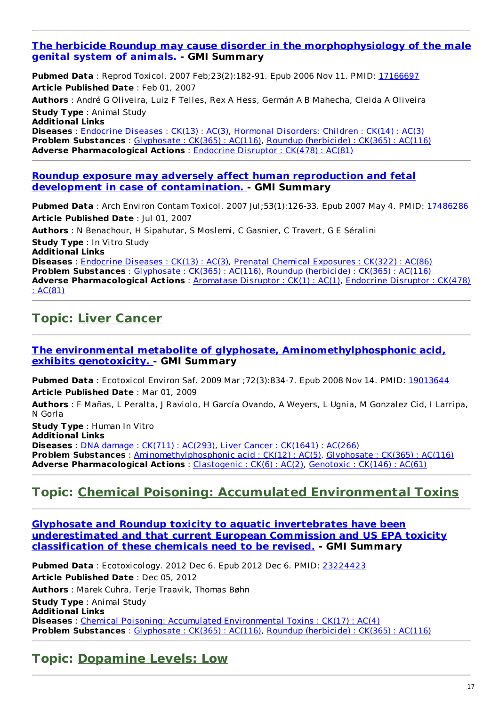#### **The herbicide Roundup may cause disorder in the [morphophysiology](http://www.ncbi.nlm.nih.gov/pubmed/17166697) of the male genital system of animals. - GMI Summary**

**Pubmed Data** : Reprod Toxicol. 2007 Feb;23(2):182-91. Epub 2006 Nov 11. PMID: [17166697](http://www.ncbi.nlm.nih.gov/pubmed/17166697) **Article Published Date** : Feb 01, 2007

**Authors** : André G Oliveira, Luiz F Telles, Rex A Hess, Germán A B Mahecha, Cleida A Oliveira **Study Type** : Animal Study

**Additional Links**

**Diseases** : [Endocrine](http://www.greenmedinfo.com/disease/endocrine-diseases) Diseases : CK(13) : AC(3), Hormonal [Disorders:](http://www.greenmedinfo.com/disease/hormonal-disorders-children) Children : CK(14) : AC(3) **Problem Substances** : [Glyphosate](http://www.greenmedinfo.com/toxic-ingredient/glyphosate) : CK(365) : AC(116), Roundup [\(herbicide\)](http://www.greenmedinfo.com/toxic-ingredient/roundup-herbicide) : CK(365) : AC(116) **Adverse Pharmacological Actions** : [Endocrine](http://www.greenmedinfo.com/adverse-pharmacological-action/endocrine-disruptor) Disruptor : CK(478) : AC(81)

#### **Roundup exposure may adversely affect human reproduction and fetal development in case of [contamination.](http://www.ncbi.nlm.nih.gov/pubmed/17486286) - GMI Summary**

**Pubmed Data**: Arch Environ Contam Toxicol. 2007 Jul;53(1):126-33. Epub 2007 May 4. PMID: [17486286](http://www.ncbi.nlm.nih.gov/pubmed/17486286) **Article Published Date** : Jul 01, 2007

**Authors** : N Benachour, H Sipahutar, S Moslemi, C Gasnier, C Travert, G E Séralini **Study Type** : In Vitro Study **Additional Links Diseases** : [Endocrine](http://www.greenmedinfo.com/disease/endocrine-diseases) Diseases : CK(13) : AC(3), Prenatal Chemical [Exposures](http://www.greenmedinfo.com/disease/prenatal-chemical-exposures) : CK(322) : AC(86) **Problem Substances** : [Glyphosate](http://www.greenmedinfo.com/toxic-ingredient/glyphosate) : CK(365) : AC(116), Roundup [\(herbicide\)](http://www.greenmedinfo.com/toxic-ingredient/roundup-herbicide) : CK(365) : AC(116) **Adverse [Pharmacological](http://www.greenmedinfo.com/adverse-pharmacological-action/endocrine-disruptor) Actions** : [Aromatase](http://www.greenmedinfo.com/adverse-pharmacological-action/aromatase-disruptor) Disruptor : CK(1) : AC(1), Endocrine Disruptor : CK(478) : AC(81)

### **Topic: Liver [Cancer](http://www.greenmedinfo.com/disease/liver-cancer)**

#### **The environmental metabolite of glyphosate, [Aminomethylphosphonic](http://www.ncbi.nlm.nih.gov/pubmed/19013644) acid, exhibits genotoxicity. - GMI Summary**

**Pubmed Data** : Ecotoxicol Environ Saf. 2009 Mar ; 72(3):834-7. Epub 2008 Nov 14. PMID: [19013644](http://www.ncbi.nlm.nih.gov/pubmed/19013644) **Article Published Date** : Mar 01, 2009

**Authors** : F Mañas, L Peralta, J Raviolo, H García Ovando, A Weyers, L Ugnia, M Gonzalez Cid, I Larripa, N Gorla

**Study Type** : Human In Vitro **Additional Links Diseases** : DNA damage : CK(711) : [AC\(293\)](http://www.greenmedinfo.com/disease/dna-damage), Liver Cancer : [CK\(1641\)](http://www.greenmedinfo.com/disease/liver-cancer) : AC(266) **Problem Substances** : [Aminomethylphosphonic](http://www.greenmedinfo.com/toxic-ingredient/aminomethylphosphonic-acid) acid : CK(12) : AC(5), [Glyphosate](http://www.greenmedinfo.com/toxic-ingredient/glyphosate) : CK(365) : AC(116) **Adverse Pharmacological Actions** : [Clastogenic](http://www.greenmedinfo.com/adverse-pharmacological-action/clastogenic) : CK(6) : AC(2), [Genotoxic](http://www.greenmedinfo.com/adverse-pharmacological-action/genotoxic) : CK(146) : AC(61)

### **Topic: Chemical Poisoning: Accumulated [Environmental](http://www.greenmedinfo.com/disease/chemical-poisoning-accumulated-environmental-toxins) Toxins**

**Glyphosate and Roundup toxicity to aquatic invertebrates have been [underestimated](http://www.ncbi.nlm.nih.gov/pubmed/23224423) and that current European Commission and US EPA toxicity classification of these chemicals need to be revised. - GMI Summary**

**Pubmed Data** : Ecotoxicology. 2012 Dec 6. Epub 2012 Dec 6. PMID: [23224423](http://www.ncbi.nlm.nih.gov/pubmed/23224423) **Article Published Date** : Dec 05, 2012 **Authors** : Marek Cuhra, Terje Traavik, Thomas Bøhn **Study Type** : Animal Study **Additional Links Diseases** : Chemical Poisoning: Accumulated [Environmental](http://www.greenmedinfo.com/disease/chemical-poisoning-accumulated-environmental-toxins) Toxins : CK(17) : AC(4) **Problem Substances** : [Glyphosate](http://www.greenmedinfo.com/toxic-ingredient/glyphosate) : CK(365) : AC(116), Roundup [\(herbicide\)](http://www.greenmedinfo.com/toxic-ingredient/roundup-herbicide) : CK(365) : AC(116)

### **Topic: [Dopamine](http://www.greenmedinfo.com/disease/dopamine-levels-low) Levels: Low**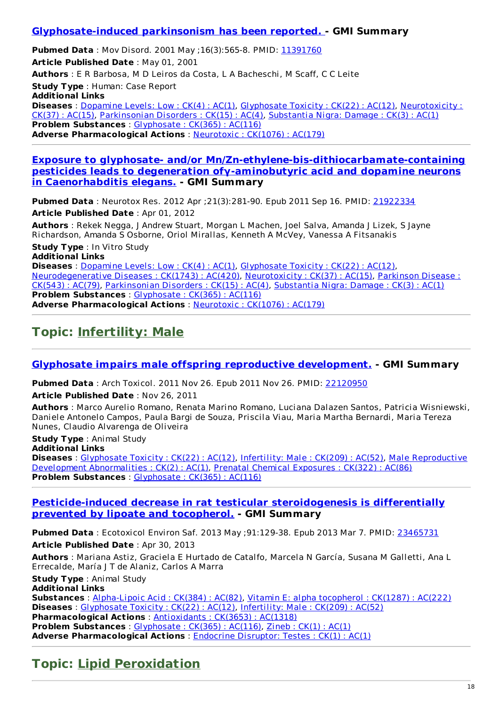#### **[Glyphosate-induced](http://www.ncbi.nlm.nih.gov/pubmed/11391760) parkinsonism has been reported. - GMI Summary**

**Pubmed Data** : Mov Disord. 2001 May ;16(3):565-8. PMID: [11391760](http://www.ncbi.nlm.nih.gov/pubmed/11391760) **Article Published Date** : May 01, 2001 **Authors** : E R Barbosa, M D Leiros da Costa, L A Bacheschi, M Scaff, C C Leite **Study Type** : Human: Case Report **Additional Links Diseases** : [Dopamine](http://www.greenmedinfo.com/disease/dopamine-levels-low) Levels: Low : CK(4) : AC(1), [Glyphosate](http://www.greenmedinfo.com/disease/glyphosate-toxicity) Toxicity : CK(22) : AC(12), [Neurotoxicity](http://www.greenmedinfo.com/disease/neurotoxicity) : CK(37) : AC(15), [Parkinsonian](http://www.greenmedinfo.com/disease/parkinsonian-disorders) Disorders : CK(15) : AC(4), [Substantia](http://www.greenmedinfo.com/disease/substantia-nigra-damage) Nigra: Damage : CK(3) : AC(1) **Problem Substances** : [Glyphosate](http://www.greenmedinfo.com/toxic-ingredient/glyphosate) : CK(365) : AC(116) **Adverse Pharmacological Actions** : [Neurotoxic](http://www.greenmedinfo.com/adverse-pharmacological-action/neurotoxic) : CK(1076) : AC(179)

**Exposure to glyphosate- and/or [Mn/Zn-ethylene-bis-dithiocarbamate-containing](http://www.ncbi.nlm.nih.gov/pubmed/21922334) pesticides leads to degeneration ofγ-aminobutyric acid and dopamine neurons in Caenorhabditis elegans. - GMI Summary**

**Pubmed Data** : Neurotox Res. 2012 Apr ;21(3):281-90. Epub 2011 Sep 16. PMID: [21922334](http://www.ncbi.nlm.nih.gov/pubmed/21922334) **Article Published Date** : Apr 01, 2012

**Authors** : Rekek Negga, J Andrew Stuart, Morgan L Machen, Joel Salva, Amanda J Lizek, S Jayne Richardson, Amanda S Osborne, Oriol Mirallas, Kenneth A McVey, Vanessa A Fitsanakis

**Study Type** : In Vitro Study

**Additional Links**

**Diseases** : [Dopamine](http://www.greenmedinfo.com/disease/dopamine-levels-low) Levels: Low : CK(4) : AC(1), [Glyphosate](http://www.greenmedinfo.com/disease/glyphosate-toxicity) Toxicity : CK(22) : AC(12), [Neurodegenerative](http://www.greenmedinfo.com/disease/parkinson-disease) Diseases : CK(1743) : AC(420), [Neurotoxicity](http://www.greenmedinfo.com/disease/neurotoxicity) : CK(37) : AC(15), Parkinson Disease : CK(543) : AC(79), [Parkinsonian](http://www.greenmedinfo.com/disease/parkinsonian-disorders) Disorders : CK(15) : AC(4), [Substantia](http://www.greenmedinfo.com/disease/substantia-nigra-damage) Nigra: Damage : CK(3) : AC(1) **Problem Substances** : [Glyphosate](http://www.greenmedinfo.com/toxic-ingredient/glyphosate) : CK(365) : AC(116) **Adverse Pharmacological Actions** : [Neurotoxic](http://www.greenmedinfo.com/adverse-pharmacological-action/neurotoxic) : CK(1076) : AC(179)

### **Topic: [Infertility:](http://www.greenmedinfo.com/disease/infertility-male) Male**

#### **Glyphosate impairs male offspring reproductive [development.](http://www.ncbi.nlm.nih.gov/pubmed/22120950) - GMI Summary**

**Pubmed Data** : Arch Toxicol. 2011 Nov 26. Epub 2011 Nov 26. PMID: [22120950](http://www.ncbi.nlm.nih.gov/pubmed/22120950)

**Article Published Date** : Nov 26, 2011

**Authors** : Marco Aurelio Romano, Renata Marino Romano, Luciana Dalazen Santos, Patricia Wisniewski, Daniele Antonelo Campos, Paula Bargi de Souza, Priscila Viau, Maria Martha Bernardi, Maria Tereza Nunes, Claudio Alvarenga de Oliveira

**Study Type** : Animal Study **Additional Links Diseases** : [Glyphosate](http://www.greenmedinfo.com/disease/glyphosate-toxicity) Toxicity : CK(22) : AC(12), [Infertility:](http://www.greenmedinfo.com/disease/infertility-male) Male : CK(209) : AC(52), Male [Reproductive](http://www.greenmedinfo.com/disease/male-reproductive-development-abnormalities) Development Abnormalities : CK(2) : AC(1), Prenatal Chemical [Exposures](http://www.greenmedinfo.com/disease/prenatal-chemical-exposures) : CK(322) : AC(86) **Problem Substances** : [Glyphosate](http://www.greenmedinfo.com/toxic-ingredient/glyphosate) : CK(365) : AC(116)

#### **[Pesticide-induced](http://www.ncbi.nlm.nih.gov/pubmed/23465731) decrease in rat testicular steroidogenesis is differentially prevented by lipoate and tocopherol. - GMI Summary**

**Pubmed Data** : Ecotoxicol Environ Saf. 2013 May ;91:129-38. Epub 2013 Mar 7. PMID: [23465731](http://www.ncbi.nlm.nih.gov/pubmed/23465731) **Article Published Date** : Apr 30, 2013

**Authors** : Mariana Astiz, Graciela E Hurtado de Catalfo, Marcela N García, Susana M Galletti, Ana L Errecalde, María J T de Alaniz, Carlos A Marra

**Study Type** : Animal Study **Additional Links**

**Substances** : [Alpha-Lipoic](http://www.greenmedinfo.com/substance/alpha-lipoic-acid) Acid : CK(384) : AC(82), Vitamin E: alpha [tocopherol](http://www.greenmedinfo.com/substance/vitamin-e-alpha-tocopherol) : CK(1287) : AC(222) **Diseases** : [Glyphosate](http://www.greenmedinfo.com/disease/glyphosate-toxicity) Toxicity : CK(22) : AC(12), [Infertility:](http://www.greenmedinfo.com/disease/infertility-male) Male : CK(209) : AC(52) **Pharmacological Actions** : [Antioxidants](http://www.greenmedinfo.com/pharmacological-action/antioxidants) : CK(3653) : AC(1318) **Problem Substances** : [Glyphosate](http://www.greenmedinfo.com/toxic-ingredient/glyphosate) : CK(365) : AC(116), [Zineb](http://www.greenmedinfo.com/toxic-ingredient/zineb) : CK(1) : AC(1) **Adverse Pharmacological Actions** : Endocrine [Disruptor:](http://www.greenmedinfo.com/adverse-pharmacological-action/endocrine-disruptor-testes) Testes : CK(1) : AC(1)

## **Topic: Lipid [Peroxidation](http://www.greenmedinfo.com/disease/lipid-peroxidation)**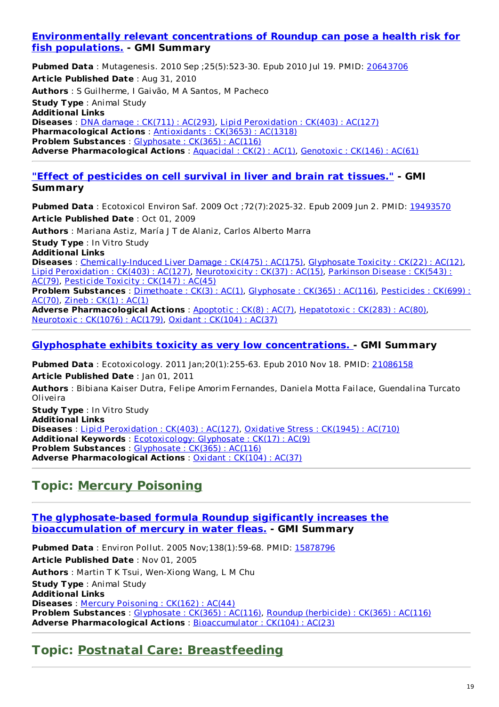#### **[Environmentally](http://www.ncbi.nlm.nih.gov/pubmed/20643706) relevant concentrations of Roundup can pose a health risk for fish populations. - GMI Summary**

**Pubmed Data** : Mutagenesis. 2010 Sep ;25(5):523-30. Epub 2010 Jul 19. PMID: [20643706](http://www.ncbi.nlm.nih.gov/pubmed/20643706) **Article Published Date** : Aug 31, 2010 **Authors** : S Guilherme, I Gaivão, M A Santos, M Pacheco **Study Type** : Animal Study **Additional Links Diseases** : DNA damage : CK(711) : [AC\(293\)](http://www.greenmedinfo.com/disease/dna-damage), Lipid [Peroxidation](http://www.greenmedinfo.com/disease/lipid-peroxidation) : CK(403) : AC(127) **Pharmacological Actions** : [Antioxidants](http://www.greenmedinfo.com/pharmacological-action/antioxidants) : CK(3653) : AC(1318) **Problem Substances** : [Glyphosate](http://www.greenmedinfo.com/toxic-ingredient/glyphosate) : CK(365) : AC(116) **Adverse Pharmacological Actions** : [Aquacidal](http://www.greenmedinfo.com/adverse-pharmacological-action/aquacidal) : CK(2) : AC(1), [Genotoxic](http://www.greenmedinfo.com/adverse-pharmacological-action/genotoxic) : CK(146) : AC(61)

#### **"Effect of [pesticides](http://www.ncbi.nlm.nih.gov/pubmed/19493570) on cell survival in liver and brain rat tissues." - GMI Summary**

**Pubmed Data** : Ecotoxicol Environ Saf. 2009 Oct ; 72(7):2025-32. Epub 2009 Jun 2. PMID: [19493570](http://www.ncbi.nlm.nih.gov/pubmed/19493570) **Article Published Date** : Oct 01, 2009

**Authors** : Mariana Astiz, María J T de Alaniz, Carlos Alberto Marra

**Study Type** : In Vitro Study

**Additional Links Diseases** : [Chemically-Induced](http://www.greenmedinfo.com/disease/chemically-induced-liver-damage) Liver Damage : CK(475) : AC(175), [Glyphosate](http://www.greenmedinfo.com/disease/glyphosate-toxicity) Toxicity : CK(22) : AC(12), Lipid [Peroxidation](http://www.greenmedinfo.com/disease/lipid-peroxidation) : CK(403) : AC(127), [Neurotoxicity](http://www.greenmedinfo.com/disease/parkinson-disease) : CK(37) : AC(15), Parkinson Disease : CK(543) : AC(79), [Pesticide](http://www.greenmedinfo.com/disease/pesticide-toxicity) Toxicity : CK(147) : AC(45)

**Problem [Substances](http://www.greenmedinfo.com/toxic-ingredient/pesticides)** : [Dimethoate](http://www.greenmedinfo.com/toxic-ingredient/dimethoate) : CK(3) : AC(1), [Glyphosate](http://www.greenmedinfo.com/toxic-ingredient/glyphosate) : CK(365) : AC(116), Pesticides : CK(699) : AC(70), [Zineb](http://www.greenmedinfo.com/toxic-ingredient/zineb) : CK(1) : AC(1)

**Adverse Pharmacological Actions** : [Apoptotic](http://www.greenmedinfo.com/adverse-pharmacological-action/apoptotic) : CK(8) : AC(7), [Hepatotoxic](http://www.greenmedinfo.com/adverse-pharmacological-action/hepatotoxic) : CK(283) : AC(80), [Neurotoxic](http://www.greenmedinfo.com/adverse-pharmacological-action/neurotoxic) : CK(1076) : AC(179), Oxidant : [CK\(104\)](http://www.greenmedinfo.com/adverse-pharmacological-action/oxidant) : AC(37)

#### **Glyphosphate exhibits toxicity as very low [concentrations.](http://www.ncbi.nlm.nih.gov/pubmed/21086158) - GMI Summary**

**Pubmed Data** : Ecotoxicology. 2011 Jan;20(1):255-63. Epub 2010 Nov 18. PMID: [21086158](http://www.ncbi.nlm.nih.gov/pubmed/21086158)

**Article Published Date** : Jan 01, 2011

**Authors** : Bibiana Kaiser Dutra, Felipe Amorim Fernandes, Daniela Motta Failace, Guendalina Turcato Oliveira

**Study Type** : In Vitro Study **Additional Links Diseases** : Lipid [Peroxidation](http://www.greenmedinfo.com/disease/lipid-peroxidation) : CK(403) : AC(127), [Oxidative](http://www.greenmedinfo.com/disease/oxidative-stress) Stress : CK(1945) : AC(710) **Additional Keywords** : [Ecotoxicology:](http://www.greenmedinfo.com/keyword/ecotoxicology-glyphosate) Glyphosate : CK(17) : AC(9) **Problem Substances** : [Glyphosate](http://www.greenmedinfo.com/toxic-ingredient/glyphosate) : CK(365) : AC(116) **Adverse Pharmacological Actions** : Oxidant : [CK\(104\)](http://www.greenmedinfo.com/adverse-pharmacological-action/oxidant) : AC(37)

### **Topic: Mercury [Poisoning](http://www.greenmedinfo.com/disease/mercury-poisoning)**

#### **The [glyphosate-based](http://www.ncbi.nlm.nih.gov/pubmed/15878796) formula Roundup sigificantly increases the bioaccumulation of mercury in water fleas. - GMI Summary**

**Pubmed Data** : Environ Pollut. 2005 Nov;138(1):59-68. PMID: [15878796](http://www.ncbi.nlm.nih.gov/pubmed/15878796) **Article Published Date** : Nov 01, 2005 **Authors** : Martin T K Tsui, Wen-Xiong Wang, L M Chu **Study Type** : Animal Study **Additional Links Diseases** : Mercury [Poisoning](http://www.greenmedinfo.com/disease/mercury-poisoning) : CK(162) : AC(44) **Problem Substances** : [Glyphosate](http://www.greenmedinfo.com/toxic-ingredient/glyphosate) : CK(365) : AC(116), Roundup [\(herbicide\)](http://www.greenmedinfo.com/toxic-ingredient/roundup-herbicide) : CK(365) : AC(116) **Adverse Pharmacological Actions** : [Bioaccumulator](http://www.greenmedinfo.com/adverse-pharmacological-action/bioaccumulator) : CK(104) : AC(23)

### **Topic: Postnatal Care: [Breastfeeding](http://www.greenmedinfo.com/disease/postnatal-care-breastfeeding)**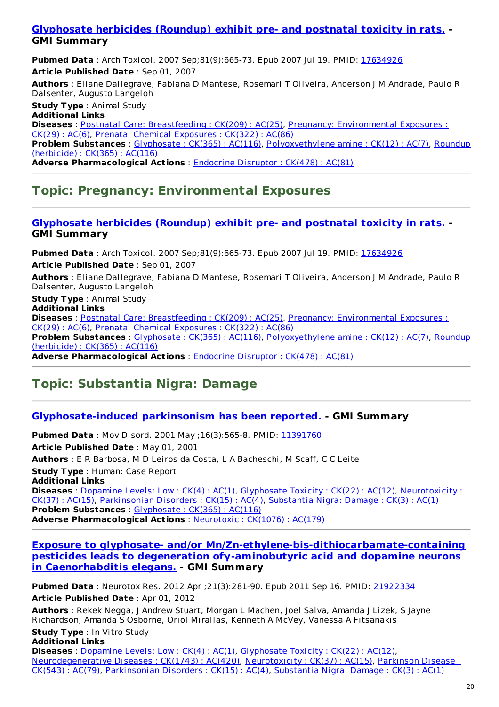#### **[Glyphosate](http://www.ncbi.nlm.nih.gov/pubmed/17634926) herbicides (Roundup) exhibit pre- and postnatal toxicity in rats. - GMI Summary**

**Pubmed Data**: Arch Toxicol. 2007 Sep;81(9):665-73. Epub 2007 Jul 19. PMID: [17634926](http://www.ncbi.nlm.nih.gov/pubmed/17634926) **Article Published Date** : Sep 01, 2007

**Authors** : Eliane Dallegrave, Fabiana D Mantese, Rosemari T Oliveira, Anderson J M Andrade, Paulo R Dalsenter, Augusto Langeloh

**Study Type** : Animal Study **Additional Links Diseases** : Postnatal Care: [Breastfeeding](http://www.greenmedinfo.com/disease/postnatal-care-breastfeeding) : CK(209) : AC(25), Pregnancy: [Environmental](http://www.greenmedinfo.com/disease/pregnancy-environmental-exposures) Exposures : CK(29) : AC(6), Prenatal Chemical [Exposures](http://www.greenmedinfo.com/disease/prenatal-chemical-exposures) : CK(322) : AC(86) **Problem Substances** : [Glyphosate](http://www.greenmedinfo.com/toxic-ingredient/glyphosate) : CK(365) : AC(116), [Polyoxyethylene](http://www.greenmedinfo.com/toxic-ingredient/roundup-herbicide) amine : CK(12) : AC(7), Roundup (herbicide) : CK(365) : AC(116) **Adverse Pharmacological Actions** : [Endocrine](http://www.greenmedinfo.com/adverse-pharmacological-action/endocrine-disruptor) Disruptor : CK(478) : AC(81)

## **Topic: Pregnancy: [Environmental](http://www.greenmedinfo.com/disease/pregnancy-environmental-exposures) Exposures**

#### **[Glyphosate](http://www.ncbi.nlm.nih.gov/pubmed/17634926) herbicides (Roundup) exhibit pre- and postnatal toxicity in rats. - GMI Summary**

**Pubmed Data** : Arch Toxicol. 2007 Sep;81(9):665-73. Epub 2007 Jul 19. PMID: [17634926](http://www.ncbi.nlm.nih.gov/pubmed/17634926) **Article Published Date** : Sep 01, 2007

**Authors** : Eliane Dallegrave, Fabiana D Mantese, Rosemari T Oliveira, Anderson J M Andrade, Paulo R Dalsenter, Augusto Langeloh

**Study Type** : Animal Study

**Additional Links Diseases** : Postnatal Care: [Breastfeeding](http://www.greenmedinfo.com/disease/postnatal-care-breastfeeding) : CK(209) : AC(25), Pregnancy: [Environmental](http://www.greenmedinfo.com/disease/pregnancy-environmental-exposures) Exposures : CK(29) : AC(6), Prenatal Chemical [Exposures](http://www.greenmedinfo.com/disease/prenatal-chemical-exposures) : CK(322) : AC(86) **Problem Substances** : [Glyphosate](http://www.greenmedinfo.com/toxic-ingredient/glyphosate) : CK(365) : AC(116), [Polyoxyethylene](http://www.greenmedinfo.com/toxic-ingredient/roundup-herbicide) amine : CK(12) : AC(7), Roundup (herbicide) : CK(365) : AC(116) **Adverse Pharmacological Actions** : [Endocrine](http://www.greenmedinfo.com/adverse-pharmacological-action/endocrine-disruptor) Disruptor : CK(478) : AC(81)

## **Topic: [Substantia](http://www.greenmedinfo.com/disease/substantia-nigra-damage) Nigra: Damage**

#### **[Glyphosate-induced](http://www.ncbi.nlm.nih.gov/pubmed/11391760) parkinsonism has been reported. - GMI Summary**

**Pubmed Data** : Mov Disord. 2001 May ; 16(3): 565-8. PMID: [11391760](http://www.ncbi.nlm.nih.gov/pubmed/11391760) **Article Published Date** : May 01, 2001 **Authors** : E R Barbosa, M D Leiros da Costa, L A Bacheschi, M Scaff, C C Leite **Study Type** : Human: Case Report **Additional Links Diseases** : [Dopamine](http://www.greenmedinfo.com/disease/dopamine-levels-low) Levels: Low : CK(4) : AC(1), [Glyphosate](http://www.greenmedinfo.com/disease/glyphosate-toxicity) Toxicity : CK(22) : AC(12), [Neurotoxicity](http://www.greenmedinfo.com/disease/neurotoxicity) : CK(37) : AC(15), [Parkinsonian](http://www.greenmedinfo.com/disease/parkinsonian-disorders) Disorders : CK(15) : AC(4), [Substantia](http://www.greenmedinfo.com/disease/substantia-nigra-damage) Nigra: Damage : CK(3) : AC(1) **Problem Substances** : [Glyphosate](http://www.greenmedinfo.com/toxic-ingredient/glyphosate) : CK(365) : AC(116) **Adverse Pharmacological Actions** : [Neurotoxic](http://www.greenmedinfo.com/adverse-pharmacological-action/neurotoxic) : CK(1076) : AC(179)

**Exposure to glyphosate- and/or [Mn/Zn-ethylene-bis-dithiocarbamate-containing](http://www.ncbi.nlm.nih.gov/pubmed/21922334) pesticides leads to degeneration ofγ-aminobutyric acid and dopamine neurons in Caenorhabditis elegans. - GMI Summary**

**Pubmed Data** : Neurotox Res. 2012 Apr ;21(3):281-90. Epub 2011 Sep 16. PMID: [21922334](http://www.ncbi.nlm.nih.gov/pubmed/21922334) **Article Published Date** : Apr 01, 2012

**Authors** : Rekek Negga, J Andrew Stuart, Morgan L Machen, Joel Salva, Amanda J Lizek, S Jayne Richardson, Amanda S Osborne, Oriol Mirallas, Kenneth A McVey, Vanessa A Fitsanakis

#### **Study Type** : In Vitro Study **Additional Links**

**Diseases** : [Dopamine](http://www.greenmedinfo.com/disease/dopamine-levels-low) Levels: Low : CK(4) : AC(1), [Glyphosate](http://www.greenmedinfo.com/disease/glyphosate-toxicity) Toxicity : CK(22) : AC(12), [Neurodegenerative](http://www.greenmedinfo.com/disease/parkinson-disease) Diseases : CK(1743) : AC(420), [Neurotoxicity](http://www.greenmedinfo.com/disease/neurotoxicity) : CK(37) : AC(15), Parkinson Disease : CK(543) : AC(79), [Parkinsonian](http://www.greenmedinfo.com/disease/parkinsonian-disorders) Disorders : CK(15) : AC(4), [Substantia](http://www.greenmedinfo.com/disease/substantia-nigra-damage) Nigra: Damage : CK(3) : AC(1)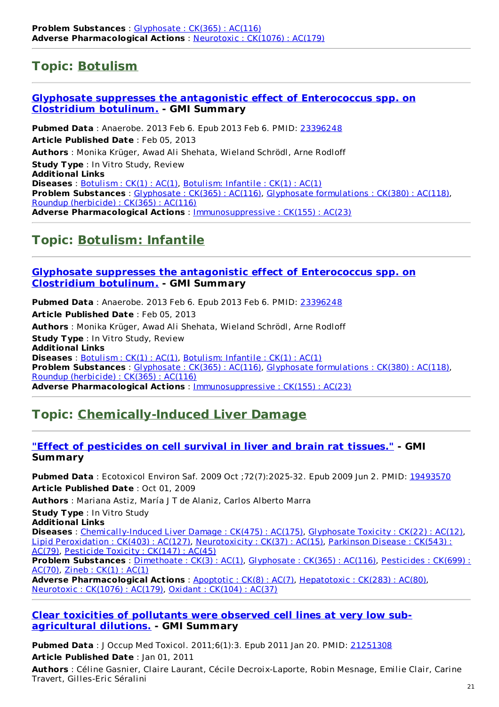## **Topic: [Botulism](http://www.greenmedinfo.com/disease/botulism)**

#### **Glyphosate suppresses the antagonistic effect of [Enterococcus](http://www.ncbi.nlm.nih.gov/pubmed/23396248) spp. on Clostridium botulinum. - GMI Summary**

**Pubmed Data** : Anaerobe. 2013 Feb 6. Epub 2013 Feb 6. PMID: [23396248](http://www.ncbi.nlm.nih.gov/pubmed/23396248) **Article Published Date** : Feb 05, 2013 **Authors** : Monika Krüger, Awad Ali Shehata, Wieland Schrödl, Arne Rodloff **Study Type** : In Vitro Study, Review **Additional Links Diseases** : [Botulism](http://www.greenmedinfo.com/disease/botulism) : CK(1) : AC(1), [Botulism:](http://www.greenmedinfo.com/disease/botulism-infantile) Infantile : CK(1) : AC(1) **Problem Substances** : [Glyphosate](http://www.greenmedinfo.com/toxic-ingredient/glyphosate) : CK(365) : AC(116), Glyphosate [formulations](http://www.greenmedinfo.com/toxic-ingredient/glyphosate-formulations) : CK(380) : AC(118), Roundup [\(herbicide\)](http://www.greenmedinfo.com/toxic-ingredient/roundup-herbicide) : CK(365) : AC(116) **Adverse Pharmacological Actions** : [Immunosuppressive](http://www.greenmedinfo.com/adverse-pharmacological-action/immunosuppressive) : CK(155) : AC(23)

### **Topic: [Botulism:](http://www.greenmedinfo.com/disease/botulism-infantile) Infantile**

#### **Glyphosate suppresses the antagonistic effect of [Enterococcus](http://www.ncbi.nlm.nih.gov/pubmed/23396248) spp. on Clostridium botulinum. - GMI Summary**

**Pubmed Data** : Anaerobe. 2013 Feb 6. Epub 2013 Feb 6. PMID: [23396248](http://www.ncbi.nlm.nih.gov/pubmed/23396248) **Article Published Date** : Feb 05, 2013 **Authors** : Monika Krüger, Awad Ali Shehata, Wieland Schrödl, Arne Rodloff **Study Type** : In Vitro Study, Review **Additional Links Diseases** : [Botulism](http://www.greenmedinfo.com/disease/botulism) : CK(1) : AC(1), [Botulism:](http://www.greenmedinfo.com/disease/botulism-infantile) Infantile : CK(1) : AC(1) **Problem Substances** : [Glyphosate](http://www.greenmedinfo.com/toxic-ingredient/glyphosate) : CK(365) : AC(116), Glyphosate [formulations](http://www.greenmedinfo.com/toxic-ingredient/glyphosate-formulations) : CK(380) : AC(118), Roundup [\(herbicide\)](http://www.greenmedinfo.com/toxic-ingredient/roundup-herbicide) : CK(365) : AC(116) **Adverse Pharmacological Actions** : [Immunosuppressive](http://www.greenmedinfo.com/adverse-pharmacological-action/immunosuppressive) : CK(155) : AC(23)

## **Topic: [Chemically-Induced](http://www.greenmedinfo.com/disease/chemically-induced-liver-damage) Liver Damage**

#### **"Effect of [pesticides](http://www.ncbi.nlm.nih.gov/pubmed/19493570) on cell survival in liver and brain rat tissues." - GMI Summary**

**Pubmed Data** : Ecotoxicol Environ Saf. 2009 Oct ;72(7):2025-32. Epub 2009 Jun 2. PMID: [19493570](http://www.ncbi.nlm.nih.gov/pubmed/19493570) **Article Published Date** : Oct 01, 2009

**Authors** : Mariana Astiz, María J T de Alaniz, Carlos Alberto Marra

**Study Type** : In Vitro Study

**Additional Links**

**Diseases** : [Chemically-Induced](http://www.greenmedinfo.com/disease/chemically-induced-liver-damage) Liver Damage : CK(475) : AC(175), [Glyphosate](http://www.greenmedinfo.com/disease/glyphosate-toxicity) Toxicity : CK(22) : AC(12), Lipid [Peroxidation](http://www.greenmedinfo.com/disease/lipid-peroxidation) : CK(403) : AC(127), [Neurotoxicity](http://www.greenmedinfo.com/disease/parkinson-disease) : CK(37) : AC(15), Parkinson Disease : CK(543) : AC(79), [Pesticide](http://www.greenmedinfo.com/disease/pesticide-toxicity) Toxicity : CK(147) : AC(45)

**Problem [Substances](http://www.greenmedinfo.com/toxic-ingredient/pesticides)** : [Dimethoate](http://www.greenmedinfo.com/toxic-ingredient/dimethoate) : CK(3) : AC(1), [Glyphosate](http://www.greenmedinfo.com/toxic-ingredient/glyphosate) : CK(365) : AC(116), Pesticides : CK(699) : AC(70), [Zineb](http://www.greenmedinfo.com/toxic-ingredient/zineb) : CK(1) : AC(1)

**Adverse Pharmacological Actions** : [Apoptotic](http://www.greenmedinfo.com/adverse-pharmacological-action/apoptotic) : CK(8) : AC(7), [Hepatotoxic](http://www.greenmedinfo.com/adverse-pharmacological-action/hepatotoxic) : CK(283) : AC(80), [Neurotoxic](http://www.greenmedinfo.com/adverse-pharmacological-action/neurotoxic) : CK(1076) : AC(179), Oxidant : [CK\(104\)](http://www.greenmedinfo.com/adverse-pharmacological-action/oxidant) : AC(37)

#### **Clear toxicities of pollutants were observed cell lines at very low sub[agricultural](http://www.ncbi.nlm.nih.gov/pubmed/21251308) dilutions. - GMI Summary**

**Pubmed Data** : J Occup Med Toxicol. 2011;6(1):3. Epub 2011 Jan 20. PMID: [21251308](http://www.ncbi.nlm.nih.gov/pubmed/21251308) **Article Published Date** : Jan 01, 2011

**Authors** : Céline Gasnier, Claire Laurant, Cécile Decroix-Laporte, Robin Mesnage, Emilie Clair, Carine Travert, Gilles-Eric Séralini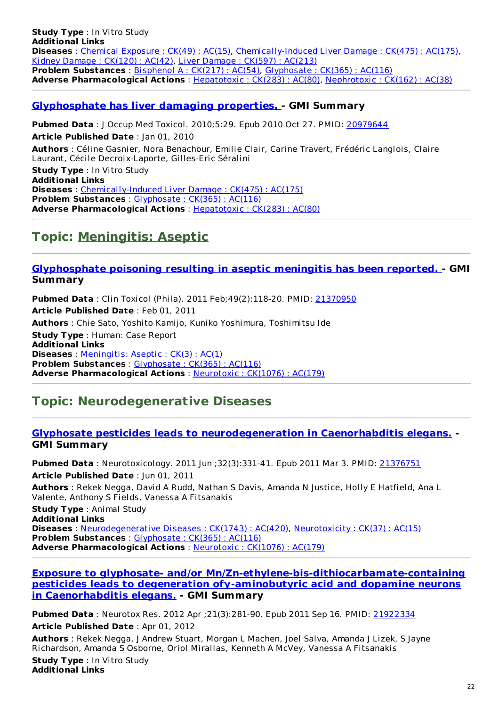**Study Type** : In Vitro Study **Additional Links Diseases** : Chemical [Exposure](http://www.greenmedinfo.com/disease/chemical-exposure) : CK(49) : AC(15), [Chemically-Induced](http://www.greenmedinfo.com/disease/chemically-induced-liver-damage) Liver Damage : CK(475) : AC(175), Kidney [Damage](http://www.greenmedinfo.com/disease/kidney-damage) : CK(120) : AC(42), Liver [Damage](http://www.greenmedinfo.com/disease/liver-damage) : CK(597) : AC(213) **Problem Substances** : [Bisphenol](http://www.greenmedinfo.com/toxic-ingredient/bisphenol) A : CK(217) : AC(54), [Glyphosate](http://www.greenmedinfo.com/toxic-ingredient/glyphosate) : CK(365) : AC(116) **Adverse Pharmacological Actions** : [Hepatotoxic](http://www.greenmedinfo.com/adverse-pharmacological-action/hepatotoxic) : CK(283) : AC(80), [Nephrotoxic](http://www.greenmedinfo.com/adverse-pharmacological-action/nephrotoxic) : CK(162) : AC(38)

#### **[Glyphosphate](http://www.ncbi.nlm.nih.gov/pubmed/20979644) has liver damaging properties, - GMI Summary**

**Pubmed Data** : J Occup Med Toxicol. 2010;5:29. Epub 2010 Oct 27. PMID: [20979644](http://www.ncbi.nlm.nih.gov/pubmed/20979644) **Article Published Date** : Jan 01, 2010 **Authors** : Céline Gasnier, Nora Benachour, Emilie Clair, Carine Travert, Frédéric Langlois, Claire Laurant, Cécile Decroix-Laporte, Gilles-Eric Séralini **Study Type** : In Vitro Study **Additional Links Diseases** : [Chemically-Induced](http://www.greenmedinfo.com/disease/chemically-induced-liver-damage) Liver Damage : CK(475) : AC(175) **Problem Substances** : [Glyphosate](http://www.greenmedinfo.com/toxic-ingredient/glyphosate) : CK(365) : AC(116) **Adverse Pharmacological Actions** : [Hepatotoxic](http://www.greenmedinfo.com/adverse-pharmacological-action/hepatotoxic) : CK(283) : AC(80)

### **Topic: [Meningitis:](http://www.greenmedinfo.com/disease/meningitis-aseptic) Aseptic**

#### **[Glyphosphate](http://www.ncbi.nlm.nih.gov/pubmed/21370950) poisoning resulting in aseptic meningitis has been reported. - GMI Summary**

**Pubmed Data** : Clin Toxicol (Phila). 2011 Feb;49(2):118-20. PMID: [21370950](http://www.ncbi.nlm.nih.gov/pubmed/21370950) **Article Published Date** : Feb 01, 2011 **Authors** : Chie Sato, Yoshito Kamijo, Kuniko Yoshimura, Toshimitsu Ide **Study Type** : Human: Case Report **Additional Links Diseases** : [Meningitis:](http://www.greenmedinfo.com/disease/meningitis-aseptic) Aseptic : CK(3) : AC(1) **Problem Substances** : [Glyphosate](http://www.greenmedinfo.com/toxic-ingredient/glyphosate) : CK(365) : AC(116) **Adverse Pharmacological Actions** : [Neurotoxic](http://www.greenmedinfo.com/adverse-pharmacological-action/neurotoxic) : CK(1076) : AC(179)

### **Topic: [Neurodegenerative](http://www.greenmedinfo.com/disease/neurodegenerative-diseases) Diseases**

#### **Glyphosate pesticides leads to [neurodegeneration](http://www.ncbi.nlm.nih.gov/pubmed/21376751) in Caenorhabditis elegans. - GMI Summary**

**Pubmed Data** : Neurotoxicology. 2011 Jun ;32(3):331-41. Epub 2011 Mar 3. PMID: [21376751](http://www.ncbi.nlm.nih.gov/pubmed/21376751) **Article Published Date** : Jun 01, 2011 **Authors** : Rekek Negga, David A Rudd, Nathan S Davis, Amanda N Justice, Holly E Hatfield, Ana L Valente, Anthony S Fields, Vanessa A Fitsanakis

**Study Type** : Animal Study **Additional Links Diseases** : [Neurodegenerative](http://www.greenmedinfo.com/disease/neurodegenerative-diseases) Diseases : CK(1743) : AC(420), [Neurotoxicity](http://www.greenmedinfo.com/disease/neurotoxicity) : CK(37) : AC(15) **Problem Substances** : [Glyphosate](http://www.greenmedinfo.com/toxic-ingredient/glyphosate) : CK(365) : AC(116) **Adverse Pharmacological Actions** : [Neurotoxic](http://www.greenmedinfo.com/adverse-pharmacological-action/neurotoxic) : CK(1076) : AC(179)

#### **Exposure to glyphosate- and/or [Mn/Zn-ethylene-bis-dithiocarbamate-containing](http://www.ncbi.nlm.nih.gov/pubmed/21922334) pesticides leads to degeneration ofγ-aminobutyric acid and dopamine neurons in Caenorhabditis elegans. - GMI Summary**

**Pubmed Data** : Neurotox Res. 2012 Apr ;21(3):281-90. Epub 2011 Sep 16. PMID: [21922334](http://www.ncbi.nlm.nih.gov/pubmed/21922334)

**Article Published Date** : Apr 01, 2012

**Authors** : Rekek Negga, J Andrew Stuart, Morgan L Machen, Joel Salva, Amanda J Lizek, S Jayne Richardson, Amanda S Osborne, Oriol Mirallas, Kenneth A McVey, Vanessa A Fitsanakis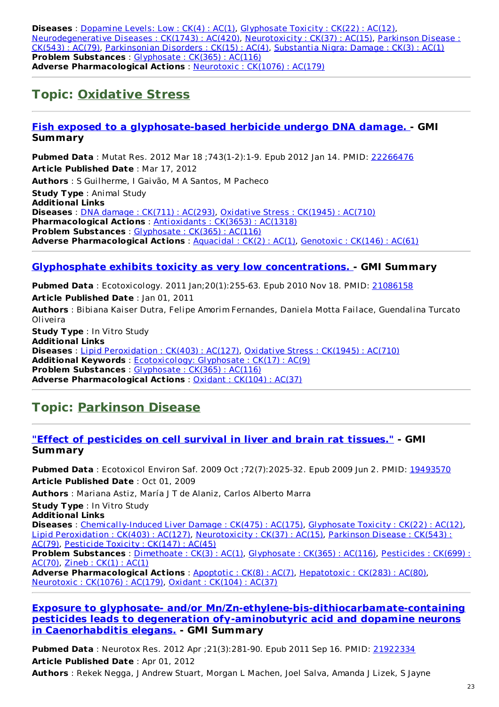**Diseases** : [Dopamine](http://www.greenmedinfo.com/disease/dopamine-levels-low) Levels: Low : CK(4) : AC(1), [Glyphosate](http://www.greenmedinfo.com/disease/glyphosate-toxicity) Toxicity : CK(22) : AC(12), [Neurodegenerative](http://www.greenmedinfo.com/disease/parkinson-disease) Diseases : CK(1743) : AC(420), [Neurotoxicity](http://www.greenmedinfo.com/disease/neurotoxicity) : CK(37) : AC(15), Parkinson Disease : CK(543) : AC(79), [Parkinsonian](http://www.greenmedinfo.com/disease/parkinsonian-disorders) Disorders : CK(15) : AC(4), [Substantia](http://www.greenmedinfo.com/disease/substantia-nigra-damage) Nigra: Damage : CK(3) : AC(1) **Problem Substances** : [Glyphosate](http://www.greenmedinfo.com/toxic-ingredient/glyphosate) : CK(365) : AC(116) **Adverse Pharmacological Actions** : [Neurotoxic](http://www.greenmedinfo.com/adverse-pharmacological-action/neurotoxic) : CK(1076) : AC(179)

### **Topic: [Oxidative](http://www.greenmedinfo.com/disease/oxidative-stress) Stress**

#### **Fish exposed to a [glyphosate-based](http://www.ncbi.nlm.nih.gov/pubmed/22266476) herbicide undergo DNA damage. - GMI Summary**

**Pubmed Data** : Mutat Res. 2012 Mar 18 ;743(1-2):1-9. Epub 2012 Jan 14. PMID: [22266476](http://www.ncbi.nlm.nih.gov/pubmed/22266476) **Article Published Date** : Mar 17, 2012 **Authors** : S Guilherme, I Gaivão, M A Santos, M Pacheco **Study Type** : Animal Study **Additional Links Diseases** : DNA damage : CK(711) : [AC\(293\)](http://www.greenmedinfo.com/disease/dna-damage), [Oxidative](http://www.greenmedinfo.com/disease/oxidative-stress) Stress : CK(1945) : AC(710) **Pharmacological Actions** : [Antioxidants](http://www.greenmedinfo.com/pharmacological-action/antioxidants) : CK(3653) : AC(1318) **Problem Substances** : [Glyphosate](http://www.greenmedinfo.com/toxic-ingredient/glyphosate) : CK(365) : AC(116) **Adverse Pharmacological Actions** : [Aquacidal](http://www.greenmedinfo.com/adverse-pharmacological-action/aquacidal) : CK(2) : AC(1), [Genotoxic](http://www.greenmedinfo.com/adverse-pharmacological-action/genotoxic) : CK(146) : AC(61)

#### **Glyphosphate exhibits toxicity as very low [concentrations.](http://www.ncbi.nlm.nih.gov/pubmed/21086158) - GMI Summary**

**Pubmed Data** : Ecotoxicology. 2011 Jan;20(1):255-63. Epub 2010 Nov 18. PMID: [21086158](http://www.ncbi.nlm.nih.gov/pubmed/21086158) **Article Published Date** : Jan 01, 2011 **Authors** : Bibiana Kaiser Dutra, Felipe Amorim Fernandes, Daniela Motta Failace, Guendalina Turcato Oliveira **Study Type** : In Vitro Study **Additional Links**

**Diseases** : Lipid [Peroxidation](http://www.greenmedinfo.com/disease/lipid-peroxidation) : CK(403) : AC(127), [Oxidative](http://www.greenmedinfo.com/disease/oxidative-stress) Stress : CK(1945) : AC(710) **Additional Keywords** : [Ecotoxicology:](http://www.greenmedinfo.com/keyword/ecotoxicology-glyphosate) Glyphosate : CK(17) : AC(9) **Problem Substances** : [Glyphosate](http://www.greenmedinfo.com/toxic-ingredient/glyphosate) : CK(365) : AC(116) **Adverse Pharmacological Actions** : Oxidant : [CK\(104\)](http://www.greenmedinfo.com/adverse-pharmacological-action/oxidant) : AC(37)

## **Topic: [Parkinson](http://www.greenmedinfo.com/disease/parkinson-disease) Disease**

#### **"Effect of [pesticides](http://www.ncbi.nlm.nih.gov/pubmed/19493570) on cell survival in liver and brain rat tissues." - GMI Summary**

**Pubmed Data** : Ecotoxicol Environ Saf. 2009 Oct ;72(7):2025-32. Epub 2009 Jun 2. PMID: [19493570](http://www.ncbi.nlm.nih.gov/pubmed/19493570) **Article Published Date** : Oct 01, 2009 **Authors** : Mariana Astiz, María J T de Alaniz, Carlos Alberto Marra **Study Type** : In Vitro Study **Additional Links Diseases** : [Chemically-Induced](http://www.greenmedinfo.com/disease/chemically-induced-liver-damage) Liver Damage : CK(475) : AC(175), [Glyphosate](http://www.greenmedinfo.com/disease/glyphosate-toxicity) Toxicity : CK(22) : AC(12), Lipid [Peroxidation](http://www.greenmedinfo.com/disease/lipid-peroxidation) : CK(403) : AC(127), [Neurotoxicity](http://www.greenmedinfo.com/disease/parkinson-disease) : CK(37) : AC(15), Parkinson Disease : CK(543) : AC(79), [Pesticide](http://www.greenmedinfo.com/disease/pesticide-toxicity) Toxicity : CK(147) : AC(45) **Problem [Substances](http://www.greenmedinfo.com/toxic-ingredient/pesticides)** : [Dimethoate](http://www.greenmedinfo.com/toxic-ingredient/dimethoate) : CK(3) : AC(1), [Glyphosate](http://www.greenmedinfo.com/toxic-ingredient/glyphosate) : CK(365) : AC(116), Pesticides : CK(699) : AC(70), [Zineb](http://www.greenmedinfo.com/toxic-ingredient/zineb) : CK(1) : AC(1) **Adverse Pharmacological Actions** : [Apoptotic](http://www.greenmedinfo.com/adverse-pharmacological-action/apoptotic) : CK(8) : AC(7), [Hepatotoxic](http://www.greenmedinfo.com/adverse-pharmacological-action/hepatotoxic) : CK(283) : AC(80), [Neurotoxic](http://www.greenmedinfo.com/adverse-pharmacological-action/neurotoxic) : CK(1076) : AC(179), Oxidant : [CK\(104\)](http://www.greenmedinfo.com/adverse-pharmacological-action/oxidant) : AC(37)

#### **Exposure to glyphosate- and/or [Mn/Zn-ethylene-bis-dithiocarbamate-containing](http://www.ncbi.nlm.nih.gov/pubmed/21922334) pesticides leads to degeneration ofγ-aminobutyric acid and dopamine neurons in Caenorhabditis elegans. - GMI Summary**

**Pubmed Data** : Neurotox Res. 2012 Apr ;21(3):281-90. Epub 2011 Sep 16. PMID: [21922334](http://www.ncbi.nlm.nih.gov/pubmed/21922334) **Article Published Date** : Apr 01, 2012 **Authors** : Rekek Negga, J Andrew Stuart, Morgan L Machen, Joel Salva, Amanda J Lizek, S Jayne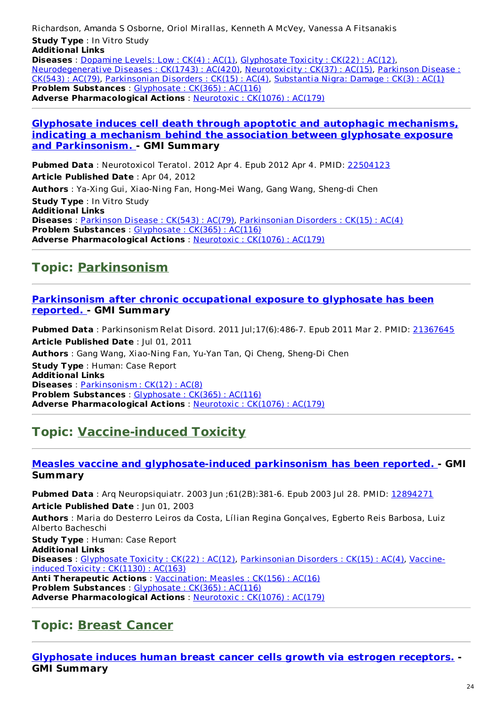Richardson, Amanda S Osborne, Oriol Mirallas, Kenneth A McVey, Vanessa A Fitsanakis

**Study Type** : In Vitro Study **Additional Links**

**Diseases** : [Dopamine](http://www.greenmedinfo.com/disease/dopamine-levels-low) Levels: Low : CK(4) : AC(1), [Glyphosate](http://www.greenmedinfo.com/disease/glyphosate-toxicity) Toxicity : CK(22) : AC(12), [Neurodegenerative](http://www.greenmedinfo.com/disease/parkinson-disease) Diseases : CK(1743) : AC(420), [Neurotoxicity](http://www.greenmedinfo.com/disease/neurotoxicity) : CK(37) : AC(15), Parkinson Disease : CK(543) : AC(79), [Parkinsonian](http://www.greenmedinfo.com/disease/parkinsonian-disorders) Disorders : CK(15) : AC(4), [Substantia](http://www.greenmedinfo.com/disease/substantia-nigra-damage) Nigra: Damage : CK(3) : AC(1) **Problem Substances** : [Glyphosate](http://www.greenmedinfo.com/toxic-ingredient/glyphosate) : CK(365) : AC(116) **Adverse Pharmacological Actions** : [Neurotoxic](http://www.greenmedinfo.com/adverse-pharmacological-action/neurotoxic) : CK(1076) : AC(179)

#### **Glyphosate induces cell death through apoptotic and autophagic mechanisms, indicating a mechanism behind the association between glyphosate exposure and [Parkinsonism.](http://www.ncbi.nlm.nih.gov/pubmed/22504123) - GMI Summary**

**Pubmed Data** : Neurotoxicol Teratol. 2012 Apr 4. Epub 2012 Apr 4. PMID: [22504123](http://www.ncbi.nlm.nih.gov/pubmed/22504123) **Article Published Date** : Apr 04, 2012 **Authors** : Ya-Xing Gui, Xiao-Ning Fan, Hong-Mei Wang, Gang Wang, Sheng-di Chen **Study Type** : In Vitro Study **Additional Links Diseases** : [Parkinson](http://www.greenmedinfo.com/disease/parkinson-disease) Disease : CK(543) : AC(79), [Parkinsonian](http://www.greenmedinfo.com/disease/parkinsonian-disorders) Disorders : CK(15) : AC(4) **Problem Substances** : [Glyphosate](http://www.greenmedinfo.com/toxic-ingredient/glyphosate) : CK(365) : AC(116) **Adverse Pharmacological Actions** : [Neurotoxic](http://www.greenmedinfo.com/adverse-pharmacological-action/neurotoxic) : CK(1076) : AC(179)

## **Topic: [Parkinsonism](http://www.greenmedinfo.com/disease/parkinsonism)**

#### **[Parkinsonism](http://www.ncbi.nlm.nih.gov/pubmed/21367645) after chronic occupational exposure to glyphosate has been reported. - GMI Summary**

**Pubmed Data** : Parkinsonism Relat Disord. 2011 Jul;17(6):486-7. Epub 2011 Mar 2. PMID: [21367645](http://www.ncbi.nlm.nih.gov/pubmed/21367645) **Article Published Date** : Jul 01, 2011 **Authors** : Gang Wang, Xiao-Ning Fan, Yu-Yan Tan, Qi Cheng, Sheng-Di Chen **Study Type** : Human: Case Report **Additional Links Diseases** : [Parkinsonism](http://www.greenmedinfo.com/disease/parkinsonism) : CK(12) : AC(8) **Problem Substances** : [Glyphosate](http://www.greenmedinfo.com/toxic-ingredient/glyphosate) : CK(365) : AC(116) **Adverse Pharmacological Actions** : [Neurotoxic](http://www.greenmedinfo.com/adverse-pharmacological-action/neurotoxic) : CK(1076) : AC(179)

## **Topic: [Vaccine-induced](http://www.greenmedinfo.com/disease/vaccine-induced-toxicity) Toxicity**

#### **Measles vaccine and [glyphosate-induced](http://www.ncbi.nlm.nih.gov/pubmed/12894271) parkinsonism has been reported. - GMI Summary**

**Pubmed Data** : Arq Neuropsiquiatr. 2003 Jun ;61(2B):381-6. Epub 2003 Jul 28. PMID: [12894271](http://www.ncbi.nlm.nih.gov/pubmed/12894271) **Article Published Date** : Jun 01, 2003 **Authors** : Maria do Desterro Leiros da Costa, Lílian Regina Gonçalves, Egberto Reis Barbosa, Luiz Alberto Bacheschi **Study Type** : Human: Case Report **Additional Links Diseases** : [Glyphosate](http://www.greenmedinfo.com/disease/glyphosate-toxicity) Toxicity : CK(22) : AC(12), [Parkinsonian](http://www.greenmedinfo.com/disease/vaccine-induced-toxicity) Disorders : CK(15) : AC(4), Vaccineinduced Toxicity : CK(1130) : AC(163) **Anti Therapeutic Actions** : [Vaccination:](http://www.greenmedinfo.com/anti-therapeutic-action/vaccination-measles) Measles : CK(156) : AC(16) **Problem Substances** : [Glyphosate](http://www.greenmedinfo.com/toxic-ingredient/glyphosate) : CK(365) : AC(116) **Adverse Pharmacological Actions** : [Neurotoxic](http://www.greenmedinfo.com/adverse-pharmacological-action/neurotoxic) : CK(1076) : AC(179)

## **Topic: Breast [Cancer](http://www.greenmedinfo.com/disease/breast-cancer)**

**[Glyphosate](http://www.ncbi.nlm.nih.gov/pubmed/23756170) induces human breast cancer cells growth via estrogen receptors. - GMI Summary**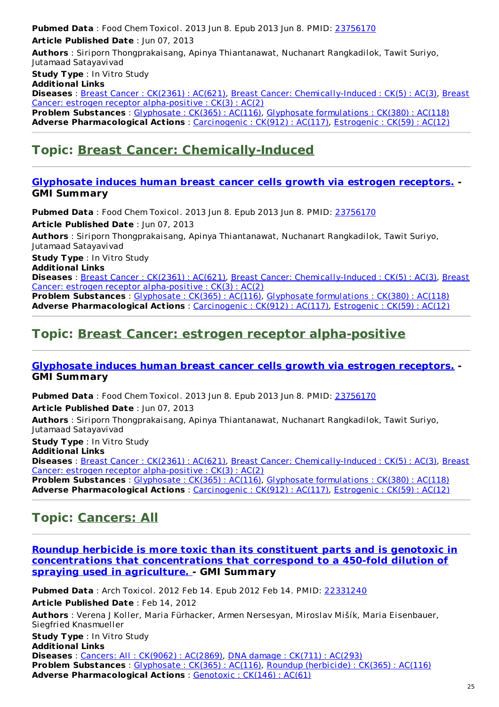**Pubmed Data** : Food Chem Toxicol. 2013 Jun 8. Epub 2013 Jun 8. PMID: [23756170](http://www.ncbi.nlm.nih.gov/pubmed/23756170) **Article Published Date** : Jun 07, 2013

**Authors** : Siriporn Thongprakaisang, Apinya Thiantanawat, Nuchanart Rangkadilok, Tawit Suriyo, Jutamaad Satayavivad

**Study Type** : In Vitro Study

**Additional Links**

**Diseases** : Breast Cancer : [CK\(2361\)](http://www.greenmedinfo.com/disease/breast-cancer) : AC(621), Breast Cancer: [Chemically-Induced](http://www.greenmedinfo.com/disease/breast-cancer-estrogen-receptor-alpha-positive) : CK(5) : AC(3), Breast Cancer: estrogen receptor alpha-positive : CK(3) : AC(2)

**Problem Substances** : [Glyphosate](http://www.greenmedinfo.com/toxic-ingredient/glyphosate) : CK(365) : AC(116), Glyphosate [formulations](http://www.greenmedinfo.com/toxic-ingredient/glyphosate-formulations) : CK(380) : AC(118) **Adverse Pharmacological Actions** : [Carcinogenic](http://www.greenmedinfo.com/adverse-pharmacological-action/carcinogenic) : CK(912) : AC(117), [Estrogenic](http://www.greenmedinfo.com/adverse-pharmacological-action/estrogenic) : CK(59) : AC(12)

## **Topic: Breast Cancer: [Chemically-Induced](http://www.greenmedinfo.com/disease/breast-cancer-chemically-induced)**

#### **[Glyphosate](http://www.ncbi.nlm.nih.gov/pubmed/23756170) induces human breast cancer cells growth via estrogen receptors. - GMI Summary**

**Pubmed Data** : Food Chem Toxicol. 2013 Jun 8. Epub 2013 Jun 8. PMID: [23756170](http://www.ncbi.nlm.nih.gov/pubmed/23756170) **Article Published Date** : Jun 07, 2013

**Authors** : Siriporn Thongprakaisang, Apinya Thiantanawat, Nuchanart Rangkadilok, Tawit Suriyo, Jutamaad Satayavivad

**Study Type** : In Vitro Study

**Additional Links**

**Diseases** : Breast Cancer : [CK\(2361\)](http://www.greenmedinfo.com/disease/breast-cancer) : AC(621), Breast Cancer: [Chemically-Induced](http://www.greenmedinfo.com/disease/breast-cancer-estrogen-receptor-alpha-positive) : CK(5) : AC(3), Breast Cancer: estrogen receptor alpha-positive : CK(3) : AC(2)

**Problem Substances** : [Glyphosate](http://www.greenmedinfo.com/toxic-ingredient/glyphosate) : CK(365) : AC(116), Glyphosate [formulations](http://www.greenmedinfo.com/toxic-ingredient/glyphosate-formulations) : CK(380) : AC(118) **Adverse Pharmacological Actions** : [Carcinogenic](http://www.greenmedinfo.com/adverse-pharmacological-action/carcinogenic) : CK(912) : AC(117), [Estrogenic](http://www.greenmedinfo.com/adverse-pharmacological-action/estrogenic) : CK(59) : AC(12)

### **Topic: Breast Cancer: estrogen receptor [alpha-positive](http://www.greenmedinfo.com/disease/breast-cancer-estrogen-receptor-alpha-positive)**

#### **[Glyphosate](http://www.ncbi.nlm.nih.gov/pubmed/23756170) induces human breast cancer cells growth via estrogen receptors. - GMI Summary**

**Pubmed Data** : Food Chem Toxicol. 2013 Jun 8. Epub 2013 Jun 8. PMID: [23756170](http://www.ncbi.nlm.nih.gov/pubmed/23756170) **Article Published Date** : Jun 07, 2013

**Authors** : Siriporn Thongprakaisang, Apinya Thiantanawat, Nuchanart Rangkadilok, Tawit Suriyo, Jutamaad Satayavivad

**Study Type** : In Vitro Study **Additional Links**

**Diseases** : Breast Cancer : [CK\(2361\)](http://www.greenmedinfo.com/disease/breast-cancer) : AC(621), Breast Cancer: [Chemically-Induced](http://www.greenmedinfo.com/disease/breast-cancer-estrogen-receptor-alpha-positive) : CK(5) : AC(3), Breast Cancer: estrogen receptor alpha-positive : CK(3) : AC(2)

**Problem Substances** : [Glyphosate](http://www.greenmedinfo.com/toxic-ingredient/glyphosate) : CK(365) : AC(116), Glyphosate [formulations](http://www.greenmedinfo.com/toxic-ingredient/glyphosate-formulations) : CK(380) : AC(118) **Adverse Pharmacological Actions** : [Carcinogenic](http://www.greenmedinfo.com/adverse-pharmacological-action/carcinogenic) : CK(912) : AC(117), [Estrogenic](http://www.greenmedinfo.com/adverse-pharmacological-action/estrogenic) : CK(59) : AC(12)

## **Topic: [Cancers:](http://www.greenmedinfo.com/disease/cancers-all) All**

**Roundup herbicide is more toxic than its constituent parts and is genotoxic in [concentrations](http://www.ncbi.nlm.nih.gov/pubmed/22331240) that concentrations that correspond to a 450-fold dilution of spraying used in agriculture. - GMI Summary**

**Pubmed Data** : Arch Toxicol. 2012 Feb 14. Epub 2012 Feb 14. PMID: [22331240](http://www.ncbi.nlm.nih.gov/pubmed/22331240) **Article Published Date** : Feb 14, 2012 **Authors** : Verena J Koller, Maria Fürhacker, Armen Nersesyan, Miroslav Mišík, Maria Eisenbauer, Siegfried Knasmueller **Study Type** : In Vitro Study **Additional Links Diseases** : Cancers: All : [CK\(9062\)](http://www.greenmedinfo.com/disease/cancers-all) : AC(2869), DNA damage : [CK\(711\)](http://www.greenmedinfo.com/disease/dna-damage) : AC(293) **Problem Substances** : [Glyphosate](http://www.greenmedinfo.com/toxic-ingredient/glyphosate) : CK(365) : AC(116), Roundup [\(herbicide\)](http://www.greenmedinfo.com/toxic-ingredient/roundup-herbicide) : CK(365) : AC(116) **Adverse Pharmacological Actions** : [Genotoxic](http://www.greenmedinfo.com/adverse-pharmacological-action/genotoxic) : CK(146) : AC(61)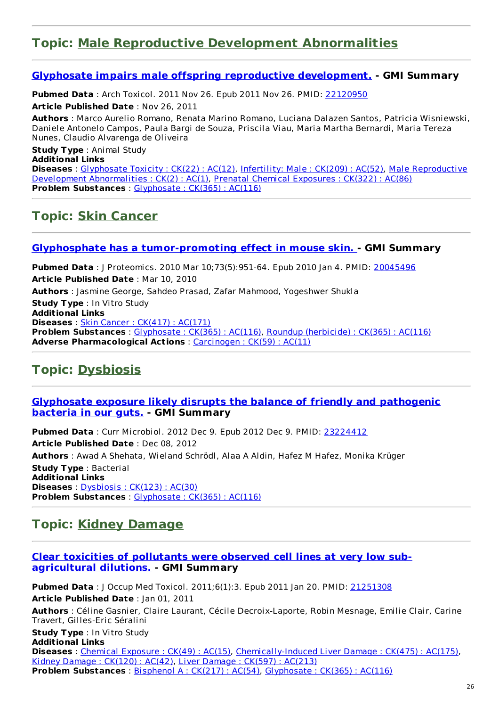### **Topic: Male Reproductive Development [Abnormalities](http://www.greenmedinfo.com/disease/male-reproductive-development-abnormalities)**

#### **Glyphosate impairs male offspring reproductive [development.](http://www.ncbi.nlm.nih.gov/pubmed/22120950) - GMI Summary**

**Pubmed Data** : Arch Toxicol. 2011 Nov 26. Epub 2011 Nov 26. PMID: [22120950](http://www.ncbi.nlm.nih.gov/pubmed/22120950)

**Article Published Date** : Nov 26, 2011

**Authors** : Marco Aurelio Romano, Renata Marino Romano, Luciana Dalazen Santos, Patricia Wisniewski, Daniele Antonelo Campos, Paula Bargi de Souza, Priscila Viau, Maria Martha Bernardi, Maria Tereza Nunes, Claudio Alvarenga de Oliveira

**Study Type** : Animal Study **Additional Links Diseases** : [Glyphosate](http://www.greenmedinfo.com/disease/glyphosate-toxicity) Toxicity : CK(22) : AC(12), [Infertility:](http://www.greenmedinfo.com/disease/infertility-male) Male : CK(209) : AC(52), Male Reproductive Development [Abnormalities](http://www.greenmedinfo.com/disease/male-reproductive-development-abnormalities) : CK(2) : AC(1), Prenatal Chemical [Exposures](http://www.greenmedinfo.com/disease/prenatal-chemical-exposures) : CK(322) : AC(86) **Problem Substances** : [Glyphosate](http://www.greenmedinfo.com/toxic-ingredient/glyphosate) : CK(365) : AC(116)

### **Topic: Skin [Cancer](http://www.greenmedinfo.com/disease/skin-cancer)**

#### **Glyphosphate has a [tumor-promoting](http://www.ncbi.nlm.nih.gov/pubmed/20045496) effect in mouse skin. - GMI Summary**

**Pubmed Data** : J Proteomics. 2010 Mar 10;73(5):951-64. Epub 2010 Jan 4. PMID: [20045496](http://www.ncbi.nlm.nih.gov/pubmed/20045496) **Article Published Date** : Mar 10, 2010 **Authors** : Jasmine George, Sahdeo Prasad, Zafar Mahmood, Yogeshwer Shukla **Study Type** : In Vitro Study **Additional Links Diseases** : Skin Cancer : [CK\(417\)](http://www.greenmedinfo.com/disease/skin-cancer) : AC(171) **Problem Substances** : [Glyphosate](http://www.greenmedinfo.com/toxic-ingredient/glyphosate) : CK(365) : AC(116), Roundup [\(herbicide\)](http://www.greenmedinfo.com/toxic-ingredient/roundup-herbicide) : CK(365) : AC(116) **Adverse Pharmacological Actions** : [Carcinogen](http://www.greenmedinfo.com/adverse-pharmacological-action/carcinogen) : CK(59) : AC(11)

### **Topic: [Dysbiosis](http://www.greenmedinfo.com/disease/dysbiosis)**

#### **[Glyphosate](http://www.ncbi.nlm.nih.gov/pubmed/23224412) exposure likely disrupts the balance of friendly and pathogenic bacteria in our guts. - GMI Summary**

**Pubmed Data** : Curr Microbiol. 2012 Dec 9. Epub 2012 Dec 9. PMID: [23224412](http://www.ncbi.nlm.nih.gov/pubmed/23224412) **Article Published Date** : Dec 08, 2012 **Authors** : Awad A Shehata, Wieland Schrödl, Alaa A Aldin, Hafez M Hafez, Monika Krüger **Study Type** : Bacterial **Additional Links Diseases** : [Dysbiosis](http://www.greenmedinfo.com/disease/dysbiosis) : CK(123) : AC(30) **Problem Substances** : [Glyphosate](http://www.greenmedinfo.com/toxic-ingredient/glyphosate) : CK(365) : AC(116)

### **Topic: Kidney [Damage](http://www.greenmedinfo.com/disease/kidney-damage)**

#### **Clear toxicities of pollutants were observed cell lines at very low sub[agricultural](http://www.ncbi.nlm.nih.gov/pubmed/21251308) dilutions. - GMI Summary**

**Pubmed Data** : J Occup Med Toxicol. 2011;6(1):3. Epub 2011 Jan 20. PMID: [21251308](http://www.ncbi.nlm.nih.gov/pubmed/21251308) **Article Published Date** : Jan 01, 2011 **Authors** : Céline Gasnier, Claire Laurant, Cécile Decroix-Laporte, Robin Mesnage, Emilie Clair, Carine Travert, Gilles-Eric Séralini **Study Type** : In Vitro Study **Additional Links Diseases** : Chemical [Exposure](http://www.greenmedinfo.com/disease/chemical-exposure) : CK(49) : AC(15), [Chemically-Induced](http://www.greenmedinfo.com/disease/chemically-induced-liver-damage) Liver Damage : CK(475) : AC(175), Kidney [Damage](http://www.greenmedinfo.com/disease/kidney-damage) : CK(120) : AC(42), Liver [Damage](http://www.greenmedinfo.com/disease/liver-damage) : CK(597) : AC(213)

**Problem Substances** : [Bisphenol](http://www.greenmedinfo.com/toxic-ingredient/bisphenol) A : CK(217) : AC(54), [Glyphosate](http://www.greenmedinfo.com/toxic-ingredient/glyphosate) : CK(365) : AC(116)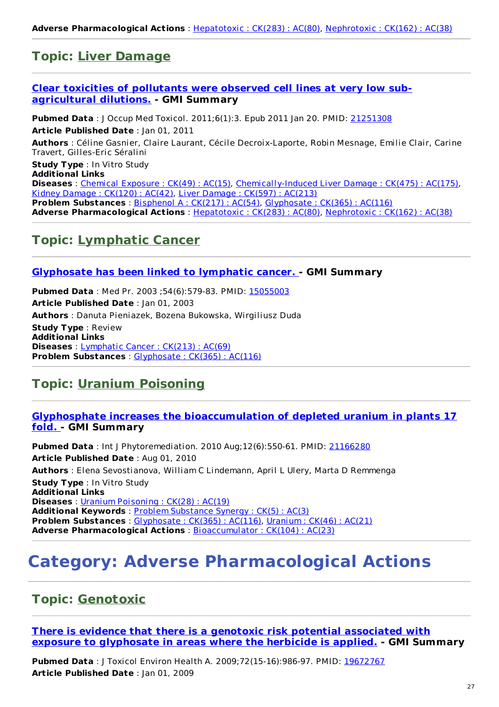## **Topic: Liver [Damage](http://www.greenmedinfo.com/disease/liver-damage)**

#### **Clear toxicities of pollutants were observed cell lines at very low sub[agricultural](http://www.ncbi.nlm.nih.gov/pubmed/21251308) dilutions. - GMI Summary**

**Pubmed Data** : J Occup Med Toxicol. 2011;6(1):3. Epub 2011 Jan 20. PMID: [21251308](http://www.ncbi.nlm.nih.gov/pubmed/21251308) **Article Published Date** : Jan 01, 2011 **Authors** : Céline Gasnier, Claire Laurant, Cécile Decroix-Laporte, Robin Mesnage, Emilie Clair, Carine Travert, Gilles-Eric Séralini **Study Type** : In Vitro Study **Additional Links Diseases** : Chemical [Exposure](http://www.greenmedinfo.com/disease/chemical-exposure) : CK(49) : AC(15), [Chemically-Induced](http://www.greenmedinfo.com/disease/chemically-induced-liver-damage) Liver Damage : CK(475) : AC(175), Kidney [Damage](http://www.greenmedinfo.com/disease/kidney-damage) : CK(120) : AC(42), Liver [Damage](http://www.greenmedinfo.com/disease/liver-damage) : CK(597) : AC(213) **Problem Substances** : [Bisphenol](http://www.greenmedinfo.com/toxic-ingredient/bisphenol) A : CK(217) : AC(54), [Glyphosate](http://www.greenmedinfo.com/toxic-ingredient/glyphosate) : CK(365) : AC(116) **Adverse Pharmacological Actions** : [Hepatotoxic](http://www.greenmedinfo.com/adverse-pharmacological-action/hepatotoxic) : CK(283) : AC(80), [Nephrotoxic](http://www.greenmedinfo.com/adverse-pharmacological-action/nephrotoxic) : CK(162) : AC(38)

### **Topic: [Lymphatic](http://www.greenmedinfo.com/disease/lymphatic-cancer) Cancer**

#### **[Glyphosate](http://www.ncbi.nlm.nih.gov/pubmed/15055003) has been linked to lymphatic cancer. - GMI Summary**

**Pubmed Data** : Med Pr. 2003 ;54(6):579-83. PMID: [15055003](http://www.ncbi.nlm.nih.gov/pubmed/15055003) **Article Published Date** : Jan 01, 2003 **Authors** : Danuta Pieniazek, Bozena Bukowska, Wirgiliusz Duda **Study Type** : Review **Additional Links Diseases** : [Lymphatic](http://www.greenmedinfo.com/disease/lymphatic-cancer) Cancer : CK(213) : AC(69) **Problem Substances** : [Glyphosate](http://www.greenmedinfo.com/toxic-ingredient/glyphosate) : CK(365) : AC(116)

## **Topic: Uranium [Poisoning](http://www.greenmedinfo.com/disease/uranium-poisoning)**

#### **Glyphosphate increases the [bioaccumulation](http://www.ncbi.nlm.nih.gov/pubmed/21166280) of depleted uranium in plants 17 fold. - GMI Summary**

**Pubmed Data** : Int J Phytoremediation. 2010 Aug;12(6):550-61. PMID: [21166280](http://www.ncbi.nlm.nih.gov/pubmed/21166280) **Article Published Date** : Aug 01, 2010 **Authors** : Elena Sevostianova, William C Lindemann, April L Ulery, Marta D Remmenga **Study Type** : In Vitro Study **Additional Links Diseases** : Uranium [Poisoning](http://www.greenmedinfo.com/disease/uranium-poisoning) : CK(28) : AC(19) **Additional Keywords** : Problem [Substance](http://www.greenmedinfo.com/keyword/problem-substance-synergy) Synergy : CK(5) : AC(3) **Problem Substances** : [Glyphosate](http://www.greenmedinfo.com/toxic-ingredient/glyphosate) : CK(365) : AC(116), [Uranium](http://www.greenmedinfo.com/toxic-ingredient/uranium) : CK(46) : AC(21) **Adverse Pharmacological Actions** : [Bioaccumulator](http://www.greenmedinfo.com/adverse-pharmacological-action/bioaccumulator) : CK(104) : AC(23)

# **Category: Adverse Pharmacological Actions**

### **Topic: [Genotoxic](http://www.greenmedinfo.com/adverse-pharmacological-action/genotoxic)**

**There is evidence that there is a genotoxic risk potential associated with exposure to [glyphosate](http://www.ncbi.nlm.nih.gov/pubmed/19672767) in areas where the herbicide is applied. - GMI Summary**

**Pubmed Data** : J Toxicol Environ Health A. 2009;72(15-16):986-97. PMID: [19672767](http://www.ncbi.nlm.nih.gov/pubmed/19672767) **Article Published Date** : Jan 01, 2009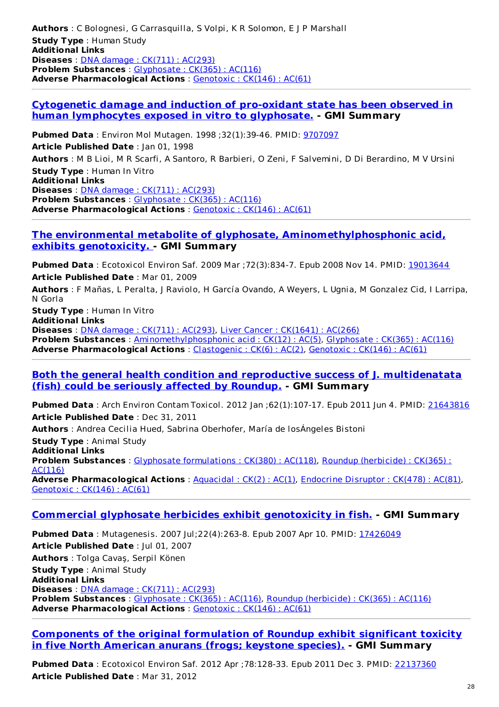**Authors** : C Bolognesi, G Carrasquilla, S Volpi, K R Solomon, E J P Marshall **Study Type** : Human Study **Additional Links Diseases** : DNA damage : CK(711) : [AC\(293\)](http://www.greenmedinfo.com/disease/dna-damage) **Problem Substances** : [Glyphosate](http://www.greenmedinfo.com/toxic-ingredient/glyphosate) : CK(365) : AC(116) **Adverse Pharmacological Actions** : [Genotoxic](http://www.greenmedinfo.com/adverse-pharmacological-action/genotoxic) : CK(146) : AC(61)

#### **Cytogenetic damage and induction of pro-oxidant state has been observed in human [lymphocytes](http://www.ncbi.nlm.nih.gov/pubmed/9707097) exposed in vitro to glyphosate. - GMI Summary**

**Pubmed Data** : Environ Mol Mutagen. 1998 ;32(1):39-46. PMID: [9707097](http://www.ncbi.nlm.nih.gov/pubmed/9707097) **Article Published Date** : Jan 01, 1998 **Authors** : M B Lioi, M R Scarfi, A Santoro, R Barbieri, O Zeni, F Salvemini, D Di Berardino, M V Ursini **Study Type** : Human In Vitro **Additional Links Diseases** : DNA damage : CK(711) : [AC\(293\)](http://www.greenmedinfo.com/disease/dna-damage) **Problem Substances** : [Glyphosate](http://www.greenmedinfo.com/toxic-ingredient/glyphosate) : CK(365) : AC(116) **Adverse Pharmacological Actions** : [Genotoxic](http://www.greenmedinfo.com/adverse-pharmacological-action/genotoxic) : CK(146) : AC(61)

#### **The environmental metabolite of glyphosate, [Aminomethylphosphonic](http://www.ncbi.nlm.nih.gov/pubmed/19013644) acid, exhibits genotoxicity. - GMI Summary**

**Pubmed Data** : Ecotoxicol Environ Saf. 2009 Mar ; 72(3):834-7. Epub 2008 Nov 14. PMID: [19013644](http://www.ncbi.nlm.nih.gov/pubmed/19013644) **Article Published Date** : Mar 01, 2009

**Authors** : F Mañas, L Peralta, J Raviolo, H García Ovando, A Weyers, L Ugnia, M Gonzalez Cid, I Larripa, N Gorla

**Study Type** : Human In Vitro **Additional Links Diseases** : DNA damage : CK(711) : [AC\(293\)](http://www.greenmedinfo.com/disease/dna-damage), Liver Cancer : [CK\(1641\)](http://www.greenmedinfo.com/disease/liver-cancer) : AC(266) **Problem Substances** : [Aminomethylphosphonic](http://www.greenmedinfo.com/toxic-ingredient/aminomethylphosphonic-acid) acid : CK(12) : AC(5), [Glyphosate](http://www.greenmedinfo.com/toxic-ingredient/glyphosate) : CK(365) : AC(116) **Adverse Pharmacological Actions** : [Clastogenic](http://www.greenmedinfo.com/adverse-pharmacological-action/clastogenic) : CK(6) : AC(2), [Genotoxic](http://www.greenmedinfo.com/adverse-pharmacological-action/genotoxic) : CK(146) : AC(61)

#### **Both the general health condition and reproductive success of J. [multidenatata](http://www.ncbi.nlm.nih.gov/pubmed/21643816) (fish) could be seriously affected by Roundup. - GMI Summary**

**Pubmed Data** : Arch Environ Contam Toxicol. 2012 Jan ;62(1):107-17. Epub 2011 Jun 4. PMID: [21643816](http://www.ncbi.nlm.nih.gov/pubmed/21643816) **Article Published Date** : Dec 31, 2011

**Authors** : Andrea Cecilia Hued, Sabrina Oberhofer, María de losÁngeles Bistoni

**Study Type** : Animal Study **Additional Links Problem [Substances](http://www.greenmedinfo.com/toxic-ingredient/roundup-herbicide)** : Glyphosate [formulations](http://www.greenmedinfo.com/toxic-ingredient/glyphosate-formulations) : CK(380) : AC(118), Roundup (herbicide) : CK(365) : AC(116) **Adverse Pharmacological Actions** : [Aquacidal](http://www.greenmedinfo.com/adverse-pharmacological-action/aquacidal) : CK(2) : AC(1), [Endocrine](http://www.greenmedinfo.com/adverse-pharmacological-action/endocrine-disruptor) Disruptor : CK(478) : AC(81), [Genotoxic](http://www.greenmedinfo.com/adverse-pharmacological-action/genotoxic) : CK(146) : AC(61)

#### **Commercial glyphosate herbicides exhibit [genotoxicity](http://www.ncbi.nlm.nih.gov/pubmed/17426049) in fish. - GMI Summary**

**Pubmed Data** : Mutagenesis. 2007 Jul;22(4):263-8. Epub 2007 Apr 10. PMID: [17426049](http://www.ncbi.nlm.nih.gov/pubmed/17426049) **Article Published Date** : Jul 01, 2007 **Authors** : Tolga Cavaş, Serpil Könen **Study Type** : Animal Study **Additional Links Diseases** : DNA damage : CK(711) : [AC\(293\)](http://www.greenmedinfo.com/disease/dna-damage) **Problem Substances** : [Glyphosate](http://www.greenmedinfo.com/toxic-ingredient/glyphosate) : CK(365) : AC(116), Roundup [\(herbicide\)](http://www.greenmedinfo.com/toxic-ingredient/roundup-herbicide) : CK(365) : AC(116) **Adverse Pharmacological Actions** : [Genotoxic](http://www.greenmedinfo.com/adverse-pharmacological-action/genotoxic) : CK(146) : AC(61)

#### **[Components](http://www.ncbi.nlm.nih.gov/pubmed/22137360) of the original formulation of Roundup exhibit significant toxicity in five North American anurans (frogs; keystone species). - GMI Summary**

**Pubmed Data** : Ecotoxicol Environ Saf. 2012 Apr ;78:128-33. Epub 2011 Dec 3. PMID: [22137360](http://www.ncbi.nlm.nih.gov/pubmed/22137360) **Article Published Date** : Mar 31, 2012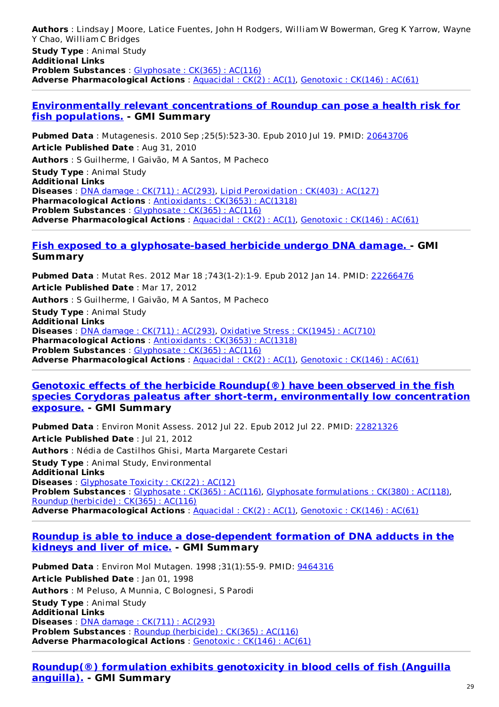**Authors** : Lindsay J Moore, Latice Fuentes, John H Rodgers, William W Bowerman, Greg K Yarrow, Wayne Y Chao, William C Bridges **Study Type** : Animal Study **Additional Links Problem Substances** : [Glyphosate](http://www.greenmedinfo.com/toxic-ingredient/glyphosate) : CK(365) : AC(116) **Adverse Pharmacological Actions** : [Aquacidal](http://www.greenmedinfo.com/adverse-pharmacological-action/aquacidal) : CK(2) : AC(1), [Genotoxic](http://www.greenmedinfo.com/adverse-pharmacological-action/genotoxic) : CK(146) : AC(61)

#### **[Environmentally](http://www.ncbi.nlm.nih.gov/pubmed/20643706) relevant concentrations of Roundup can pose a health risk for fish populations. - GMI Summary**

**Pubmed Data** : Mutagenesis. 2010 Sep ;25(5):523-30. Epub 2010 Jul 19. PMID: [20643706](http://www.ncbi.nlm.nih.gov/pubmed/20643706) **Article Published Date** : Aug 31, 2010 **Authors** : S Guilherme, I Gaivão, M A Santos, M Pacheco **Study Type** : Animal Study **Additional Links Diseases** : DNA damage : CK(711) : [AC\(293\)](http://www.greenmedinfo.com/disease/dna-damage), Lipid [Peroxidation](http://www.greenmedinfo.com/disease/lipid-peroxidation) : CK(403) : AC(127) **Pharmacological Actions** : [Antioxidants](http://www.greenmedinfo.com/pharmacological-action/antioxidants) : CK(3653) : AC(1318) **Problem Substances** : [Glyphosate](http://www.greenmedinfo.com/toxic-ingredient/glyphosate) : CK(365) : AC(116) **Adverse Pharmacological Actions** : [Aquacidal](http://www.greenmedinfo.com/adverse-pharmacological-action/aquacidal) : CK(2) : AC(1), [Genotoxic](http://www.greenmedinfo.com/adverse-pharmacological-action/genotoxic) : CK(146) : AC(61)

#### **Fish exposed to a [glyphosate-based](http://www.ncbi.nlm.nih.gov/pubmed/22266476) herbicide undergo DNA damage. - GMI Summary**

**Pubmed Data** : Mutat Res. 2012 Mar 18 ;743(1-2):1-9. Epub 2012 Jan 14. PMID: [22266476](http://www.ncbi.nlm.nih.gov/pubmed/22266476) **Article Published Date** : Mar 17, 2012 **Authors** : S Guilherme, I Gaivão, M A Santos, M Pacheco **Study Type** : Animal Study **Additional Links Diseases** : DNA damage : CK(711) : [AC\(293\)](http://www.greenmedinfo.com/disease/dna-damage), [Oxidative](http://www.greenmedinfo.com/disease/oxidative-stress) Stress : CK(1945) : AC(710) **Pharmacological Actions** : [Antioxidants](http://www.greenmedinfo.com/pharmacological-action/antioxidants) : CK(3653) : AC(1318) **Problem Substances** : [Glyphosate](http://www.greenmedinfo.com/toxic-ingredient/glyphosate) : CK(365) : AC(116) **Adverse Pharmacological Actions** : [Aquacidal](http://www.greenmedinfo.com/adverse-pharmacological-action/aquacidal) : CK(2) : AC(1), [Genotoxic](http://www.greenmedinfo.com/adverse-pharmacological-action/genotoxic) : CK(146) : AC(61)

#### **Genotoxic effects of the herbicide Roundup(®) have been observed in the fish species Corydoras paleatus after short-term, [environmentally](http://www.ncbi.nlm.nih.gov/pubmed/22821326) low concentration exposure. - GMI Summary**

**Pubmed Data** : Environ Monit Assess. 2012 Jul 22. Epub 2012 Jul 22. PMID: [22821326](http://www.ncbi.nlm.nih.gov/pubmed/22821326) **Article Published Date** : Jul 21, 2012 **Authors** : Nédia de Castilhos Ghisi, Marta Margarete Cestari **Study Type** : Animal Study, Environmental **Additional Links Diseases** : [Glyphosate](http://www.greenmedinfo.com/disease/glyphosate-toxicity) Toxicity : CK(22) : AC(12) **Problem Substances** : [Glyphosate](http://www.greenmedinfo.com/toxic-ingredient/glyphosate) : CK(365) : AC(116), Glyphosate [formulations](http://www.greenmedinfo.com/toxic-ingredient/glyphosate-formulations) : CK(380) : AC(118), Roundup [\(herbicide\)](http://www.greenmedinfo.com/toxic-ingredient/roundup-herbicide) : CK(365) : AC(116) **Adverse Pharmacological Actions** : [Aquacidal](http://www.greenmedinfo.com/adverse-pharmacological-action/aquacidal) : CK(2) : AC(1), [Genotoxic](http://www.greenmedinfo.com/adverse-pharmacological-action/genotoxic) : CK(146) : AC(61)

#### **Roundup is able to induce a [dose-dependent](http://www.ncbi.nlm.nih.gov/pubmed/9464316) formation of DNA adducts in the kidneys and liver of mice. - GMI Summary**

**Pubmed Data** : Environ Mol Mutagen. 1998 ;31(1):55-9. PMID: [9464316](http://www.ncbi.nlm.nih.gov/pubmed/9464316) **Article Published Date** : Jan 01, 1998 **Authors** : M Peluso, A Munnia, C Bolognesi, S Parodi **Study Type** : Animal Study **Additional Links Diseases** : DNA damage : CK(711) : [AC\(293\)](http://www.greenmedinfo.com/disease/dna-damage) **Problem Substances** : Roundup [\(herbicide\)](http://www.greenmedinfo.com/toxic-ingredient/roundup-herbicide) : CK(365) : AC(116) **Adverse Pharmacological Actions** : [Genotoxic](http://www.greenmedinfo.com/adverse-pharmacological-action/genotoxic) : CK(146) : AC(61)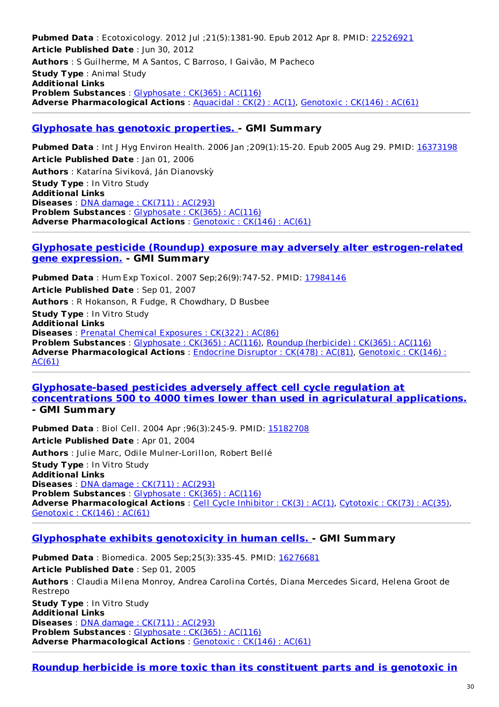**Pubmed Data** : Ecotoxicology. 2012 Jul ;21(5):1381-90. Epub 2012 Apr 8. PMID: [22526921](http://www.ncbi.nlm.nih.gov/pubmed/22526921) **Article Published Date** : Jun 30, 2012 **Authors** : S Guilherme, M A Santos, C Barroso, I Gaivão, M Pacheco **Study Type** : Animal Study **Additional Links Problem Substances** : [Glyphosate](http://www.greenmedinfo.com/toxic-ingredient/glyphosate) : CK(365) : AC(116) **Adverse Pharmacological Actions**: [Aquacidal](http://www.greenmedinfo.com/adverse-pharmacological-action/aquacidal): CK(2): AC(1), [Genotoxic](http://www.greenmedinfo.com/adverse-pharmacological-action/genotoxic): CK(146): AC(61)

#### **[Glyphosate](http://www.ncbi.nlm.nih.gov/pubmed/16373198) has genotoxic properties. - GMI Summary**

**Pubmed Data** : Int J Hyg Environ Health. 2006 Jan ;209(1):15-20. Epub 2005 Aug 29. PMID: [16373198](http://www.ncbi.nlm.nih.gov/pubmed/16373198) **Article Published Date** : Jan 01, 2006 **Authors** : Katarína Siviková, Ján Dianovskỳ **Study Type** : In Vitro Study **Additional Links Diseases** : DNA damage : CK(711) : [AC\(293\)](http://www.greenmedinfo.com/disease/dna-damage) **Problem Substances** : [Glyphosate](http://www.greenmedinfo.com/toxic-ingredient/glyphosate) : CK(365) : AC(116) **Adverse Pharmacological Actions** : [Genotoxic](http://www.greenmedinfo.com/adverse-pharmacological-action/genotoxic) : CK(146) : AC(61)

#### **Glyphosate pesticide (Roundup) exposure may adversely alter [estrogen-related](http://www.ncbi.nlm.nih.gov/pubmed/17984146) gene expression. - GMI Summary**

**Pubmed Data** : Hum Exp Toxicol. 2007 Sep;26(9):747-52. PMID: [17984146](http://www.ncbi.nlm.nih.gov/pubmed/17984146) **Article Published Date** : Sep 01, 2007 **Authors** : R Hokanson, R Fudge, R Chowdhary, D Busbee **Study Type** : In Vitro Study **Additional Links Diseases** : Prenatal Chemical [Exposures](http://www.greenmedinfo.com/disease/prenatal-chemical-exposures) : CK(322) : AC(86) **Problem Substances** : [Glyphosate](http://www.greenmedinfo.com/toxic-ingredient/glyphosate) : CK(365) : AC(116), Roundup [\(herbicide\)](http://www.greenmedinfo.com/toxic-ingredient/roundup-herbicide) : CK(365) : AC(116) **Adverse [Pharmacological](http://www.greenmedinfo.com/adverse-pharmacological-action/genotoxic) Actions** : [Endocrine](http://www.greenmedinfo.com/adverse-pharmacological-action/endocrine-disruptor) Disruptor : CK(478) : AC(81), Genotoxic : CK(146) : AC(61)

#### **[Glyphosate-based](http://www.ncbi.nlm.nih.gov/pubmed/15182708) pesticides adversely affect cell cycle regulation at concentrations 500 to 4000 times lower than used in agriculatural applications. - GMI Summary**

**Pubmed Data** : Biol Cell. 2004 Apr ;96(3):245-9. PMID: [15182708](http://www.ncbi.nlm.nih.gov/pubmed/15182708) **Article Published Date** : Apr 01, 2004 **Authors** : Julie Marc, Odile Mulner-Lorillon, Robert Bellé **Study Type** : In Vitro Study **Additional Links Diseases** : DNA damage : CK(711) : [AC\(293\)](http://www.greenmedinfo.com/disease/dna-damage) **Problem Substances** : [Glyphosate](http://www.greenmedinfo.com/toxic-ingredient/glyphosate) : CK(365) : AC(116) **Adverse Pharmacological Actions** : Cell Cycle [Inhibitor](http://www.greenmedinfo.com/adverse-pharmacological-action/cell-cycle-inhibitor) : CK(3) : AC(1), [Cytotoxic](http://www.greenmedinfo.com/adverse-pharmacological-action/cytotoxic) : CK(73) : AC(35), [Genotoxic](http://www.greenmedinfo.com/adverse-pharmacological-action/genotoxic) : CK(146) : AC(61)

#### **[Glyphosphate](http://www.ncbi.nlm.nih.gov/pubmed/16276681) exhibits genotoxicity in human cells. - GMI Summary**

**Pubmed Data** : Biomedica. 2005 Sep;25(3):335-45. PMID: [16276681](http://www.ncbi.nlm.nih.gov/pubmed/16276681) **Article Published Date** : Sep 01, 2005 **Authors** : Claudia Milena Monroy, Andrea Carolina Cortés, Diana Mercedes Sicard, Helena Groot de Restrepo **Study Type** : In Vitro Study **Additional Links Diseases** : DNA damage : CK(711) : [AC\(293\)](http://www.greenmedinfo.com/disease/dna-damage) **Problem Substances** : [Glyphosate](http://www.greenmedinfo.com/toxic-ingredient/glyphosate) : CK(365) : AC(116) **Adverse Pharmacological Actions** : [Genotoxic](http://www.greenmedinfo.com/adverse-pharmacological-action/genotoxic) : CK(146) : AC(61)

#### **Roundup herbicide is more toxic than its constituent parts and is genotoxic in**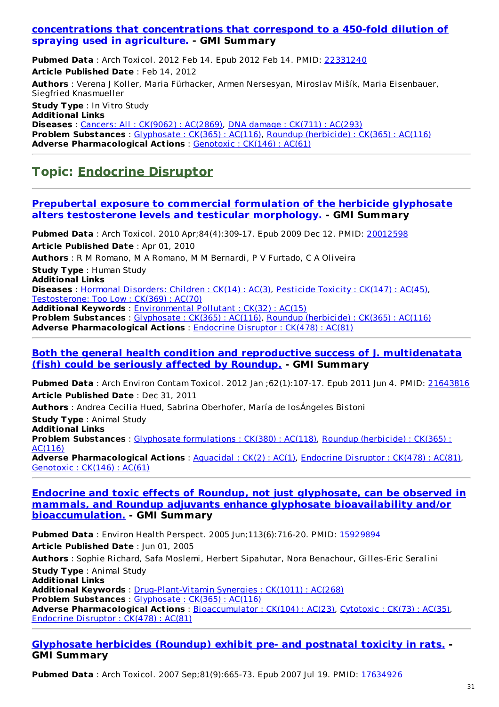#### **[concentrations](http://www.ncbi.nlm.nih.gov/pubmed/22331240) that concentrations that correspond to a 450-fold dilution of spraying used in agriculture. - GMI Summary**

**Pubmed Data** : Arch Toxicol. 2012 Feb 14. Epub 2012 Feb 14. PMID: [22331240](http://www.ncbi.nlm.nih.gov/pubmed/22331240) **Article Published Date** : Feb 14, 2012 **Authors** : Verena J Koller, Maria Fürhacker, Armen Nersesyan, Miroslav Mišík, Maria Eisenbauer, Siegfried Knasmueller **Study Type** : In Vitro Study **Additional Links Diseases** : Cancers: All : [CK\(9062\)](http://www.greenmedinfo.com/disease/cancers-all) : AC(2869), DNA damage : [CK\(711\)](http://www.greenmedinfo.com/disease/dna-damage) : AC(293) **Problem Substances** : [Glyphosate](http://www.greenmedinfo.com/toxic-ingredient/glyphosate) : CK(365) : AC(116), Roundup [\(herbicide\)](http://www.greenmedinfo.com/toxic-ingredient/roundup-herbicide) : CK(365) : AC(116) **Adverse Pharmacological Actions** : [Genotoxic](http://www.greenmedinfo.com/adverse-pharmacological-action/genotoxic) : CK(146) : AC(61)

### **Topic: [Endocrine](http://www.greenmedinfo.com/adverse-pharmacological-action/endocrine-disruptor) Disruptor**

#### **Prepubertal exposure to commercial formulation of the herbicide glyphosate alters [testosterone](http://www.ncbi.nlm.nih.gov/pubmed/20012598) levels and testicular morphology. - GMI Summary**

**Pubmed Data** : Arch Toxicol. 2010 Apr;84(4):309-17. Epub 2009 Dec 12. PMID: [20012598](http://www.ncbi.nlm.nih.gov/pubmed/20012598) **Article Published Date** : Apr 01, 2010

**Authors** : R M Romano, M A Romano, M M Bernardi, P V Furtado, C A Oliveira

**Study Type** : Human Study

**Additional Links**

**Diseases** : Hormonal [Disorders:](http://www.greenmedinfo.com/disease/hormonal-disorders-children) Children : CK(14) : AC(3), [Pesticide](http://www.greenmedinfo.com/disease/pesticide-toxicity) Toxicity : CK(147) : AC(45), [Testosterone:](http://www.greenmedinfo.com/disease/testosterone-too-low) Too Low : CK(369) : AC(70)

**Additional Keywords** : [Environmental](http://www.greenmedinfo.com/keyword/environmental-pollutant) Pollutant : CK(32) : AC(15)

**Problem Substances** : [Glyphosate](http://www.greenmedinfo.com/toxic-ingredient/glyphosate) : CK(365) : AC(116), Roundup [\(herbicide\)](http://www.greenmedinfo.com/toxic-ingredient/roundup-herbicide) : CK(365) : AC(116) **Adverse Pharmacological Actions** : [Endocrine](http://www.greenmedinfo.com/adverse-pharmacological-action/endocrine-disruptor) Disruptor : CK(478) : AC(81)

#### **Both the general health condition and reproductive success of J. [multidenatata](http://www.ncbi.nlm.nih.gov/pubmed/21643816) (fish) could be seriously affected by Roundup. - GMI Summary**

**Pubmed Data** : Arch Environ Contam Toxicol. 2012 Jan ;62(1):107-17. Epub 2011 Jun 4. PMID: [21643816](http://www.ncbi.nlm.nih.gov/pubmed/21643816) **Article Published Date** : Dec 31, 2011

**Authors** : Andrea Cecilia Hued, Sabrina Oberhofer, María de losÁngeles Bistoni **Study Type** : Animal Study **Additional Links Problem [Substances](http://www.greenmedinfo.com/toxic-ingredient/roundup-herbicide)** : Glyphosate [formulations](http://www.greenmedinfo.com/toxic-ingredient/glyphosate-formulations) : CK(380) : AC(118), Roundup (herbicide) : CK(365) : AC(116) **Adverse Pharmacological Actions** : [Aquacidal](http://www.greenmedinfo.com/adverse-pharmacological-action/aquacidal) : CK(2) : AC(1), [Endocrine](http://www.greenmedinfo.com/adverse-pharmacological-action/endocrine-disruptor) Disruptor : CK(478) : AC(81), [Genotoxic](http://www.greenmedinfo.com/adverse-pharmacological-action/genotoxic) : CK(146) : AC(61)

#### **Endocrine and toxic effects of Roundup, not just glyphosate, can be observed in mammals, and Roundup adjuvants enhance glyphosate bioavailability and/or [bioaccumulation.](http://www.ncbi.nlm.nih.gov/pubmed/15929894) - GMI Summary**

**Pubmed Data** : Environ Health Perspect. 2005 Jun;113(6):716-20. PMID: [15929894](http://www.ncbi.nlm.nih.gov/pubmed/15929894) **Article Published Date** : Jun 01, 2005 **Authors** : Sophie Richard, Safa Moslemi, Herbert Sipahutar, Nora Benachour, Gilles-Eric Seralini **Study Type** : Animal Study **Additional Links Additional Keywords** : [Drug-Plant-Vitamin](http://www.greenmedinfo.com/keyword/drug-plant-vitamin-synergies) Synergies : CK(1011) : AC(268) **Problem Substances** : [Glyphosate](http://www.greenmedinfo.com/toxic-ingredient/glyphosate) : CK(365) : AC(116) **Adverse Pharmacological Actions** : [Bioaccumulator](http://www.greenmedinfo.com/adverse-pharmacological-action/bioaccumulator) : CK(104) : AC(23), [Cytotoxic](http://www.greenmedinfo.com/adverse-pharmacological-action/cytotoxic) : CK(73) : AC(35), [Endocrine](http://www.greenmedinfo.com/adverse-pharmacological-action/endocrine-disruptor) Disruptor : CK(478) : AC(81)

#### **[Glyphosate](http://www.ncbi.nlm.nih.gov/pubmed/17634926) herbicides (Roundup) exhibit pre- and postnatal toxicity in rats. - GMI Summary**

**Pubmed Data** : Arch Toxicol. 2007 Sep;81(9):665-73. Epub 2007 Jul 19. PMID: [17634926](http://www.ncbi.nlm.nih.gov/pubmed/17634926)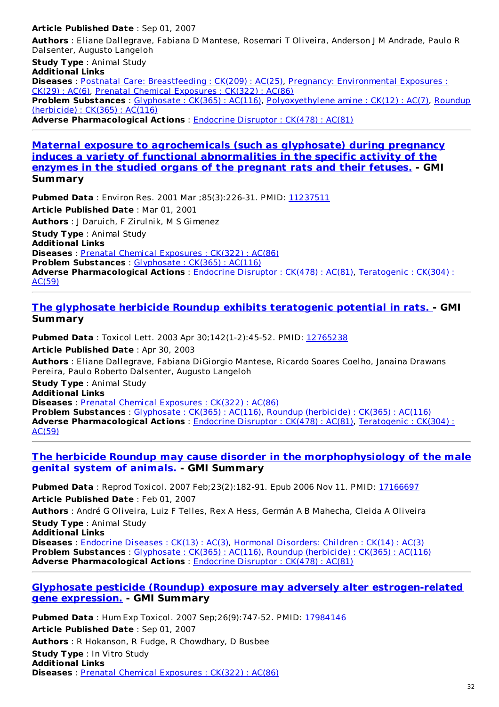#### **Article Published Date** : Sep 01, 2007

**Authors** : Eliane Dallegrave, Fabiana D Mantese, Rosemari T Oliveira, Anderson J M Andrade, Paulo R Dalsenter, Augusto Langeloh

**Study Type** : Animal Study **Additional Links Diseases** : Postnatal Care: [Breastfeeding](http://www.greenmedinfo.com/disease/postnatal-care-breastfeeding) : CK(209) : AC(25), Pregnancy: [Environmental](http://www.greenmedinfo.com/disease/pregnancy-environmental-exposures) Exposures : CK(29) : AC(6), Prenatal Chemical [Exposures](http://www.greenmedinfo.com/disease/prenatal-chemical-exposures) : CK(322) : AC(86) **Problem Substances** : [Glyphosate](http://www.greenmedinfo.com/toxic-ingredient/glyphosate) : CK(365) : AC(116), [Polyoxyethylene](http://www.greenmedinfo.com/toxic-ingredient/roundup-herbicide) amine : CK(12) : AC(7), Roundup (herbicide) : CK(365) : AC(116) **Adverse Pharmacological Actions** : [Endocrine](http://www.greenmedinfo.com/adverse-pharmacological-action/endocrine-disruptor) Disruptor : CK(478) : AC(81)

#### **Maternal exposure to [agrochemicals](http://www.ncbi.nlm.nih.gov/pubmed/11237511) (such as glyphosate) during pregnancy induces a variety of functional abnormalities in the specific activity of the enzymes in the studied organs of the pregnant rats and their fetuses. - GMI Summary**

**Pubmed Data** : Environ Res. 2001 Mar ;85(3):226-31. PMID: [11237511](http://www.ncbi.nlm.nih.gov/pubmed/11237511) **Article Published Date** : Mar 01, 2001 **Authors** : J Daruich, F Zirulnik, M S Gimenez **Study Type** : Animal Study **Additional Links Diseases** : Prenatal Chemical [Exposures](http://www.greenmedinfo.com/disease/prenatal-chemical-exposures) : CK(322) : AC(86) **Problem Substances** : [Glyphosate](http://www.greenmedinfo.com/toxic-ingredient/glyphosate) : CK(365) : AC(116) **Adverse [Pharmacological](http://www.greenmedinfo.com/adverse-pharmacological-action/teratogenic) Actions** : [Endocrine](http://www.greenmedinfo.com/adverse-pharmacological-action/endocrine-disruptor) Disruptor : CK(478) : AC(81), Teratogenic : CK(304) : AC(59)

#### **The glyphosate herbicide Roundup exhibits [teratogenic](http://www.ncbi.nlm.nih.gov/pubmed/12765238) potential in rats. - GMI Summary**

**Pubmed Data** : Toxicol Lett. 2003 Apr 30;142(1-2):45-52. PMID: [12765238](http://www.ncbi.nlm.nih.gov/pubmed/12765238) **Article Published Date** : Apr 30, 2003 **Authors** : Eliane Dallegrave, Fabiana DiGiorgio Mantese, Ricardo Soares Coelho, Janaina Drawans Pereira, Paulo Roberto Dalsenter, Augusto Langeloh **Study Type** : Animal Study **Additional Links Diseases** : Prenatal Chemical [Exposures](http://www.greenmedinfo.com/disease/prenatal-chemical-exposures) : CK(322) : AC(86) **Problem Substances** : [Glyphosate](http://www.greenmedinfo.com/toxic-ingredient/glyphosate) : CK(365) : AC(116), Roundup [\(herbicide\)](http://www.greenmedinfo.com/toxic-ingredient/roundup-herbicide) : CK(365) : AC(116) **Adverse [Pharmacological](http://www.greenmedinfo.com/adverse-pharmacological-action/teratogenic) Actions** : [Endocrine](http://www.greenmedinfo.com/adverse-pharmacological-action/endocrine-disruptor) Disruptor : CK(478) : AC(81), Teratogenic : CK(304) :

AC(59)

#### **The herbicide Roundup may cause disorder in the [morphophysiology](http://www.ncbi.nlm.nih.gov/pubmed/17166697) of the male genital system of animals. - GMI Summary**

**Pubmed Data** : Reprod Toxicol. 2007 Feb;23(2):182-91. Epub 2006 Nov 11. PMID: [17166697](http://www.ncbi.nlm.nih.gov/pubmed/17166697) **Article Published Date** : Feb 01, 2007

**Authors** : André G Oliveira, Luiz F Telles, Rex A Hess, Germán A B Mahecha, Cleida A Oliveira **Study Type** : Animal Study

**Additional Links**

**Diseases** : [Endocrine](http://www.greenmedinfo.com/disease/endocrine-diseases) Diseases : CK(13) : AC(3), Hormonal [Disorders:](http://www.greenmedinfo.com/disease/hormonal-disorders-children) Children : CK(14) : AC(3) **Problem Substances** : [Glyphosate](http://www.greenmedinfo.com/toxic-ingredient/glyphosate) : CK(365) : AC(116), Roundup [\(herbicide\)](http://www.greenmedinfo.com/toxic-ingredient/roundup-herbicide) : CK(365) : AC(116) **Adverse Pharmacological Actions** : [Endocrine](http://www.greenmedinfo.com/adverse-pharmacological-action/endocrine-disruptor) Disruptor : CK(478) : AC(81)

#### **Glyphosate pesticide (Roundup) exposure may adversely alter [estrogen-related](http://www.ncbi.nlm.nih.gov/pubmed/17984146) gene expression. - GMI Summary**

**Pubmed Data** : Hum Exp Toxicol. 2007 Sep;26(9):747-52. PMID: [17984146](http://www.ncbi.nlm.nih.gov/pubmed/17984146) **Article Published Date** : Sep 01, 2007 **Authors** : R Hokanson, R Fudge, R Chowdhary, D Busbee **Study Type** : In Vitro Study **Additional Links Diseases** : Prenatal Chemical [Exposures](http://www.greenmedinfo.com/disease/prenatal-chemical-exposures) : CK(322) : AC(86)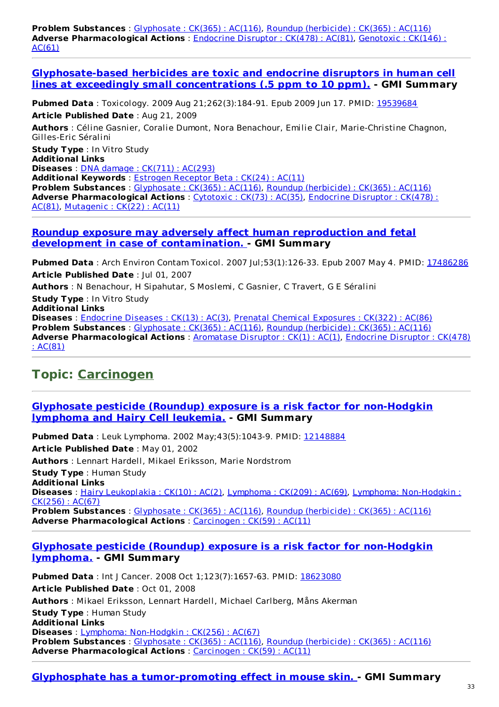**Problem Substances** : [Glyphosate](http://www.greenmedinfo.com/toxic-ingredient/glyphosate) : CK(365) : AC(116), Roundup [\(herbicide\)](http://www.greenmedinfo.com/toxic-ingredient/roundup-herbicide) : CK(365) : AC(116) **Adverse [Pharmacological](http://www.greenmedinfo.com/adverse-pharmacological-action/genotoxic) Actions** : [Endocrine](http://www.greenmedinfo.com/adverse-pharmacological-action/endocrine-disruptor) Disruptor : CK(478) : AC(81), Genotoxic : CK(146) : AC(61)

**[Glyphosate-based](http://www.ncbi.nlm.nih.gov/pubmed/19539684) herbicides are toxic and endocrine disruptors in human cell lines at exceedingly small concentrations (.5 ppm to 10 ppm). - GMI Summary**

**Pubmed Data** : Toxicology. 2009 Aug 21;262(3):184-91. Epub 2009 Jun 17. PMID: [19539684](http://www.ncbi.nlm.nih.gov/pubmed/19539684) **Article Published Date** : Aug 21, 2009

**Authors** : Céline Gasnier, Coralie Dumont, Nora Benachour, Emilie Clair, Marie-Christine Chagnon, Gilles-Eric Séralini

**Study Type** : In Vitro Study **Additional Links Diseases** : DNA damage : CK(711) : [AC\(293\)](http://www.greenmedinfo.com/disease/dna-damage) **Additional Keywords** : Estrogen [Receptor](http://www.greenmedinfo.com/keyword/estrogen-receptor-beta) Beta : CK(24) : AC(11) **Problem Substances** : [Glyphosate](http://www.greenmedinfo.com/toxic-ingredient/glyphosate) : CK(365) : AC(116), Roundup [\(herbicide\)](http://www.greenmedinfo.com/toxic-ingredient/roundup-herbicide) : CK(365) : AC(116) **Adverse [Pharmacological](http://www.greenmedinfo.com/adverse-pharmacological-action/endocrine-disruptor) Actions** : [Cytotoxic](http://www.greenmedinfo.com/adverse-pharmacological-action/cytotoxic) : CK(73) : AC(35), Endocrine Disruptor : CK(478) : AC(81), [Mutagenic](http://www.greenmedinfo.com/adverse-pharmacological-action/mutagenic) : CK(22) : AC(11)

#### **Roundup exposure may adversely affect human reproduction and fetal development in case of [contamination.](http://www.ncbi.nlm.nih.gov/pubmed/17486286) - GMI Summary**

**Pubmed Data** : Arch Environ Contam Toxicol. 2007 Jul;53(1):126-33. Epub 2007 May 4. PMID: [17486286](http://www.ncbi.nlm.nih.gov/pubmed/17486286) **Article Published Date** : Jul 01, 2007 **Authors** : N Benachour, H Sipahutar, S Moslemi, C Gasnier, C Travert, G E Séralini **Study Type** : In Vitro Study **Additional Links Diseases** : [Endocrine](http://www.greenmedinfo.com/disease/endocrine-diseases) Diseases : CK(13) : AC(3), Prenatal Chemical [Exposures](http://www.greenmedinfo.com/disease/prenatal-chemical-exposures) : CK(322) : AC(86) **Problem Substances** : [Glyphosate](http://www.greenmedinfo.com/toxic-ingredient/glyphosate) : CK(365) : AC(116), Roundup [\(herbicide\)](http://www.greenmedinfo.com/toxic-ingredient/roundup-herbicide) : CK(365) : AC(116) **Adverse [Pharmacological](http://www.greenmedinfo.com/adverse-pharmacological-action/endocrine-disruptor) Actions** : [Aromatase](http://www.greenmedinfo.com/adverse-pharmacological-action/aromatase-disruptor) Disruptor : CK(1) : AC(1), Endocrine Disruptor : CK(478) : AC(81)

### **Topic: [Carcinogen](http://www.greenmedinfo.com/adverse-pharmacological-action/carcinogen)**

#### **Glyphosate pesticide (Roundup) exposure is a risk factor for [non-Hodgkin](http://www.ncbi.nlm.nih.gov/pubmed/12148884) lymphoma and Hairy Cell leukemia. - GMI Summary**

**Pubmed Data** : Leuk Lymphoma. 2002 May;43(5):1043-9. PMID: [12148884](http://www.ncbi.nlm.nih.gov/pubmed/12148884) **Article Published Date** : May 01, 2002 **Authors** : Lennart Hardell, Mikael Eriksson, Marie Nordstrom **Study Type** : Human Study **Additional Links Diseases** : Hairy [Leukoplakia](http://www.greenmedinfo.com/disease/hairy-leukoplakia) : CK(10) : AC(2), [Lymphoma](http://www.greenmedinfo.com/disease/lymphoma) : CK(209) : AC(69), Lymphoma: [Non-Hodgkin](http://www.greenmedinfo.com/disease/lymphoma-non-hodgkin-0) : CK(256) : AC(67) **Problem Substances** : [Glyphosate](http://www.greenmedinfo.com/toxic-ingredient/glyphosate) : CK(365) : AC(116), Roundup [\(herbicide\)](http://www.greenmedinfo.com/toxic-ingredient/roundup-herbicide) : CK(365) : AC(116) **Adverse Pharmacological Actions** : [Carcinogen](http://www.greenmedinfo.com/adverse-pharmacological-action/carcinogen) : CK(59) : AC(11)

#### **Glyphosate pesticide (Roundup) exposure is a risk factor for [non-Hodgkin](http://www.ncbi.nlm.nih.gov/pubmed/18623080) lymphoma. - GMI Summary**

**Pubmed Data** : Int J Cancer. 2008 Oct 1;123(7):1657-63. PMID: [18623080](http://www.ncbi.nlm.nih.gov/pubmed/18623080) **Article Published Date** : Oct 01, 2008 **Authors** : Mikael Eriksson, Lennart Hardell, Michael Carlberg, Måns Akerman **Study Type** : Human Study **Additional Links Diseases** : Lymphoma: [Non-Hodgkin](http://www.greenmedinfo.com/disease/lymphoma-non-hodgkin-0) : CK(256) : AC(67) **Problem Substances** : [Glyphosate](http://www.greenmedinfo.com/toxic-ingredient/glyphosate) : CK(365) : AC(116), Roundup [\(herbicide\)](http://www.greenmedinfo.com/toxic-ingredient/roundup-herbicide) : CK(365) : AC(116) **Adverse Pharmacological Actions** : [Carcinogen](http://www.greenmedinfo.com/adverse-pharmacological-action/carcinogen) : CK(59) : AC(11)

#### **Glyphosphate has a [tumor-promoting](http://www.ncbi.nlm.nih.gov/pubmed/20045496) effect in mouse skin. - GMI Summary**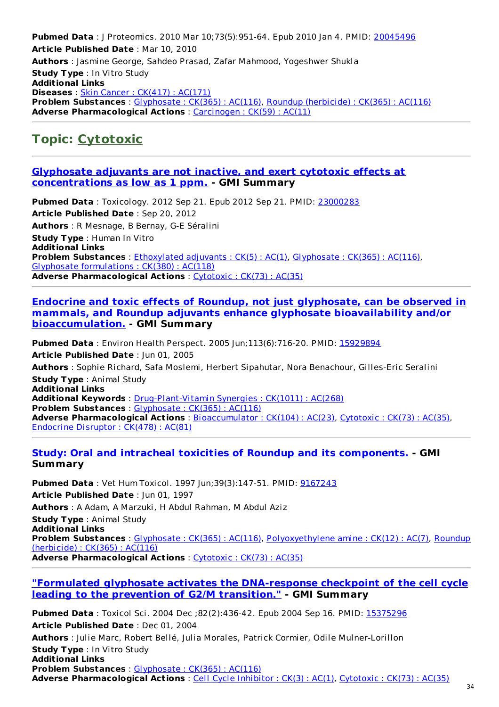**Pubmed Data** : J Proteomics. 2010 Mar 10;73(5):951-64. Epub 2010 Jan 4. PMID: [20045496](http://www.ncbi.nlm.nih.gov/pubmed/20045496) **Article Published Date** : Mar 10, 2010 **Authors** : Jasmine George, Sahdeo Prasad, Zafar Mahmood, Yogeshwer Shukla **Study Type** : In Vitro Study **Additional Links Diseases** : Skin Cancer : [CK\(417\)](http://www.greenmedinfo.com/disease/skin-cancer) : AC(171) **Problem Substances** : [Glyphosate](http://www.greenmedinfo.com/toxic-ingredient/glyphosate) : CK(365) : AC(116), Roundup [\(herbicide\)](http://www.greenmedinfo.com/toxic-ingredient/roundup-herbicide) : CK(365) : AC(116) **Adverse Pharmacological Actions** : [Carcinogen](http://www.greenmedinfo.com/adverse-pharmacological-action/carcinogen) : CK(59) : AC(11)

## **Topic: [Cytotoxic](http://www.greenmedinfo.com/adverse-pharmacological-action/cytotoxic)**

#### **Glyphosate adjuvants are not inactive, and exert cytotoxic effects at [concentrations](http://www.ncbi.nlm.nih.gov/pubmed/23000283) as low as 1 ppm. - GMI Summary**

**Pubmed Data** : Toxicology. 2012 Sep 21. Epub 2012 Sep 21. PMID: [23000283](http://www.ncbi.nlm.nih.gov/pubmed/23000283) **Article Published Date** : Sep 20, 2012 **Authors** : R Mesnage, B Bernay, G-E Séralini **Study Type** : Human In Vitro **Additional Links Problem Substances** : [Ethoxylated](http://www.greenmedinfo.com/toxic-ingredient/ethoxylated-adjuvants) adjuvants : CK(5) : AC(1), [Glyphosate](http://www.greenmedinfo.com/toxic-ingredient/glyphosate) : CK(365) : AC(116), Glyphosate [formulations](http://www.greenmedinfo.com/toxic-ingredient/glyphosate-formulations) : CK(380) : AC(118) **Adverse Pharmacological Actions** : [Cytotoxic](http://www.greenmedinfo.com/adverse-pharmacological-action/cytotoxic) : CK(73) : AC(35)

#### **Endocrine and toxic effects of Roundup, not just glyphosate, can be observed in mammals, and Roundup adjuvants enhance glyphosate bioavailability and/or [bioaccumulation.](http://www.ncbi.nlm.nih.gov/pubmed/15929894) - GMI Summary**

**Pubmed Data** : Environ Health Perspect. 2005 Jun;113(6):716-20. PMID: [15929894](http://www.ncbi.nlm.nih.gov/pubmed/15929894) **Article Published Date** : Jun 01, 2005 **Authors** : Sophie Richard, Safa Moslemi, Herbert Sipahutar, Nora Benachour, Gilles-Eric Seralini **Study Type** : Animal Study **Additional Links Additional Keywords** : [Drug-Plant-Vitamin](http://www.greenmedinfo.com/keyword/drug-plant-vitamin-synergies) Synergies : CK(1011) : AC(268) **Problem Substances** : [Glyphosate](http://www.greenmedinfo.com/toxic-ingredient/glyphosate) : CK(365) : AC(116) **Adverse Pharmacological Actions** : [Bioaccumulator](http://www.greenmedinfo.com/adverse-pharmacological-action/bioaccumulator) : CK(104) : AC(23), [Cytotoxic](http://www.greenmedinfo.com/adverse-pharmacological-action/cytotoxic) : CK(73) : AC(35), [Endocrine](http://www.greenmedinfo.com/adverse-pharmacological-action/endocrine-disruptor) Disruptor : CK(478) : AC(81)

#### **Study: Oral and intracheal toxicities of Roundup and its [components.](http://www.ncbi.nlm.nih.gov/pubmed/9167243) - GMI Summary**

**Pubmed Data** : Vet Hum Toxicol. 1997 Jun;39(3):147-51. PMID: [9167243](http://www.ncbi.nlm.nih.gov/pubmed/9167243) **Article Published Date** : Jun 01, 1997 **Authors** : A Adam, A Marzuki, H Abdul Rahman, M Abdul Aziz **Study Type** : Animal Study **Additional Links Problem Substances** : [Glyphosate](http://www.greenmedinfo.com/toxic-ingredient/glyphosate) : CK(365) : AC(116), [Polyoxyethylene](http://www.greenmedinfo.com/toxic-ingredient/roundup-herbicide) amine : CK(12) : AC(7), Roundup (herbicide) : CK(365) : AC(116)

**Adverse Pharmacological Actions** : [Cytotoxic](http://www.greenmedinfo.com/adverse-pharmacological-action/cytotoxic) : CK(73) : AC(35)

#### **"Formulated glyphosate activates the [DNA-response](http://www.ncbi.nlm.nih.gov/pubmed/15375296) checkpoint of the cell cycle leading to the prevention of G2/M transition." - GMI Summary**

**Pubmed Data** : Toxicol Sci. 2004 Dec ;82(2):436-42. Epub 2004 Sep 16. PMID: [15375296](http://www.ncbi.nlm.nih.gov/pubmed/15375296) **Article Published Date** : Dec 01, 2004 **Authors** : Julie Marc, Robert Bellé, Julia Morales, Patrick Cormier, Odile Mulner-Lorillon **Study Type** : In Vitro Study **Additional Links Problem Substances** : [Glyphosate](http://www.greenmedinfo.com/toxic-ingredient/glyphosate) : CK(365) : AC(116) **Adverse Pharmacological Actions** : Cell Cycle [Inhibitor](http://www.greenmedinfo.com/adverse-pharmacological-action/cell-cycle-inhibitor) : CK(3) : AC(1), [Cytotoxic](http://www.greenmedinfo.com/adverse-pharmacological-action/cytotoxic) : CK(73) : AC(35)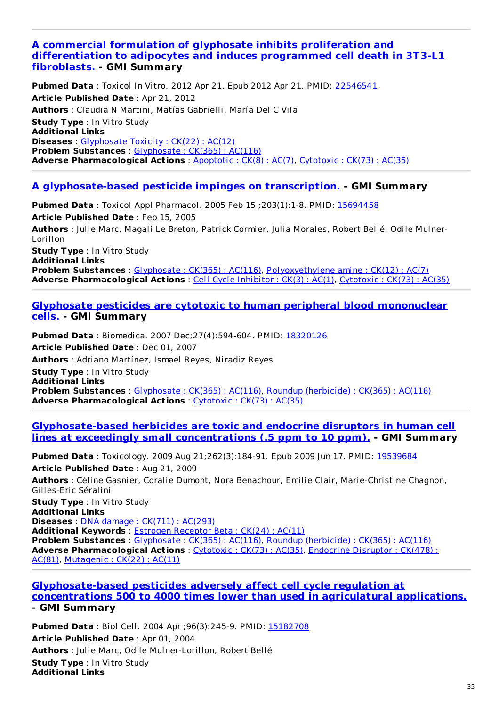#### **A commercial formulation of glyphosate inhibits proliferation and [differentiation](http://www.ncbi.nlm.nih.gov/pubmed/22546541) to adipocytes and induces programmed cell death in 3T3-L1 fibroblasts. - GMI Summary**

**Pubmed Data** : Toxicol In Vitro. 2012 Apr 21. Epub 2012 Apr 21. PMID: [22546541](http://www.ncbi.nlm.nih.gov/pubmed/22546541) **Article Published Date** : Apr 21, 2012 **Authors** : Claudia N Martini, Matías Gabrielli, María Del C Vila **Study Type** : In Vitro Study **Additional Links Diseases** : [Glyphosate](http://www.greenmedinfo.com/disease/glyphosate-toxicity) Toxicity : CK(22) : AC(12) **Problem Substances** : [Glyphosate](http://www.greenmedinfo.com/toxic-ingredient/glyphosate) : CK(365) : AC(116) **Adverse Pharmacological Actions** : [Apoptotic](http://www.greenmedinfo.com/adverse-pharmacological-action/apoptotic) : CK(8) : AC(7), [Cytotoxic](http://www.greenmedinfo.com/adverse-pharmacological-action/cytotoxic) : CK(73) : AC(35)

#### **A [glyphosate-based](http://www.ncbi.nlm.nih.gov/pubmed/15694458) pesticide impinges on transcription. - GMI Summary**

**Pubmed Data** : Toxicol Appl Pharmacol. 2005 Feb 15 ;203(1):1-8. PMID: [15694458](http://www.ncbi.nlm.nih.gov/pubmed/15694458) **Article Published Date** : Feb 15, 2005 **Authors** : Julie Marc, Magali Le Breton, Patrick Cormier, Julia Morales, Robert Bellé, Odile Mulner-Lorillon **Study Type** : In Vitro Study **Additional Links Problem Substances** : [Glyphosate](http://www.greenmedinfo.com/toxic-ingredient/glyphosate) : CK(365) : AC(116), [Polyoxyethylene](http://www.greenmedinfo.com/toxic-ingredient/polyoxyethylene-amine) amine : CK(12) : AC(7) **Adverse Pharmacological Actions** : Cell Cycle [Inhibitor](http://www.greenmedinfo.com/adverse-pharmacological-action/cell-cycle-inhibitor) : CK(3) : AC(1), [Cytotoxic](http://www.greenmedinfo.com/adverse-pharmacological-action/cytotoxic) : CK(73) : AC(35)

#### **Glyphosate pesticides are cytotoxic to human peripheral blood [mononuclear](http://www.ncbi.nlm.nih.gov/pubmed/18320126) cells. - GMI Summary**

**Pubmed Data** : Biomedica. 2007 Dec;27(4):594-604. PMID: [18320126](http://www.ncbi.nlm.nih.gov/pubmed/18320126) **Article Published Date** : Dec 01, 2007 **Authors** : Adriano Martínez, Ismael Reyes, Niradiz Reyes **Study Type** : In Vitro Study **Additional Links Problem Substances** : [Glyphosate](http://www.greenmedinfo.com/toxic-ingredient/glyphosate) : CK(365) : AC(116), Roundup [\(herbicide\)](http://www.greenmedinfo.com/toxic-ingredient/roundup-herbicide) : CK(365) : AC(116) **Adverse Pharmacological Actions** : [Cytotoxic](http://www.greenmedinfo.com/adverse-pharmacological-action/cytotoxic) : CK(73) : AC(35)

#### **[Glyphosate-based](http://www.ncbi.nlm.nih.gov/pubmed/19539684) herbicides are toxic and endocrine disruptors in human cell lines at exceedingly small concentrations (.5 ppm to 10 ppm). - GMI Summary**

**Pubmed Data** : Toxicology. 2009 Aug 21;262(3):184-91. Epub 2009 Jun 17. PMID: [19539684](http://www.ncbi.nlm.nih.gov/pubmed/19539684) **Article Published Date** : Aug 21, 2009 **Authors** : Céline Gasnier, Coralie Dumont, Nora Benachour, Emilie Clair, Marie-Christine Chagnon, Gilles-Eric Séralini **Study Type** : In Vitro Study **Additional Links Diseases** : DNA damage : CK(711) : [AC\(293\)](http://www.greenmedinfo.com/disease/dna-damage) **Additional Keywords** : Estrogen [Receptor](http://www.greenmedinfo.com/keyword/estrogen-receptor-beta) Beta : CK(24) : AC(11) **Problem Substances** : [Glyphosate](http://www.greenmedinfo.com/toxic-ingredient/glyphosate) : CK(365) : AC(116), Roundup [\(herbicide\)](http://www.greenmedinfo.com/toxic-ingredient/roundup-herbicide) : CK(365) : AC(116)

**Adverse [Pharmacological](http://www.greenmedinfo.com/adverse-pharmacological-action/endocrine-disruptor) Actions** : [Cytotoxic](http://www.greenmedinfo.com/adverse-pharmacological-action/cytotoxic) : CK(73) : AC(35), Endocrine Disruptor : CK(478) : AC(81), [Mutagenic](http://www.greenmedinfo.com/adverse-pharmacological-action/mutagenic) : CK(22) : AC(11)

#### **[Glyphosate-based](http://www.ncbi.nlm.nih.gov/pubmed/15182708) pesticides adversely affect cell cycle regulation at concentrations 500 to 4000 times lower than used in agriculatural applications. - GMI Summary**

**Pubmed Data** : Biol Cell. 2004 Apr ;96(3):245-9. PMID: [15182708](http://www.ncbi.nlm.nih.gov/pubmed/15182708) **Article Published Date** : Apr 01, 2004 **Authors** : Julie Marc, Odile Mulner-Lorillon, Robert Bellé **Study Type** : In Vitro Study **Additional Links**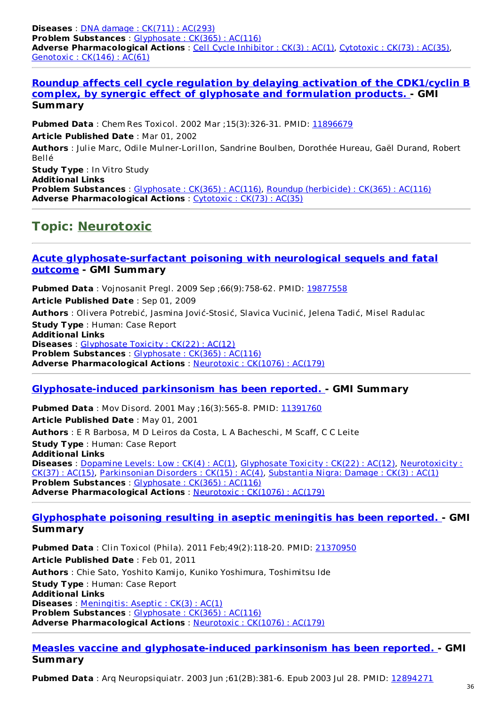**Diseases** : DNA damage : CK(711) : [AC\(293\)](http://www.greenmedinfo.com/disease/dna-damage) **Problem Substances** : [Glyphosate](http://www.greenmedinfo.com/toxic-ingredient/glyphosate) : CK(365) : AC(116) **Adverse Pharmacological Actions** : Cell Cycle [Inhibitor](http://www.greenmedinfo.com/adverse-pharmacological-action/cell-cycle-inhibitor) : CK(3) : AC(1), [Cytotoxic](http://www.greenmedinfo.com/adverse-pharmacological-action/cytotoxic) : CK(73) : AC(35), [Genotoxic](http://www.greenmedinfo.com/adverse-pharmacological-action/genotoxic) : CK(146) : AC(61)

**Roundup affects cell cycle regulation by delaying activation of the CDK1/cyclin B complex, by synergic effect of glyphosate and [formulation](http://www.ncbi.nlm.nih.gov/pubmed/11896679) products. - GMI Summary**

**Pubmed Data** : Chem Res Toxicol. 2002 Mar ;15(3):326-31. PMID: [11896679](http://www.ncbi.nlm.nih.gov/pubmed/11896679)

**Article Published Date** : Mar 01, 2002

**Authors** : Julie Marc, Odile Mulner-Lorillon, Sandrine Boulben, Dorothée Hureau, Gaël Durand, Robert Bellé

**Study Type** : In Vitro Study **Additional Links Problem Substances** : [Glyphosate](http://www.greenmedinfo.com/toxic-ingredient/glyphosate) : CK(365) : AC(116), Roundup [\(herbicide\)](http://www.greenmedinfo.com/toxic-ingredient/roundup-herbicide) : CK(365) : AC(116) **Adverse Pharmacological Actions** : [Cytotoxic](http://www.greenmedinfo.com/adverse-pharmacological-action/cytotoxic) : CK(73) : AC(35)

### **Topic: [Neurotoxic](http://www.greenmedinfo.com/adverse-pharmacological-action/neurotoxic)**

#### **Acute [glyphosate-surfactant](http://www.ncbi.nlm.nih.gov/pubmed/19877558) poisoning with neurological sequels and fatal outcome - GMI Summary**

**Pubmed Data** : Vojnosanit Pregl. 2009 Sep ;66(9):758-62. PMID: [19877558](http://www.ncbi.nlm.nih.gov/pubmed/19877558) **Article Published Date** : Sep 01, 2009 **Authors** : Olivera Potrebić, Jasmina Jović-Stosić, Slavica Vucinić, Jelena Tadić, Misel Radulac **Study Type** : Human: Case Report **Additional Links Diseases** : [Glyphosate](http://www.greenmedinfo.com/disease/glyphosate-toxicity) Toxicity : CK(22) : AC(12) **Problem Substances** : [Glyphosate](http://www.greenmedinfo.com/toxic-ingredient/glyphosate) : CK(365) : AC(116) **Adverse Pharmacological Actions** : [Neurotoxic](http://www.greenmedinfo.com/adverse-pharmacological-action/neurotoxic) : CK(1076) : AC(179)

#### **[Glyphosate-induced](http://www.ncbi.nlm.nih.gov/pubmed/11391760) parkinsonism has been reported. - GMI Summary**

**Pubmed Data** : Mov Disord. 2001 May ; 16(3): 565-8. PMID: [11391760](http://www.ncbi.nlm.nih.gov/pubmed/11391760) **Article Published Date** : May 01, 2001 **Authors** : E R Barbosa, M D Leiros da Costa, L A Bacheschi, M Scaff, C C Leite **Study Type** : Human: Case Report **Additional Links Diseases** : [Dopamine](http://www.greenmedinfo.com/disease/dopamine-levels-low) Levels: Low : CK(4) : AC(1), [Glyphosate](http://www.greenmedinfo.com/disease/glyphosate-toxicity) Toxicity : CK(22) : AC(12), [Neurotoxicity](http://www.greenmedinfo.com/disease/neurotoxicity) : CK(37) : AC(15), [Parkinsonian](http://www.greenmedinfo.com/disease/parkinsonian-disorders) Disorders : CK(15) : AC(4), [Substantia](http://www.greenmedinfo.com/disease/substantia-nigra-damage) Nigra: Damage : CK(3) : AC(1) **Problem Substances** : [Glyphosate](http://www.greenmedinfo.com/toxic-ingredient/glyphosate) : CK(365) : AC(116) **Adverse Pharmacological Actions** : [Neurotoxic](http://www.greenmedinfo.com/adverse-pharmacological-action/neurotoxic) : CK(1076) : AC(179)

#### **[Glyphosphate](http://www.ncbi.nlm.nih.gov/pubmed/21370950) poisoning resulting in aseptic meningitis has been reported. - GMI Summary**

**Pubmed Data** : Clin Toxicol (Phila). 2011 Feb;49(2):118-20. PMID: [21370950](http://www.ncbi.nlm.nih.gov/pubmed/21370950) **Article Published Date** : Feb 01, 2011 **Authors** : Chie Sato, Yoshito Kamijo, Kuniko Yoshimura, Toshimitsu Ide **Study Type** : Human: Case Report **Additional Links Diseases** : [Meningitis:](http://www.greenmedinfo.com/disease/meningitis-aseptic) Aseptic : CK(3) : AC(1) **Problem Substances** : [Glyphosate](http://www.greenmedinfo.com/toxic-ingredient/glyphosate) : CK(365) : AC(116) **Adverse Pharmacological Actions** : [Neurotoxic](http://www.greenmedinfo.com/adverse-pharmacological-action/neurotoxic) : CK(1076) : AC(179)

#### **Measles vaccine and [glyphosate-induced](http://www.ncbi.nlm.nih.gov/pubmed/12894271) parkinsonism has been reported. - GMI Summary**

**Pubmed Data** : Arq Neuropsiquiatr. 2003 Jun ;61(2B):381-6. Epub 2003 Jul 28. PMID: [12894271](http://www.ncbi.nlm.nih.gov/pubmed/12894271)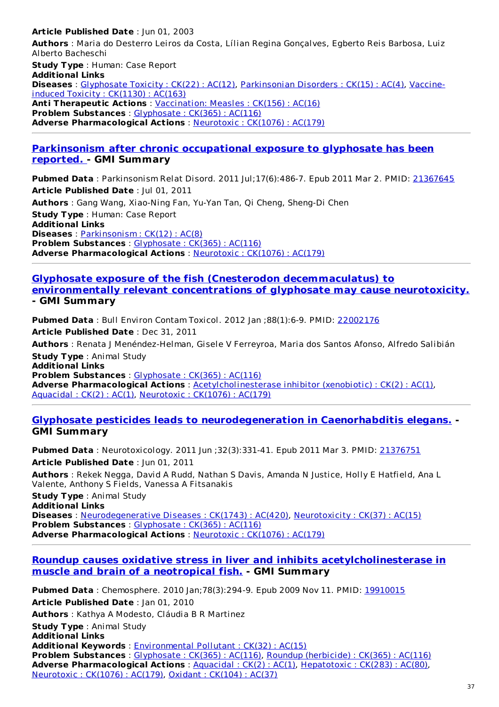#### **Article Published Date** : Jun 01, 2003 **Authors** : Maria do Desterro Leiros da Costa, Lílian Regina Gonçalves, Egberto Reis Barbosa, Luiz Alberto Bacheschi **Study Type** : Human: Case Report **Additional Links Diseases** : [Glyphosate](http://www.greenmedinfo.com/disease/glyphosate-toxicity) Toxicity : CK(22) : AC(12), [Parkinsonian](http://www.greenmedinfo.com/disease/vaccine-induced-toxicity) Disorders : CK(15) : AC(4), Vaccineinduced Toxicity : CK(1130) : AC(163) **Anti Therapeutic Actions** : [Vaccination:](http://www.greenmedinfo.com/anti-therapeutic-action/vaccination-measles) Measles : CK(156) : AC(16) **Problem Substances** : [Glyphosate](http://www.greenmedinfo.com/toxic-ingredient/glyphosate) : CK(365) : AC(116) **Adverse Pharmacological Actions** : [Neurotoxic](http://www.greenmedinfo.com/adverse-pharmacological-action/neurotoxic) : CK(1076) : AC(179)

#### **[Parkinsonism](http://www.ncbi.nlm.nih.gov/pubmed/21367645) after chronic occupational exposure to glyphosate has been reported. - GMI Summary**

**Pubmed Data** : Parkinsonism Relat Disord. 2011 Jul;17(6):486-7. Epub 2011 Mar 2. PMID: [21367645](http://www.ncbi.nlm.nih.gov/pubmed/21367645) **Article Published Date** : Jul 01, 2011

**Authors** : Gang Wang, Xiao-Ning Fan, Yu-Yan Tan, Qi Cheng, Sheng-Di Chen **Study Type** : Human: Case Report **Additional Links Diseases** : [Parkinsonism](http://www.greenmedinfo.com/disease/parkinsonism) : CK(12) : AC(8) **Problem Substances** : [Glyphosate](http://www.greenmedinfo.com/toxic-ingredient/glyphosate) : CK(365) : AC(116) **Adverse Pharmacological Actions** : [Neurotoxic](http://www.greenmedinfo.com/adverse-pharmacological-action/neurotoxic) : CK(1076) : AC(179)

#### **Glyphosate exposure of the fish (Cnesterodon [decemmaculatus\)](http://www.ncbi.nlm.nih.gov/pubmed/22002176) to environmentally relevant concentrations of glyphosate may cause neurotoxicity. - GMI Summary**

**Pubmed Data** : Bull Environ Contam Toxicol. 2012 Jan ;88(1):6-9. PMID: [22002176](http://www.ncbi.nlm.nih.gov/pubmed/22002176) **Article Published Date** : Dec 31, 2011 **Authors** : Renata J Menéndez-Helman, Gisele V Ferreyroa, Maria dos Santos Afonso, Alfredo Salibián **Study Type** : Animal Study **Additional Links Problem Substances** : [Glyphosate](http://www.greenmedinfo.com/toxic-ingredient/glyphosate) : CK(365) : AC(116) **Adverse Pharmacological Actions** : [Acetylcholinesterase](http://www.greenmedinfo.com/adverse-pharmacological-action/acetylcholinesterase-inhibitor-xenobiotic) inhibitor (xenobiotic) : CK(2) : AC(1), [Aquacidal](http://www.greenmedinfo.com/adverse-pharmacological-action/aquacidal) : CK(2) : AC(1), [Neurotoxic](http://www.greenmedinfo.com/adverse-pharmacological-action/neurotoxic) : CK(1076) : AC(179)

#### **Glyphosate pesticides leads to [neurodegeneration](http://www.ncbi.nlm.nih.gov/pubmed/21376751) in Caenorhabditis elegans. - GMI Summary**

**Pubmed Data** : Neurotoxicology. 2011 Jun ;32(3):331-41. Epub 2011 Mar 3. PMID: [21376751](http://www.ncbi.nlm.nih.gov/pubmed/21376751) **Article Published Date** : Jun 01, 2011 **Authors** : Rekek Negga, David A Rudd, Nathan S Davis, Amanda N Justice, Holly E Hatfield, Ana L Valente, Anthony S Fields, Vanessa A Fitsanakis **Study Type** : Animal Study **Additional Links Diseases** : [Neurodegenerative](http://www.greenmedinfo.com/disease/neurodegenerative-diseases) Diseases : CK(1743) : AC(420), [Neurotoxicity](http://www.greenmedinfo.com/disease/neurotoxicity) : CK(37) : AC(15) **Problem Substances** : [Glyphosate](http://www.greenmedinfo.com/toxic-ingredient/glyphosate) : CK(365) : AC(116) **Adverse Pharmacological Actions** : [Neurotoxic](http://www.greenmedinfo.com/adverse-pharmacological-action/neurotoxic) : CK(1076) : AC(179)

#### **Roundup causes oxidative stress in liver and inhibits [acetylcholinesterase](http://www.ncbi.nlm.nih.gov/pubmed/19910015) in muscle and brain of a neotropical fish. - GMI Summary**

**Pubmed Data** : Chemosphere. 2010 Jan;78(3):294-9. Epub 2009 Nov 11. PMID: [19910015](http://www.ncbi.nlm.nih.gov/pubmed/19910015) **Article Published Date** : Jan 01, 2010 **Authors** : Kathya A Modesto, Cláudia B R Martinez **Study Type** : Animal Study **Additional Links Additional Keywords** : [Environmental](http://www.greenmedinfo.com/keyword/environmental-pollutant) Pollutant : CK(32) : AC(15) **Problem Substances** : [Glyphosate](http://www.greenmedinfo.com/toxic-ingredient/glyphosate) : CK(365) : AC(116), Roundup [\(herbicide\)](http://www.greenmedinfo.com/toxic-ingredient/roundup-herbicide) : CK(365) : AC(116) **Adverse Pharmacological Actions** : [Aquacidal](http://www.greenmedinfo.com/adverse-pharmacological-action/aquacidal) : CK(2) : AC(1), [Hepatotoxic](http://www.greenmedinfo.com/adverse-pharmacological-action/hepatotoxic) : CK(283) : AC(80), [Neurotoxic](http://www.greenmedinfo.com/adverse-pharmacological-action/neurotoxic) : CK(1076) : AC(179), Oxidant : [CK\(104\)](http://www.greenmedinfo.com/adverse-pharmacological-action/oxidant) : AC(37)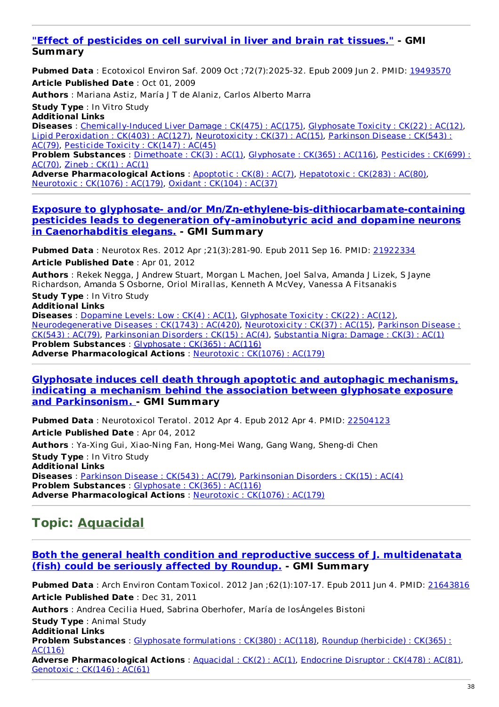#### **"Effect of [pesticides](http://www.ncbi.nlm.nih.gov/pubmed/19493570) on cell survival in liver and brain rat tissues." - GMI Summary**

**Pubmed Data** : Ecotoxicol Environ Saf. 2009 Oct ;72(7):2025-32. Epub 2009 Jun 2. PMID: [19493570](http://www.ncbi.nlm.nih.gov/pubmed/19493570) **Article Published Date** : Oct 01, 2009

**Authors** : Mariana Astiz, María J T de Alaniz, Carlos Alberto Marra

**Study Type** : In Vitro Study

**Additional Links**

**Diseases** : [Chemically-Induced](http://www.greenmedinfo.com/disease/chemically-induced-liver-damage) Liver Damage : CK(475) : AC(175), [Glyphosate](http://www.greenmedinfo.com/disease/glyphosate-toxicity) Toxicity : CK(22) : AC(12), Lipid [Peroxidation](http://www.greenmedinfo.com/disease/lipid-peroxidation) : CK(403) : AC(127), [Neurotoxicity](http://www.greenmedinfo.com/disease/parkinson-disease) : CK(37) : AC(15), Parkinson Disease : CK(543) : AC(79), [Pesticide](http://www.greenmedinfo.com/disease/pesticide-toxicity) Toxicity : CK(147) : AC(45)

**Problem [Substances](http://www.greenmedinfo.com/toxic-ingredient/pesticides)** : [Dimethoate](http://www.greenmedinfo.com/toxic-ingredient/dimethoate) : CK(3) : AC(1), [Glyphosate](http://www.greenmedinfo.com/toxic-ingredient/glyphosate) : CK(365) : AC(116), Pesticides : CK(699) : AC(70), [Zineb](http://www.greenmedinfo.com/toxic-ingredient/zineb) : CK(1) : AC(1)

**Adverse Pharmacological Actions** : [Apoptotic](http://www.greenmedinfo.com/adverse-pharmacological-action/apoptotic) : CK(8) : AC(7), [Hepatotoxic](http://www.greenmedinfo.com/adverse-pharmacological-action/hepatotoxic) : CK(283) : AC(80), [Neurotoxic](http://www.greenmedinfo.com/adverse-pharmacological-action/neurotoxic) : CK(1076) : AC(179), Oxidant : [CK\(104\)](http://www.greenmedinfo.com/adverse-pharmacological-action/oxidant) : AC(37)

#### **Exposure to glyphosate- and/or [Mn/Zn-ethylene-bis-dithiocarbamate-containing](http://www.ncbi.nlm.nih.gov/pubmed/21922334) pesticides leads to degeneration ofγ-aminobutyric acid and dopamine neurons in Caenorhabditis elegans. - GMI Summary**

**Pubmed Data** : Neurotox Res. 2012 Apr ;21(3):281-90. Epub 2011 Sep 16. PMID: [21922334](http://www.ncbi.nlm.nih.gov/pubmed/21922334) **Article Published Date** : Apr 01, 2012

**Authors** : Rekek Negga, J Andrew Stuart, Morgan L Machen, Joel Salva, Amanda J Lizek, S Jayne Richardson, Amanda S Osborne, Oriol Mirallas, Kenneth A McVey, Vanessa A Fitsanakis

**Study Type** : In Vitro Study

**Additional Links**

**Diseases** : [Dopamine](http://www.greenmedinfo.com/disease/dopamine-levels-low) Levels: Low : CK(4) : AC(1), [Glyphosate](http://www.greenmedinfo.com/disease/glyphosate-toxicity) Toxicity : CK(22) : AC(12), [Neurodegenerative](http://www.greenmedinfo.com/disease/parkinson-disease) Diseases : CK(1743) : AC(420), [Neurotoxicity](http://www.greenmedinfo.com/disease/neurotoxicity) : CK(37) : AC(15), Parkinson Disease : CK(543) : AC(79), [Parkinsonian](http://www.greenmedinfo.com/disease/parkinsonian-disorders) Disorders : CK(15) : AC(4), [Substantia](http://www.greenmedinfo.com/disease/substantia-nigra-damage) Nigra: Damage : CK(3) : AC(1) **Problem Substances** : [Glyphosate](http://www.greenmedinfo.com/toxic-ingredient/glyphosate) : CK(365) : AC(116) **Adverse Pharmacological Actions** : [Neurotoxic](http://www.greenmedinfo.com/adverse-pharmacological-action/neurotoxic) : CK(1076) : AC(179)

#### **Glyphosate induces cell death through apoptotic and autophagic mechanisms, indicating a mechanism behind the association between glyphosate exposure and [Parkinsonism.](http://www.ncbi.nlm.nih.gov/pubmed/22504123) - GMI Summary**

**Pubmed Data** : Neurotoxicol Teratol. 2012 Apr 4. Epub 2012 Apr 4. PMID: [22504123](http://www.ncbi.nlm.nih.gov/pubmed/22504123) **Article Published Date** : Apr 04, 2012 **Authors** : Ya-Xing Gui, Xiao-Ning Fan, Hong-Mei Wang, Gang Wang, Sheng-di Chen **Study Type** : In Vitro Study **Additional Links Diseases** : [Parkinson](http://www.greenmedinfo.com/disease/parkinson-disease) Disease : CK(543) : AC(79), [Parkinsonian](http://www.greenmedinfo.com/disease/parkinsonian-disorders) Disorders : CK(15) : AC(4) **Problem Substances** : [Glyphosate](http://www.greenmedinfo.com/toxic-ingredient/glyphosate) : CK(365) : AC(116) **Adverse Pharmacological Actions** : [Neurotoxic](http://www.greenmedinfo.com/adverse-pharmacological-action/neurotoxic) : CK(1076) : AC(179)

## **Topic: [Aquacidal](http://www.greenmedinfo.com/adverse-pharmacological-action/aquacidal)**

#### **Both the general health condition and reproductive success of J. [multidenatata](http://www.ncbi.nlm.nih.gov/pubmed/21643816) (fish) could be seriously affected by Roundup. - GMI Summary**

**Pubmed Data** : Arch Environ Contam Toxicol. 2012 Jan ;62(1):107-17. Epub 2011 Jun 4. PMID: [21643816](http://www.ncbi.nlm.nih.gov/pubmed/21643816) **Article Published Date** : Dec 31, 2011

**Authors** : Andrea Cecilia Hued, Sabrina Oberhofer, María de losÁngeles Bistoni

**Study Type** : Animal Study **Additional Links**

**Problem [Substances](http://www.greenmedinfo.com/toxic-ingredient/roundup-herbicide)** : Glyphosate [formulations](http://www.greenmedinfo.com/toxic-ingredient/glyphosate-formulations) : CK(380) : AC(118), Roundup (herbicide) : CK(365) : AC(116)

**Adverse Pharmacological Actions** : [Aquacidal](http://www.greenmedinfo.com/adverse-pharmacological-action/aquacidal) : CK(2) : AC(1), [Endocrine](http://www.greenmedinfo.com/adverse-pharmacological-action/endocrine-disruptor) Disruptor : CK(478) : AC(81), [Genotoxic](http://www.greenmedinfo.com/adverse-pharmacological-action/genotoxic) : CK(146) : AC(61)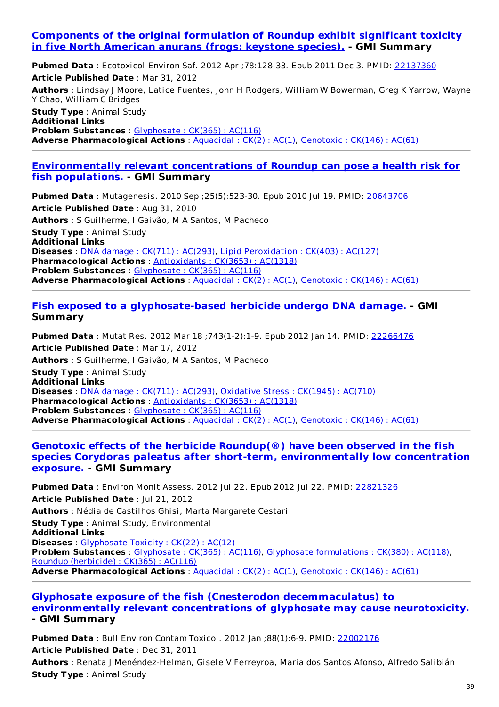#### **[Components](http://www.ncbi.nlm.nih.gov/pubmed/22137360) of the original formulation of Roundup exhibit significant toxicity in five North American anurans (frogs; keystone species). - GMI Summary**

**Pubmed Data** : Ecotoxicol Environ Saf. 2012 Apr ;78:128-33. Epub 2011 Dec 3. PMID: [22137360](http://www.ncbi.nlm.nih.gov/pubmed/22137360) **Article Published Date** : Mar 31, 2012 **Authors** : Lindsay J Moore, Latice Fuentes, John H Rodgers, William W Bowerman, Greg K Yarrow, Wayne Y Chao, William C Bridges **Study Type** : Animal Study **Additional Links Problem Substances** : [Glyphosate](http://www.greenmedinfo.com/toxic-ingredient/glyphosate) : CK(365) : AC(116) **Adverse Pharmacological Actions**: [Aquacidal](http://www.greenmedinfo.com/adverse-pharmacological-action/aquacidal): CK(2): AC(1), [Genotoxic](http://www.greenmedinfo.com/adverse-pharmacological-action/genotoxic): CK(146): AC(61)

#### **[Environmentally](http://www.ncbi.nlm.nih.gov/pubmed/20643706) relevant concentrations of Roundup can pose a health risk for fish populations. - GMI Summary**

**Pubmed Data** : Mutagenesis. 2010 Sep ;25(5):523-30. Epub 2010 Jul 19. PMID: [20643706](http://www.ncbi.nlm.nih.gov/pubmed/20643706) **Article Published Date** : Aug 31, 2010 **Authors** : S Guilherme, I Gaivão, M A Santos, M Pacheco **Study Type** : Animal Study **Additional Links Diseases** : DNA damage : CK(711) : [AC\(293\)](http://www.greenmedinfo.com/disease/dna-damage), Lipid [Peroxidation](http://www.greenmedinfo.com/disease/lipid-peroxidation) : CK(403) : AC(127) **Pharmacological Actions** : [Antioxidants](http://www.greenmedinfo.com/pharmacological-action/antioxidants) : CK(3653) : AC(1318) **Problem Substances** : [Glyphosate](http://www.greenmedinfo.com/toxic-ingredient/glyphosate) : CK(365) : AC(116) **Adverse Pharmacological Actions** : [Aquacidal](http://www.greenmedinfo.com/adverse-pharmacological-action/aquacidal) : CK(2) : AC(1), [Genotoxic](http://www.greenmedinfo.com/adverse-pharmacological-action/genotoxic) : CK(146) : AC(61)

#### **Fish exposed to a [glyphosate-based](http://www.ncbi.nlm.nih.gov/pubmed/22266476) herbicide undergo DNA damage. - GMI Summary**

**Pubmed Data** : Mutat Res. 2012 Mar 18 ;743(1-2):1-9. Epub 2012 Jan 14. PMID: [22266476](http://www.ncbi.nlm.nih.gov/pubmed/22266476) **Article Published Date** : Mar 17, 2012 **Authors** : S Guilherme, I Gaivão, M A Santos, M Pacheco **Study Type** : Animal Study **Additional Links Diseases** : DNA damage : CK(711) : [AC\(293\)](http://www.greenmedinfo.com/disease/dna-damage), [Oxidative](http://www.greenmedinfo.com/disease/oxidative-stress) Stress : CK(1945) : AC(710) **Pharmacological Actions** : [Antioxidants](http://www.greenmedinfo.com/pharmacological-action/antioxidants) : CK(3653) : AC(1318) **Problem Substances** : [Glyphosate](http://www.greenmedinfo.com/toxic-ingredient/glyphosate) : CK(365) : AC(116) **Adverse Pharmacological Actions** : [Aquacidal](http://www.greenmedinfo.com/adverse-pharmacological-action/aquacidal) : CK(2) : AC(1), [Genotoxic](http://www.greenmedinfo.com/adverse-pharmacological-action/genotoxic) : CK(146) : AC(61)

#### **Genotoxic effects of the herbicide Roundup(®) have been observed in the fish species Corydoras paleatus after short-term, [environmentally](http://www.ncbi.nlm.nih.gov/pubmed/22821326) low concentration exposure. - GMI Summary**

**Pubmed Data** : Environ Monit Assess. 2012 Jul 22. Epub 2012 Jul 22. PMID: [22821326](http://www.ncbi.nlm.nih.gov/pubmed/22821326) **Article Published Date** : Jul 21, 2012 **Authors** : Nédia de Castilhos Ghisi, Marta Margarete Cestari **Study Type** : Animal Study, Environmental **Additional Links Diseases** : [Glyphosate](http://www.greenmedinfo.com/disease/glyphosate-toxicity) Toxicity : CK(22) : AC(12) **Problem Substances** : [Glyphosate](http://www.greenmedinfo.com/toxic-ingredient/glyphosate) : CK(365) : AC(116), Glyphosate [formulations](http://www.greenmedinfo.com/toxic-ingredient/glyphosate-formulations) : CK(380) : AC(118), Roundup [\(herbicide\)](http://www.greenmedinfo.com/toxic-ingredient/roundup-herbicide) : CK(365) : AC(116) **Adverse Pharmacological Actions** : [Aquacidal](http://www.greenmedinfo.com/adverse-pharmacological-action/aquacidal) : CK(2) : AC(1), [Genotoxic](http://www.greenmedinfo.com/adverse-pharmacological-action/genotoxic) : CK(146) : AC(61)

#### **Glyphosate exposure of the fish (Cnesterodon [decemmaculatus\)](http://www.ncbi.nlm.nih.gov/pubmed/22002176) to environmentally relevant concentrations of glyphosate may cause neurotoxicity. - GMI Summary**

**Pubmed Data** : Bull Environ Contam Toxicol. 2012 Jan ;88(1):6-9. PMID: [22002176](http://www.ncbi.nlm.nih.gov/pubmed/22002176) **Article Published Date** : Dec 31, 2011

**Authors** : Renata J Menéndez-Helman, Gisele V Ferreyroa, Maria dos Santos Afonso, Alfredo Salibián **Study Type** : Animal Study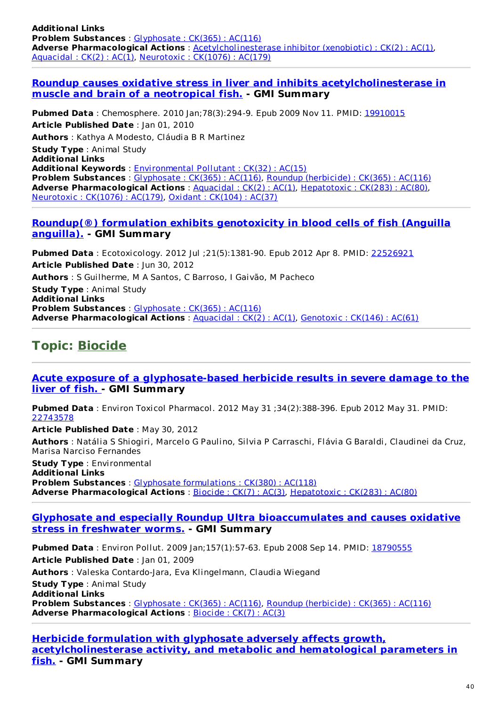**Additional Links Problem Substances** : [Glyphosate](http://www.greenmedinfo.com/toxic-ingredient/glyphosate) : CK(365) : AC(116) **Adverse Pharmacological Actions** : [Acetylcholinesterase](http://www.greenmedinfo.com/adverse-pharmacological-action/acetylcholinesterase-inhibitor-xenobiotic) inhibitor (xenobiotic) : CK(2) : AC(1), [Aquacidal](http://www.greenmedinfo.com/adverse-pharmacological-action/aquacidal) : CK(2) : AC(1), [Neurotoxic](http://www.greenmedinfo.com/adverse-pharmacological-action/neurotoxic) : CK(1076) : AC(179)

#### **Roundup causes oxidative stress in liver and inhibits [acetylcholinesterase](http://www.ncbi.nlm.nih.gov/pubmed/19910015) in muscle and brain of a neotropical fish. - GMI Summary**

**Pubmed Data** : Chemosphere. 2010 Jan;78(3):294-9. Epub 2009 Nov 11. PMID: [19910015](http://www.ncbi.nlm.nih.gov/pubmed/19910015) **Article Published Date** : Jan 01, 2010 **Authors** : Kathya A Modesto, Cláudia B R Martinez **Study Type** : Animal Study **Additional Links Additional Keywords** : [Environmental](http://www.greenmedinfo.com/keyword/environmental-pollutant) Pollutant : CK(32) : AC(15) **Problem Substances** : [Glyphosate](http://www.greenmedinfo.com/toxic-ingredient/glyphosate) : CK(365) : AC(116), Roundup [\(herbicide\)](http://www.greenmedinfo.com/toxic-ingredient/roundup-herbicide) : CK(365) : AC(116) **Adverse Pharmacological Actions** : [Aquacidal](http://www.greenmedinfo.com/adverse-pharmacological-action/aquacidal) : CK(2) : AC(1), [Hepatotoxic](http://www.greenmedinfo.com/adverse-pharmacological-action/hepatotoxic) : CK(283) : AC(80), [Neurotoxic](http://www.greenmedinfo.com/adverse-pharmacological-action/neurotoxic) : CK(1076) : AC(179), Oxidant : [CK\(104\)](http://www.greenmedinfo.com/adverse-pharmacological-action/oxidant) : AC(37)

#### **Roundup(®) formulation exhibits [genotoxicity](http://www.ncbi.nlm.nih.gov/pubmed/22526921) in blood cells of fish (Anguilla anguilla). - GMI Summary**

**Pubmed Data** : Ecotoxicology. 2012 Jul ;21(5):1381-90. Epub 2012 Apr 8. PMID: [22526921](http://www.ncbi.nlm.nih.gov/pubmed/22526921) **Article Published Date** : Jun 30, 2012 **Authors** : S Guilherme, M A Santos, C Barroso, I Gaivão, M Pacheco **Study Type** : Animal Study **Additional Links Problem Substances** : [Glyphosate](http://www.greenmedinfo.com/toxic-ingredient/glyphosate) : CK(365) : AC(116) **Adverse Pharmacological Actions** : [Aquacidal](http://www.greenmedinfo.com/adverse-pharmacological-action/aquacidal) : CK(2) : AC(1), [Genotoxic](http://www.greenmedinfo.com/adverse-pharmacological-action/genotoxic) : CK(146) : AC(61)

## **Topic: [Biocide](http://www.greenmedinfo.com/adverse-pharmacological-action/biocide)**

#### **Acute exposure of a [glyphosate-based](http://www.ncbi.nlm.nih.gov/pubmed/22743578) herbicide results in severe damage to the liver of fish. - GMI Summary**

**Pubmed Data** : Environ Toxicol Pharmacol. 2012 May 31 ;34(2):388-396. Epub 2012 May 31. PMID: [22743578](http://www.ncbi.nlm.nih.gov/pubmed/22743578)

**Article Published Date** : May 30, 2012 **Authors** : Natália S Shiogiri, Marcelo G Paulino, Silvia P Carraschi, Flávia G Baraldi, Claudinei da Cruz, Marisa Narciso Fernandes **Study Type** : Environmental

**Additional Links Problem Substances** : Glyphosate [formulations](http://www.greenmedinfo.com/toxic-ingredient/glyphosate-formulations) : CK(380) : AC(118) **Adverse Pharmacological Actions** : [Biocide](http://www.greenmedinfo.com/adverse-pharmacological-action/biocide) : CK(7) : AC(3), [Hepatotoxic](http://www.greenmedinfo.com/adverse-pharmacological-action/hepatotoxic) : CK(283) : AC(80)

#### **Glyphosate and especially Roundup Ultra [bioaccumulates](http://www.ncbi.nlm.nih.gov/pubmed/18790555) and causes oxidative stress in freshwater worms. - GMI Summary**

**Pubmed Data** : Environ Pollut. 2009 Jan;157(1):57-63. Epub 2008 Sep 14. PMID: [18790555](http://www.ncbi.nlm.nih.gov/pubmed/18790555) **Article Published Date** : Jan 01, 2009 **Authors** : Valeska Contardo-Jara, Eva Klingelmann, Claudia Wiegand **Study Type** : Animal Study **Additional Links Problem Substances** : [Glyphosate](http://www.greenmedinfo.com/toxic-ingredient/glyphosate) : CK(365) : AC(116), Roundup [\(herbicide\)](http://www.greenmedinfo.com/toxic-ingredient/roundup-herbicide) : CK(365) : AC(116) **Adverse Pharmacological Actions** : [Biocide](http://www.greenmedinfo.com/adverse-pharmacological-action/biocide) : CK(7) : AC(3)

**Herbicide formulation with glyphosate adversely affects growth, [acetylcholinesterase](http://www.ncbi.nlm.nih.gov/pubmed/20112104) activity, and metabolic and hematological parameters in fish. - GMI Summary**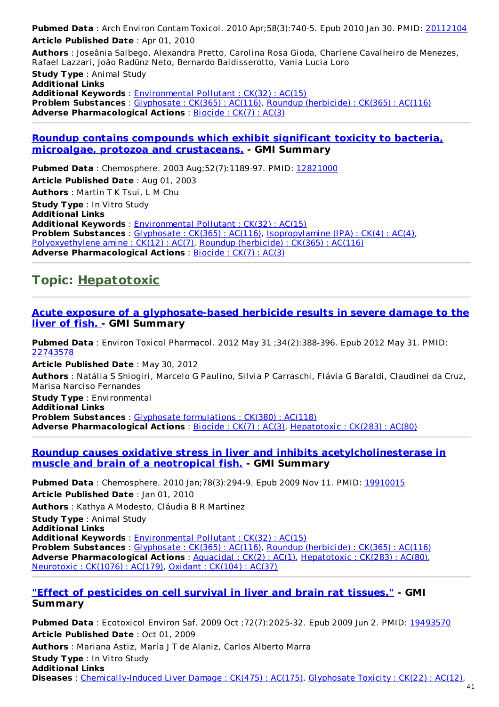**Pubmed Data** : Arch Environ Contam Toxicol. 2010 Apr;58(3):740-5. Epub 2010 Jan 30. PMID: [20112104](http://www.ncbi.nlm.nih.gov/pubmed/20112104) **Article Published Date** : Apr 01, 2010 **Authors** : Joseânia Salbego, Alexandra Pretto, Carolina Rosa Gioda, Charlene Cavalheiro de Menezes,

Rafael Lazzari, João Radünz Neto, Bernardo Baldisserotto, Vania Lucia Loro **Study Type** : Animal Study **Additional Links Additional Keywords** : [Environmental](http://www.greenmedinfo.com/keyword/environmental-pollutant) Pollutant : CK(32) : AC(15) **Problem Substances** : [Glyphosate](http://www.greenmedinfo.com/toxic-ingredient/glyphosate) : CK(365) : AC(116), Roundup [\(herbicide\)](http://www.greenmedinfo.com/toxic-ingredient/roundup-herbicide) : CK(365) : AC(116) **Adverse Pharmacological Actions** : [Biocide](http://www.greenmedinfo.com/adverse-pharmacological-action/biocide) : CK(7) : AC(3)

#### **Roundup contains compounds which exhibit significant toxicity to bacteria, microalgae, protozoa and [crustaceans.](http://www.ncbi.nlm.nih.gov/pubmed/12821000) - GMI Summary**

**Pubmed Data** : Chemosphere. 2003 Aug;52(7):1189-97. PMID: [12821000](http://www.ncbi.nlm.nih.gov/pubmed/12821000) **Article Published Date** : Aug 01, 2003 **Authors** : Martin T K Tsui, L M Chu **Study Type** : In Vitro Study **Additional Links Additional Keywords** : [Environmental](http://www.greenmedinfo.com/keyword/environmental-pollutant) Pollutant : CK(32) : AC(15) **Problem Substances** : [Glyphosate](http://www.greenmedinfo.com/toxic-ingredient/glyphosate) : CK(365) : AC(116), [Isopropylamine](http://www.greenmedinfo.com/toxic-ingredient/isopropylamine-ipa) (IPA) : CK(4) : AC(4), [Polyoxyethylene](http://www.greenmedinfo.com/toxic-ingredient/polyoxyethylene-amine) amine : CK(12) : AC(7), Roundup [\(herbicide\)](http://www.greenmedinfo.com/toxic-ingredient/roundup-herbicide) : CK(365) : AC(116) **Adverse Pharmacological Actions** : [Biocide](http://www.greenmedinfo.com/adverse-pharmacological-action/biocide) : CK(7) : AC(3)

### **Topic: [Hepatotoxic](http://www.greenmedinfo.com/adverse-pharmacological-action/hepatotoxic)**

#### **Acute exposure of a [glyphosate-based](http://www.ncbi.nlm.nih.gov/pubmed/22743578) herbicide results in severe damage to the liver of fish. - GMI Summary**

**Pubmed Data** : Environ Toxicol Pharmacol. 2012 May 31 ;34(2):388-396. Epub 2012 May 31. PMID: [22743578](http://www.ncbi.nlm.nih.gov/pubmed/22743578)

**Article Published Date** : May 30, 2012

**Authors** : Natália S Shiogiri, Marcelo G Paulino, Silvia P Carraschi, Flávia G Baraldi, Claudinei da Cruz, Marisa Narciso Fernandes

**Study Type** : Environmental **Additional Links Problem Substances** : Glyphosate [formulations](http://www.greenmedinfo.com/toxic-ingredient/glyphosate-formulations) : CK(380) : AC(118) **Adverse Pharmacological Actions** : [Biocide](http://www.greenmedinfo.com/adverse-pharmacological-action/biocide) : CK(7) : AC(3), [Hepatotoxic](http://www.greenmedinfo.com/adverse-pharmacological-action/hepatotoxic) : CK(283) : AC(80)

#### **Roundup causes oxidative stress in liver and inhibits [acetylcholinesterase](http://www.ncbi.nlm.nih.gov/pubmed/19910015) in muscle and brain of a neotropical fish. - GMI Summary**

**Pubmed Data** : Chemosphere. 2010 Jan;78(3):294-9. Epub 2009 Nov 11. PMID: [19910015](http://www.ncbi.nlm.nih.gov/pubmed/19910015) **Article Published Date** : Jan 01, 2010

**Authors** : Kathya A Modesto, Cláudia B R Martinez

**Study Type** : Animal Study

**Additional Links**

**Additional Keywords** : [Environmental](http://www.greenmedinfo.com/keyword/environmental-pollutant) Pollutant : CK(32) : AC(15) **Problem Substances** : [Glyphosate](http://www.greenmedinfo.com/toxic-ingredient/glyphosate) : CK(365) : AC(116), Roundup [\(herbicide\)](http://www.greenmedinfo.com/toxic-ingredient/roundup-herbicide) : CK(365) : AC(116) **Adverse Pharmacological Actions** : [Aquacidal](http://www.greenmedinfo.com/adverse-pharmacological-action/aquacidal) : CK(2) : AC(1), [Hepatotoxic](http://www.greenmedinfo.com/adverse-pharmacological-action/hepatotoxic) : CK(283) : AC(80), [Neurotoxic](http://www.greenmedinfo.com/adverse-pharmacological-action/neurotoxic) : CK(1076) : AC(179), Oxidant : [CK\(104\)](http://www.greenmedinfo.com/adverse-pharmacological-action/oxidant) : AC(37)

#### **"Effect of [pesticides](http://www.ncbi.nlm.nih.gov/pubmed/19493570) on cell survival in liver and brain rat tissues." - GMI Summary**

**Pubmed Data** : Ecotoxicol Environ Saf. 2009 Oct ;72(7):2025-32. Epub 2009 Jun 2. PMID: [19493570](http://www.ncbi.nlm.nih.gov/pubmed/19493570) **Article Published Date** : Oct 01, 2009 **Authors** : Mariana Astiz, María J T de Alaniz, Carlos Alberto Marra **Study Type** : In Vitro Study **Additional Links Diseases** : [Chemically-Induced](http://www.greenmedinfo.com/disease/chemically-induced-liver-damage) Liver Damage : CK(475) : AC(175), [Glyphosate](http://www.greenmedinfo.com/disease/glyphosate-toxicity) Toxicity : CK(22) : AC(12),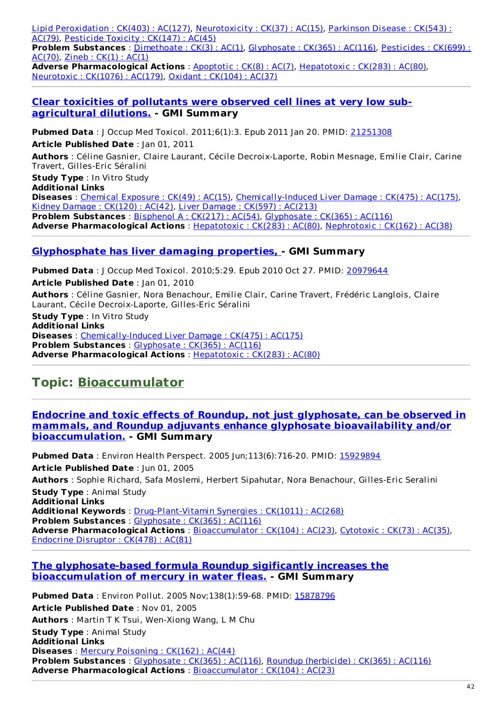Lipid [Peroxidation](http://www.greenmedinfo.com/disease/lipid-peroxidation) : CK(403) : AC(127), [Neurotoxicity](http://www.greenmedinfo.com/disease/parkinson-disease) : CK(37) : AC(15), Parkinson Disease : CK(543) : AC(79), [Pesticide](http://www.greenmedinfo.com/disease/pesticide-toxicity) Toxicity : CK(147) : AC(45)

**Problem [Substances](http://www.greenmedinfo.com/toxic-ingredient/pesticides)** : [Dimethoate](http://www.greenmedinfo.com/toxic-ingredient/dimethoate) : CK(3) : AC(1), [Glyphosate](http://www.greenmedinfo.com/toxic-ingredient/glyphosate) : CK(365) : AC(116), Pesticides : CK(699) : AC(70), [Zineb](http://www.greenmedinfo.com/toxic-ingredient/zineb) : CK(1) : AC(1)

**Adverse Pharmacological Actions** : [Apoptotic](http://www.greenmedinfo.com/adverse-pharmacological-action/apoptotic) : CK(8) : AC(7), [Hepatotoxic](http://www.greenmedinfo.com/adverse-pharmacological-action/hepatotoxic) : CK(283) : AC(80), [Neurotoxic](http://www.greenmedinfo.com/adverse-pharmacological-action/neurotoxic) : CK(1076) : AC(179), Oxidant : [CK\(104\)](http://www.greenmedinfo.com/adverse-pharmacological-action/oxidant) : AC(37)

#### **Clear toxicities of pollutants were observed cell lines at very low sub[agricultural](http://www.ncbi.nlm.nih.gov/pubmed/21251308) dilutions. - GMI Summary**

**Pubmed Data** : J Occup Med Toxicol. 2011;6(1):3. Epub 2011 Jan 20. PMID: [21251308](http://www.ncbi.nlm.nih.gov/pubmed/21251308) **Article Published Date** : Jan 01, 2011

**Authors** : Céline Gasnier, Claire Laurant, Cécile Decroix-Laporte, Robin Mesnage, Emilie Clair, Carine Travert, Gilles-Eric Séralini

**Study Type** : In Vitro Study

**Additional Links**

**Diseases** : Chemical [Exposure](http://www.greenmedinfo.com/disease/chemical-exposure) : CK(49) : AC(15), [Chemically-Induced](http://www.greenmedinfo.com/disease/chemically-induced-liver-damage) Liver Damage : CK(475) : AC(175), Kidney [Damage](http://www.greenmedinfo.com/disease/kidney-damage) : CK(120) : AC(42), Liver [Damage](http://www.greenmedinfo.com/disease/liver-damage) : CK(597) : AC(213) **Problem Substances** : [Bisphenol](http://www.greenmedinfo.com/toxic-ingredient/bisphenol) A : CK(217) : AC(54), [Glyphosate](http://www.greenmedinfo.com/toxic-ingredient/glyphosate) : CK(365) : AC(116) **Adverse Pharmacological Actions** : [Hepatotoxic](http://www.greenmedinfo.com/adverse-pharmacological-action/hepatotoxic) : CK(283) : AC(80), [Nephrotoxic](http://www.greenmedinfo.com/adverse-pharmacological-action/nephrotoxic) : CK(162) : AC(38)

#### **[Glyphosphate](http://www.ncbi.nlm.nih.gov/pubmed/20979644) has liver damaging properties, - GMI Summary**

**Pubmed Data** : J Occup Med Toxicol. 2010;5:29. Epub 2010 Oct 27. PMID: [20979644](http://www.ncbi.nlm.nih.gov/pubmed/20979644) **Article Published Date** : Jan 01, 2010 **Authors** : Céline Gasnier, Nora Benachour, Emilie Clair, Carine Travert, Frédéric Langlois, Claire Laurant, Cécile Decroix-Laporte, Gilles-Eric Séralini

**Study Type** : In Vitro Study **Additional Links Diseases** : [Chemically-Induced](http://www.greenmedinfo.com/disease/chemically-induced-liver-damage) Liver Damage : CK(475) : AC(175) **Problem Substances** : [Glyphosate](http://www.greenmedinfo.com/toxic-ingredient/glyphosate) : CK(365) : AC(116) **Adverse Pharmacological Actions** : [Hepatotoxic](http://www.greenmedinfo.com/adverse-pharmacological-action/hepatotoxic) : CK(283) : AC(80)

## **Topic: [Bioaccumulator](http://www.greenmedinfo.com/adverse-pharmacological-action/bioaccumulator)**

#### **Endocrine and toxic effects of Roundup, not just glyphosate, can be observed in mammals, and Roundup adjuvants enhance glyphosate bioavailability and/or [bioaccumulation.](http://www.ncbi.nlm.nih.gov/pubmed/15929894) - GMI Summary**

**Pubmed Data** : Environ Health Perspect. 2005 Jun;113(6):716-20. PMID: [15929894](http://www.ncbi.nlm.nih.gov/pubmed/15929894) **Article Published Date** : Jun 01, 2005 **Authors** : Sophie Richard, Safa Moslemi, Herbert Sipahutar, Nora Benachour, Gilles-Eric Seralini **Study Type** : Animal Study **Additional Links Additional Keywords** : [Drug-Plant-Vitamin](http://www.greenmedinfo.com/keyword/drug-plant-vitamin-synergies) Synergies : CK(1011) : AC(268) **Problem Substances** : [Glyphosate](http://www.greenmedinfo.com/toxic-ingredient/glyphosate) : CK(365) : AC(116) **Adverse Pharmacological Actions** : [Bioaccumulator](http://www.greenmedinfo.com/adverse-pharmacological-action/bioaccumulator) : CK(104) : AC(23), [Cytotoxic](http://www.greenmedinfo.com/adverse-pharmacological-action/cytotoxic) : CK(73) : AC(35), [Endocrine](http://www.greenmedinfo.com/adverse-pharmacological-action/endocrine-disruptor) Disruptor : CK(478) : AC(81)

#### **The [glyphosate-based](http://www.ncbi.nlm.nih.gov/pubmed/15878796) formula Roundup sigificantly increases the bioaccumulation of mercury in water fleas. - GMI Summary**

**Pubmed Data** : Environ Pollut. 2005 Nov;138(1):59-68. PMID: [15878796](http://www.ncbi.nlm.nih.gov/pubmed/15878796) **Article Published Date** : Nov 01, 2005 **Authors** : Martin T K Tsui, Wen-Xiong Wang, L M Chu **Study Type** : Animal Study **Additional Links Diseases** : Mercury [Poisoning](http://www.greenmedinfo.com/disease/mercury-poisoning) : CK(162) : AC(44) **Problem Substances** : [Glyphosate](http://www.greenmedinfo.com/toxic-ingredient/glyphosate) : CK(365) : AC(116), Roundup [\(herbicide\)](http://www.greenmedinfo.com/toxic-ingredient/roundup-herbicide) : CK(365) : AC(116) **Adverse Pharmacological Actions** : [Bioaccumulator](http://www.greenmedinfo.com/adverse-pharmacological-action/bioaccumulator) : CK(104) : AC(23)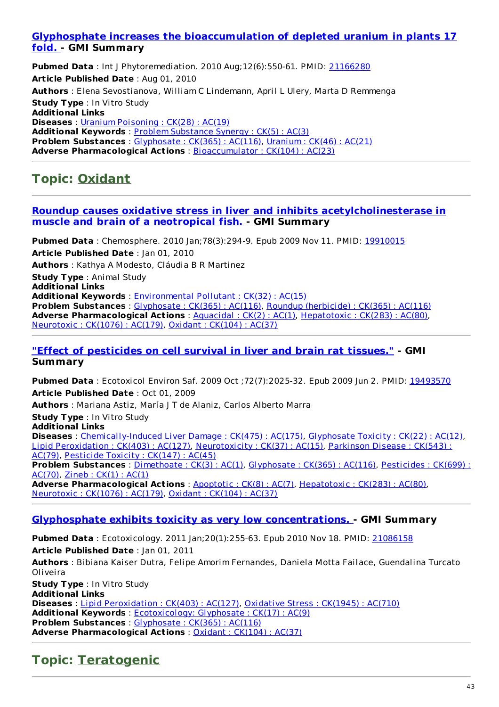#### **Glyphosphate increases the [bioaccumulation](http://www.ncbi.nlm.nih.gov/pubmed/21166280) of depleted uranium in plants 17 fold. - GMI Summary**

**Pubmed Data** : Int J Phytoremediation. 2010 Aug;12(6):550-61. PMID: [21166280](http://www.ncbi.nlm.nih.gov/pubmed/21166280) **Article Published Date** : Aug 01, 2010 **Authors** : Elena Sevostianova, William C Lindemann, April L Ulery, Marta D Remmenga **Study Type** : In Vitro Study **Additional Links Diseases** : Uranium [Poisoning](http://www.greenmedinfo.com/disease/uranium-poisoning) : CK(28) : AC(19) **Additional Keywords** : Problem [Substance](http://www.greenmedinfo.com/keyword/problem-substance-synergy) Synergy : CK(5) : AC(3) **Problem Substances** : [Glyphosate](http://www.greenmedinfo.com/toxic-ingredient/glyphosate) : CK(365) : AC(116), [Uranium](http://www.greenmedinfo.com/toxic-ingredient/uranium) : CK(46) : AC(21) **Adverse Pharmacological Actions** : [Bioaccumulator](http://www.greenmedinfo.com/adverse-pharmacological-action/bioaccumulator) : CK(104) : AC(23)

### **Topic: [Oxidant](http://www.greenmedinfo.com/adverse-pharmacological-action/oxidant)**

#### **Roundup causes oxidative stress in liver and inhibits [acetylcholinesterase](http://www.ncbi.nlm.nih.gov/pubmed/19910015) in muscle and brain of a neotropical fish. - GMI Summary**

**Pubmed Data** : Chemosphere. 2010 Jan;78(3):294-9. Epub 2009 Nov 11. PMID: [19910015](http://www.ncbi.nlm.nih.gov/pubmed/19910015) **Article Published Date** : Jan 01, 2010 **Authors** : Kathya A Modesto, Cláudia B R Martinez **Study Type** : Animal Study **Additional Links Additional Keywords** : [Environmental](http://www.greenmedinfo.com/keyword/environmental-pollutant) Pollutant : CK(32) : AC(15) **Problem Substances** : [Glyphosate](http://www.greenmedinfo.com/toxic-ingredient/glyphosate) : CK(365) : AC(116), Roundup [\(herbicide\)](http://www.greenmedinfo.com/toxic-ingredient/roundup-herbicide) : CK(365) : AC(116) **Adverse Pharmacological Actions** : [Aquacidal](http://www.greenmedinfo.com/adverse-pharmacological-action/aquacidal) : CK(2) : AC(1), [Hepatotoxic](http://www.greenmedinfo.com/adverse-pharmacological-action/hepatotoxic) : CK(283) : AC(80), [Neurotoxic](http://www.greenmedinfo.com/adverse-pharmacological-action/neurotoxic) : CK(1076) : AC(179), Oxidant : [CK\(104\)](http://www.greenmedinfo.com/adverse-pharmacological-action/oxidant) : AC(37)

**"Effect of [pesticides](http://www.ncbi.nlm.nih.gov/pubmed/19493570) on cell survival in liver and brain rat tissues." - GMI Summary**

**Pubmed Data** : Ecotoxicol Environ Saf. 2009 Oct ;72(7):2025-32. Epub 2009 Jun 2. PMID: [19493570](http://www.ncbi.nlm.nih.gov/pubmed/19493570) **Article Published Date** : Oct 01, 2009

**Authors** : Mariana Astiz, María J T de Alaniz, Carlos Alberto Marra

**Study Type** : In Vitro Study

**Additional Links**

**Diseases** : [Chemically-Induced](http://www.greenmedinfo.com/disease/chemically-induced-liver-damage) Liver Damage : CK(475) : AC(175), [Glyphosate](http://www.greenmedinfo.com/disease/glyphosate-toxicity) Toxicity : CK(22) : AC(12), Lipid [Peroxidation](http://www.greenmedinfo.com/disease/lipid-peroxidation) : CK(403) : AC(127), [Neurotoxicity](http://www.greenmedinfo.com/disease/parkinson-disease) : CK(37) : AC(15), Parkinson Disease : CK(543) : AC(79), [Pesticide](http://www.greenmedinfo.com/disease/pesticide-toxicity) Toxicity : CK(147) : AC(45) **Problem [Substances](http://www.greenmedinfo.com/toxic-ingredient/pesticides)** : [Dimethoate](http://www.greenmedinfo.com/toxic-ingredient/dimethoate) : CK(3) : AC(1), [Glyphosate](http://www.greenmedinfo.com/toxic-ingredient/glyphosate) : CK(365) : AC(116), Pesticides : CK(699) :

AC(70), [Zineb](http://www.greenmedinfo.com/toxic-ingredient/zineb) : CK(1) : AC(1)

**Adverse Pharmacological Actions** : [Apoptotic](http://www.greenmedinfo.com/adverse-pharmacological-action/apoptotic) : CK(8) : AC(7), [Hepatotoxic](http://www.greenmedinfo.com/adverse-pharmacological-action/hepatotoxic) : CK(283) : AC(80), [Neurotoxic](http://www.greenmedinfo.com/adverse-pharmacological-action/neurotoxic) : CK(1076) : AC(179), Oxidant : [CK\(104\)](http://www.greenmedinfo.com/adverse-pharmacological-action/oxidant) : AC(37)

#### **Glyphosphate exhibits toxicity as very low [concentrations.](http://www.ncbi.nlm.nih.gov/pubmed/21086158) - GMI Summary**

**Pubmed Data** : Ecotoxicology. 2011 Jan;20(1):255-63. Epub 2010 Nov 18. PMID: [21086158](http://www.ncbi.nlm.nih.gov/pubmed/21086158) **Article Published Date** : Jan 01, 2011 **Authors** : Bibiana Kaiser Dutra, Felipe Amorim Fernandes, Daniela Motta Failace, Guendalina Turcato

Oliveira **Study Type** : In Vitro Study **Additional Links Diseases** : Lipid [Peroxidation](http://www.greenmedinfo.com/disease/lipid-peroxidation) : CK(403) : AC(127), [Oxidative](http://www.greenmedinfo.com/disease/oxidative-stress) Stress : CK(1945) : AC(710) **Additional Keywords** : [Ecotoxicology:](http://www.greenmedinfo.com/keyword/ecotoxicology-glyphosate) Glyphosate : CK(17) : AC(9) **Problem Substances** : [Glyphosate](http://www.greenmedinfo.com/toxic-ingredient/glyphosate) : CK(365) : AC(116) **Adverse Pharmacological Actions** : Oxidant : [CK\(104\)](http://www.greenmedinfo.com/adverse-pharmacological-action/oxidant) : AC(37)

## **Topic: [Teratogenic](http://www.greenmedinfo.com/adverse-pharmacological-action/teratogenic)**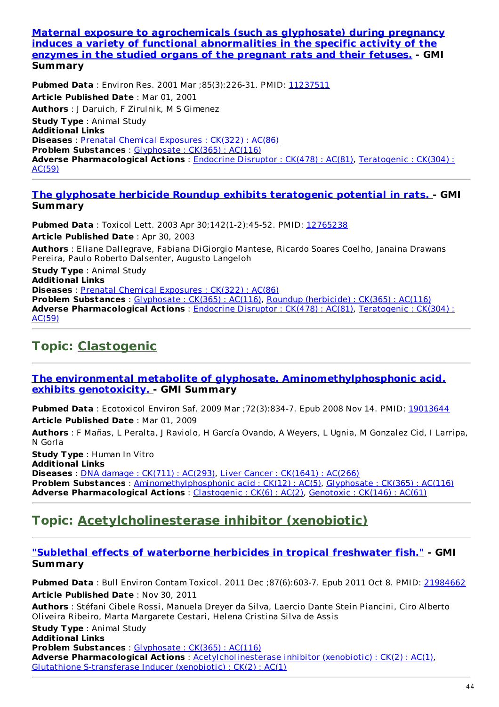**Maternal exposure to [agrochemicals](http://www.ncbi.nlm.nih.gov/pubmed/11237511) (such as glyphosate) during pregnancy induces a variety of functional abnormalities in the specific activity of the enzymes in the studied organs of the pregnant rats and their fetuses. - GMI Summary**

**Pubmed Data** : Environ Res. 2001 Mar ;85(3):226-31. PMID: [11237511](http://www.ncbi.nlm.nih.gov/pubmed/11237511) **Article Published Date** : Mar 01, 2001 **Authors** : J Daruich, F Zirulnik, M S Gimenez **Study Type** : Animal Study **Additional Links Diseases** : Prenatal Chemical [Exposures](http://www.greenmedinfo.com/disease/prenatal-chemical-exposures) : CK(322) : AC(86) **Problem Substances** : [Glyphosate](http://www.greenmedinfo.com/toxic-ingredient/glyphosate) : CK(365) : AC(116) **Adverse [Pharmacological](http://www.greenmedinfo.com/adverse-pharmacological-action/teratogenic) Actions** : [Endocrine](http://www.greenmedinfo.com/adverse-pharmacological-action/endocrine-disruptor) Disruptor : CK(478) : AC(81), Teratogenic : CK(304) : AC(59)

#### **The glyphosate herbicide Roundup exhibits [teratogenic](http://www.ncbi.nlm.nih.gov/pubmed/12765238) potential in rats. - GMI Summary**

**Pubmed Data** : Toxicol Lett. 2003 Apr 30;142(1-2):45-52. PMID: [12765238](http://www.ncbi.nlm.nih.gov/pubmed/12765238)

**Article Published Date** : Apr 30, 2003

**Authors** : Eliane Dallegrave, Fabiana DiGiorgio Mantese, Ricardo Soares Coelho, Janaina Drawans Pereira, Paulo Roberto Dalsenter, Augusto Langeloh

**Study Type** : Animal Study **Additional Links Diseases** : Prenatal Chemical [Exposures](http://www.greenmedinfo.com/disease/prenatal-chemical-exposures) : CK(322) : AC(86) **Problem Substances** : [Glyphosate](http://www.greenmedinfo.com/toxic-ingredient/glyphosate) : CK(365) : AC(116), Roundup [\(herbicide\)](http://www.greenmedinfo.com/toxic-ingredient/roundup-herbicide) : CK(365) : AC(116) **Adverse [Pharmacological](http://www.greenmedinfo.com/adverse-pharmacological-action/teratogenic) Actions** : [Endocrine](http://www.greenmedinfo.com/adverse-pharmacological-action/endocrine-disruptor) Disruptor : CK(478) : AC(81), Teratogenic : CK(304) : AC(59)

## **Topic: [Clastogenic](http://www.greenmedinfo.com/adverse-pharmacological-action/clastogenic)**

#### **The environmental metabolite of glyphosate, [Aminomethylphosphonic](http://www.ncbi.nlm.nih.gov/pubmed/19013644) acid, exhibits genotoxicity. - GMI Summary**

**Pubmed Data** : Ecotoxicol Environ Saf. 2009 Mar ;72(3):834-7. Epub 2008 Nov 14. PMID: [19013644](http://www.ncbi.nlm.nih.gov/pubmed/19013644) **Article Published Date** : Mar 01, 2009

**Authors** : F Mañas, L Peralta, J Raviolo, H García Ovando, A Weyers, L Ugnia, M Gonzalez Cid, I Larripa, N Gorla

**Study Type** : Human In Vitro **Additional Links Diseases** : DNA damage : CK(711) : [AC\(293\)](http://www.greenmedinfo.com/disease/dna-damage), Liver Cancer : [CK\(1641\)](http://www.greenmedinfo.com/disease/liver-cancer) : AC(266) **Problem Substances** : [Aminomethylphosphonic](http://www.greenmedinfo.com/toxic-ingredient/aminomethylphosphonic-acid) acid : CK(12) : AC(5), [Glyphosate](http://www.greenmedinfo.com/toxic-ingredient/glyphosate) : CK(365) : AC(116) **Adverse Pharmacological Actions** : [Clastogenic](http://www.greenmedinfo.com/adverse-pharmacological-action/clastogenic) : CK(6) : AC(2), [Genotoxic](http://www.greenmedinfo.com/adverse-pharmacological-action/genotoxic) : CK(146) : AC(61)

### **Topic: [Acetylcholinesterase](http://www.greenmedinfo.com/adverse-pharmacological-action/acetylcholinesterase-inhibitor-xenobiotic) inhibitor (xenobiotic)**

#### **"Sublethal effects of [waterborne](http://www.ncbi.nlm.nih.gov/pubmed/21984662) herbicides in tropical freshwater fish." - GMI Summary**

**Pubmed Data** : Bull Environ Contam Toxicol. 2011 Dec ;87(6):603-7. Epub 2011 Oct 8. PMID: [21984662](http://www.ncbi.nlm.nih.gov/pubmed/21984662) **Article Published Date** : Nov 30, 2011

**Authors** : Stéfani Cibele Rossi, Manuela Dreyer da Silva, Laercio Dante Stein Piancini, Ciro Alberto Oliveira Ribeiro, Marta Margarete Cestari, Helena Cristina Silva de Assis

**Study Type** : Animal Study **Additional Links Problem Substances** : [Glyphosate](http://www.greenmedinfo.com/toxic-ingredient/glyphosate) : CK(365) : AC(116) **Adverse Pharmacological Actions** : [Acetylcholinesterase](http://www.greenmedinfo.com/adverse-pharmacological-action/acetylcholinesterase-inhibitor-xenobiotic) inhibitor (xenobiotic) : CK(2) : AC(1), Glutathione [S-transferase](http://www.greenmedinfo.com/adverse-pharmacological-action/glutathione-s-transferase-inducer-xenobiotic) Inducer (xenobiotic) : CK(2) : AC(1)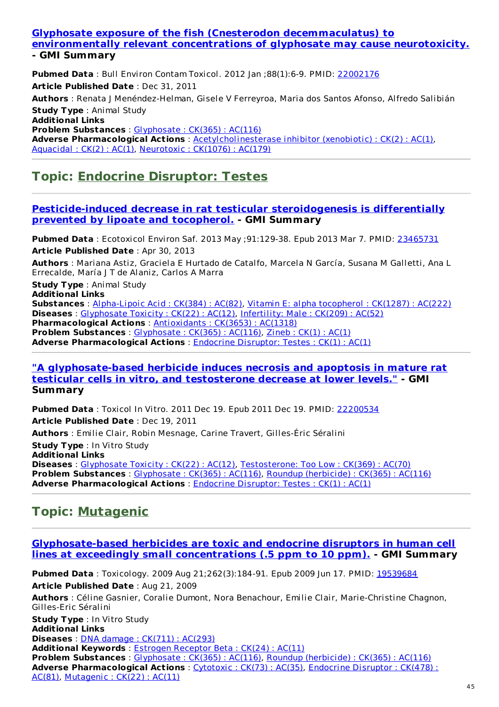#### **Glyphosate exposure of the fish (Cnesterodon [decemmaculatus\)](http://www.ncbi.nlm.nih.gov/pubmed/22002176) to environmentally relevant concentrations of glyphosate may cause neurotoxicity. - GMI Summary**

**Pubmed Data** : Bull Environ Contam Toxicol. 2012 Jan ;88(1):6-9. PMID: [22002176](http://www.ncbi.nlm.nih.gov/pubmed/22002176) **Article Published Date** : Dec 31, 2011 **Authors** : Renata J Menéndez-Helman, Gisele V Ferreyroa, Maria dos Santos Afonso, Alfredo Salibián **Study Type** : Animal Study **Additional Links Problem Substances** : [Glyphosate](http://www.greenmedinfo.com/toxic-ingredient/glyphosate) : CK(365) : AC(116) **Adverse Pharmacological Actions** : [Acetylcholinesterase](http://www.greenmedinfo.com/adverse-pharmacological-action/acetylcholinesterase-inhibitor-xenobiotic) inhibitor (xenobiotic) : CK(2) : AC(1), [Aquacidal](http://www.greenmedinfo.com/adverse-pharmacological-action/aquacidal) : CK(2) : AC(1), [Neurotoxic](http://www.greenmedinfo.com/adverse-pharmacological-action/neurotoxic) : CK(1076) : AC(179)

### **Topic: Endocrine [Disruptor:](http://www.greenmedinfo.com/adverse-pharmacological-action/endocrine-disruptor-testes) Testes**

#### **[Pesticide-induced](http://www.ncbi.nlm.nih.gov/pubmed/23465731) decrease in rat testicular steroidogenesis is differentially prevented by lipoate and tocopherol. - GMI Summary**

**Pubmed Data** : Ecotoxicol Environ Saf. 2013 May ;91:129-38. Epub 2013 Mar 7. PMID: [23465731](http://www.ncbi.nlm.nih.gov/pubmed/23465731) **Article Published Date** : Apr 30, 2013

**Authors** : Mariana Astiz, Graciela E Hurtado de Catalfo, Marcela N García, Susana M Galletti, Ana L Errecalde, María J T de Alaniz, Carlos A Marra

**Study Type** : Animal Study

**Additional Links Substances** : [Alpha-Lipoic](http://www.greenmedinfo.com/substance/alpha-lipoic-acid) Acid : CK(384) : AC(82), Vitamin E: alpha [tocopherol](http://www.greenmedinfo.com/substance/vitamin-e-alpha-tocopherol) : CK(1287) : AC(222) **Diseases** : [Glyphosate](http://www.greenmedinfo.com/disease/glyphosate-toxicity) Toxicity : CK(22) : AC(12), [Infertility:](http://www.greenmedinfo.com/disease/infertility-male) Male : CK(209) : AC(52) **Pharmacological Actions** : [Antioxidants](http://www.greenmedinfo.com/pharmacological-action/antioxidants) : CK(3653) : AC(1318) **Problem Substances** : [Glyphosate](http://www.greenmedinfo.com/toxic-ingredient/glyphosate) : CK(365) : AC(116), [Zineb](http://www.greenmedinfo.com/toxic-ingredient/zineb) : CK(1) : AC(1) **Adverse Pharmacological Actions** : Endocrine [Disruptor:](http://www.greenmedinfo.com/adverse-pharmacological-action/endocrine-disruptor-testes) Testes : CK(1) : AC(1)

#### **"A [glyphosate-based](http://www.ncbi.nlm.nih.gov/pubmed/22200534) herbicide induces necrosis and apoptosis in mature rat testicular cells in vitro, and testosterone decrease at lower levels." - GMI Summary**

**Pubmed Data** : Toxicol In Vitro. 2011 Dec 19. Epub 2011 Dec 19. PMID: [22200534](http://www.ncbi.nlm.nih.gov/pubmed/22200534) **Article Published Date** : Dec 19, 2011 **Authors** : Emilie Clair, Robin Mesnage, Carine Travert, Gilles-Éric Séralini **Study Type** : In Vitro Study **Additional Links Diseases** : [Glyphosate](http://www.greenmedinfo.com/disease/glyphosate-toxicity) Toxicity : CK(22) : AC(12), [Testosterone:](http://www.greenmedinfo.com/disease/testosterone-too-low) Too Low : CK(369) : AC(70) **Problem Substances** : [Glyphosate](http://www.greenmedinfo.com/toxic-ingredient/glyphosate) : CK(365) : AC(116), Roundup [\(herbicide\)](http://www.greenmedinfo.com/toxic-ingredient/roundup-herbicide) : CK(365) : AC(116) **Adverse Pharmacological Actions** : Endocrine [Disruptor:](http://www.greenmedinfo.com/adverse-pharmacological-action/endocrine-disruptor-testes) Testes : CK(1) : AC(1)

## **Topic: [Mutagenic](http://www.greenmedinfo.com/adverse-pharmacological-action/mutagenic)**

#### **[Glyphosate-based](http://www.ncbi.nlm.nih.gov/pubmed/19539684) herbicides are toxic and endocrine disruptors in human cell lines at exceedingly small concentrations (.5 ppm to 10 ppm). - GMI Summary**

**Pubmed Data** : Toxicology. 2009 Aug 21;262(3):184-91. Epub 2009 Jun 17. PMID: [19539684](http://www.ncbi.nlm.nih.gov/pubmed/19539684) **Article Published Date** : Aug 21, 2009 **Authors** : Céline Gasnier, Coralie Dumont, Nora Benachour, Emilie Clair, Marie-Christine Chagnon, Gilles-Eric Séralini **Study Type** : In Vitro Study **Additional Links Diseases** : DNA damage : CK(711) : [AC\(293\)](http://www.greenmedinfo.com/disease/dna-damage) **Additional Keywords** : Estrogen [Receptor](http://www.greenmedinfo.com/keyword/estrogen-receptor-beta) Beta : CK(24) : AC(11) **Problem Substances** : [Glyphosate](http://www.greenmedinfo.com/toxic-ingredient/glyphosate) : CK(365) : AC(116), Roundup [\(herbicide\)](http://www.greenmedinfo.com/toxic-ingredient/roundup-herbicide) : CK(365) : AC(116) **Adverse [Pharmacological](http://www.greenmedinfo.com/adverse-pharmacological-action/endocrine-disruptor) Actions** : [Cytotoxic](http://www.greenmedinfo.com/adverse-pharmacological-action/cytotoxic) : CK(73) : AC(35), Endocrine Disruptor : CK(478) : AC(81), [Mutagenic](http://www.greenmedinfo.com/adverse-pharmacological-action/mutagenic) : CK(22) : AC(11)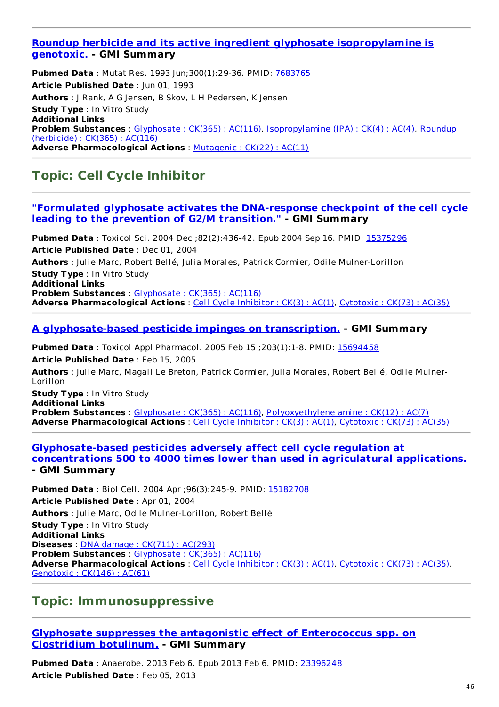#### **Roundup herbicide and its active ingredient glyphosate [isopropylamine](http://www.ncbi.nlm.nih.gov/pubmed/7683765) is genotoxic. - GMI Summary**

**Pubmed Data** : Mutat Res. 1993 Jun;300(1):29-36. PMID: [7683765](http://www.ncbi.nlm.nih.gov/pubmed/7683765) **Article Published Date** : Jun 01, 1993 **Authors** : J Rank, A G Jensen, B Skov, L H Pedersen, K Jensen **Study Type** : In Vitro Study **Additional Links Problem Substances** : [Glyphosate](http://www.greenmedinfo.com/toxic-ingredient/glyphosate) : CK(365) : AC(116), [Isopropylamine](http://www.greenmedinfo.com/toxic-ingredient/roundup-herbicide) (IPA) : CK(4) : AC(4), Roundup (herbicide) : CK(365) : AC(116) **Adverse Pharmacological Actions** : [Mutagenic](http://www.greenmedinfo.com/adverse-pharmacological-action/mutagenic) : CK(22) : AC(11)

## **Topic: Cell Cycle [Inhibitor](http://www.greenmedinfo.com/adverse-pharmacological-action/cell-cycle-inhibitor)**

#### **"Formulated glyphosate activates the [DNA-response](http://www.ncbi.nlm.nih.gov/pubmed/15375296) checkpoint of the cell cycle leading to the prevention of G2/M transition." - GMI Summary**

**Pubmed Data** : Toxicol Sci. 2004 Dec ;82(2):436-42. Epub 2004 Sep 16. PMID: [15375296](http://www.ncbi.nlm.nih.gov/pubmed/15375296) **Article Published Date** : Dec 01, 2004 **Authors** : Julie Marc, Robert Bellé, Julia Morales, Patrick Cormier, Odile Mulner-Lorillon **Study Type** : In Vitro Study **Additional Links Problem Substances** : [Glyphosate](http://www.greenmedinfo.com/toxic-ingredient/glyphosate) : CK(365) : AC(116) **Adverse Pharmacological Actions** : Cell Cycle [Inhibitor](http://www.greenmedinfo.com/adverse-pharmacological-action/cell-cycle-inhibitor) : CK(3) : AC(1), [Cytotoxic](http://www.greenmedinfo.com/adverse-pharmacological-action/cytotoxic) : CK(73) : AC(35)

#### **A [glyphosate-based](http://www.ncbi.nlm.nih.gov/pubmed/15694458) pesticide impinges on transcription. - GMI Summary**

**Pubmed Data** : Toxicol Appl Pharmacol. 2005 Feb 15 ;203(1):1-8. PMID: [15694458](http://www.ncbi.nlm.nih.gov/pubmed/15694458) **Article Published Date** : Feb 15, 2005 **Authors** : Julie Marc, Magali Le Breton, Patrick Cormier, Julia Morales, Robert Bellé, Odile Mulner-Lorillon

**Study Type** : In Vitro Study **Additional Links Problem Substances** : [Glyphosate](http://www.greenmedinfo.com/toxic-ingredient/glyphosate) : CK(365) : AC(116), [Polyoxyethylene](http://www.greenmedinfo.com/toxic-ingredient/polyoxyethylene-amine) amine : CK(12) : AC(7) **Adverse Pharmacological Actions** : Cell Cycle [Inhibitor](http://www.greenmedinfo.com/adverse-pharmacological-action/cell-cycle-inhibitor) : CK(3) : AC(1), [Cytotoxic](http://www.greenmedinfo.com/adverse-pharmacological-action/cytotoxic) : CK(73) : AC(35)

#### **[Glyphosate-based](http://www.ncbi.nlm.nih.gov/pubmed/15182708) pesticides adversely affect cell cycle regulation at concentrations 500 to 4000 times lower than used in agriculatural applications. - GMI Summary**

**Pubmed Data** : Biol Cell. 2004 Apr ; 96(3): 245-9. PMID: [15182708](http://www.ncbi.nlm.nih.gov/pubmed/15182708) **Article Published Date** : Apr 01, 2004 **Authors** : Julie Marc, Odile Mulner-Lorillon, Robert Bellé **Study Type** : In Vitro Study **Additional Links Diseases** : DNA damage : CK(711) : [AC\(293\)](http://www.greenmedinfo.com/disease/dna-damage) **Problem Substances** : [Glyphosate](http://www.greenmedinfo.com/toxic-ingredient/glyphosate) : CK(365) : AC(116) **Adverse Pharmacological Actions** : Cell Cycle [Inhibitor](http://www.greenmedinfo.com/adverse-pharmacological-action/cell-cycle-inhibitor) : CK(3) : AC(1), [Cytotoxic](http://www.greenmedinfo.com/adverse-pharmacological-action/cytotoxic) : CK(73) : AC(35), [Genotoxic](http://www.greenmedinfo.com/adverse-pharmacological-action/genotoxic) : CK(146) : AC(61)

### **Topic: [Immunosuppressive](http://www.greenmedinfo.com/adverse-pharmacological-action/immunosuppressive)**

#### **Glyphosate suppresses the antagonistic effect of [Enterococcus](http://www.ncbi.nlm.nih.gov/pubmed/23396248) spp. on Clostridium botulinum. - GMI Summary**

**Pubmed Data** : Anaerobe. 2013 Feb 6. Epub 2013 Feb 6. PMID: [23396248](http://www.ncbi.nlm.nih.gov/pubmed/23396248) **Article Published Date** : Feb 05, 2013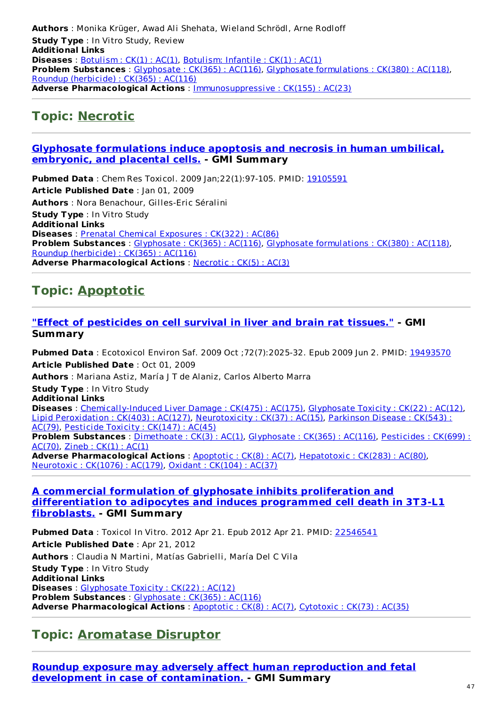**Authors** : Monika Krüger, Awad Ali Shehata, Wieland Schrödl, Arne Rodloff **Study Type** : In Vitro Study, Review **Additional Links Diseases** : **[Botulism](http://www.greenmedinfo.com/disease/botulism) : CK(1) : AC(1)**, [Botulism:](http://www.greenmedinfo.com/disease/botulism-infantile) Infantile : CK(1) : AC(1) **Problem Substances** : [Glyphosate](http://www.greenmedinfo.com/toxic-ingredient/glyphosate) : CK(365) : AC(116), Glyphosate [formulations](http://www.greenmedinfo.com/toxic-ingredient/glyphosate-formulations) : CK(380) : AC(118), Roundup [\(herbicide\)](http://www.greenmedinfo.com/toxic-ingredient/roundup-herbicide) : CK(365) : AC(116) **Adverse Pharmacological Actions** : [Immunosuppressive](http://www.greenmedinfo.com/adverse-pharmacological-action/immunosuppressive) : CK(155) : AC(23)

### **Topic: [Necrotic](http://www.greenmedinfo.com/adverse-pharmacological-action/necrotic)**

#### **Glyphosate [formulations](http://www.ncbi.nlm.nih.gov/pubmed/19105591) induce apoptosis and necrosis in human umbilical, embryonic, and placental cells. - GMI Summary**

**Pubmed Data** : Chem Res Toxicol. 2009 Jan;22(1):97-105. PMID: [19105591](http://www.ncbi.nlm.nih.gov/pubmed/19105591) **Article Published Date** : Jan 01, 2009 **Authors** : Nora Benachour, Gilles-Eric Séralini **Study Type** : In Vitro Study **Additional Links Diseases** : Prenatal Chemical [Exposures](http://www.greenmedinfo.com/disease/prenatal-chemical-exposures) : CK(322) : AC(86) **Problem Substances** : [Glyphosate](http://www.greenmedinfo.com/toxic-ingredient/glyphosate) : CK(365) : AC(116), Glyphosate [formulations](http://www.greenmedinfo.com/toxic-ingredient/glyphosate-formulations) : CK(380) : AC(118), Roundup [\(herbicide\)](http://www.greenmedinfo.com/toxic-ingredient/roundup-herbicide) : CK(365) : AC(116) **Adverse Pharmacological Actions** : [Necrotic](http://www.greenmedinfo.com/adverse-pharmacological-action/necrotic) : CK(5) : AC(3)

## **Topic: [Apoptotic](http://www.greenmedinfo.com/adverse-pharmacological-action/apoptotic)**

#### **"Effect of [pesticides](http://www.ncbi.nlm.nih.gov/pubmed/19493570) on cell survival in liver and brain rat tissues." - GMI Summary**

**Pubmed Data** : Ecotoxicol Environ Saf. 2009 Oct ;72(7):2025-32. Epub 2009 Jun 2. PMID: [19493570](http://www.ncbi.nlm.nih.gov/pubmed/19493570) **Article Published Date** : Oct 01, 2009 **Authors** : Mariana Astiz, María J T de Alaniz, Carlos Alberto Marra **Study Type** : In Vitro Study **Additional Links Diseases** : [Chemically-Induced](http://www.greenmedinfo.com/disease/chemically-induced-liver-damage) Liver Damage : CK(475) : AC(175), [Glyphosate](http://www.greenmedinfo.com/disease/glyphosate-toxicity) Toxicity : CK(22) : AC(12), Lipid [Peroxidation](http://www.greenmedinfo.com/disease/lipid-peroxidation) : CK(403) : AC(127), [Neurotoxicity](http://www.greenmedinfo.com/disease/parkinson-disease) : CK(37) : AC(15), Parkinson Disease : CK(543) : AC(79), [Pesticide](http://www.greenmedinfo.com/disease/pesticide-toxicity) Toxicity : CK(147) : AC(45) **Problem [Substances](http://www.greenmedinfo.com/toxic-ingredient/pesticides)** : [Dimethoate](http://www.greenmedinfo.com/toxic-ingredient/dimethoate) : CK(3) : AC(1), [Glyphosate](http://www.greenmedinfo.com/toxic-ingredient/glyphosate) : CK(365) : AC(116), Pesticides : CK(699) :  $AC(70)$ , [Zineb](http://www.greenmedinfo.com/toxic-ingredient/zineb) :  $CK(1)$  :  $AC(1)$ **Adverse Pharmacological Actions** : [Apoptotic](http://www.greenmedinfo.com/adverse-pharmacological-action/apoptotic) : CK(8) : AC(7), [Hepatotoxic](http://www.greenmedinfo.com/adverse-pharmacological-action/hepatotoxic) : CK(283) : AC(80), [Neurotoxic](http://www.greenmedinfo.com/adverse-pharmacological-action/neurotoxic) : CK(1076) : AC(179), Oxidant : [CK\(104\)](http://www.greenmedinfo.com/adverse-pharmacological-action/oxidant) : AC(37)

#### **A commercial formulation of glyphosate inhibits proliferation and [differentiation](http://www.ncbi.nlm.nih.gov/pubmed/22546541) to adipocytes and induces programmed cell death in 3T3-L1 fibroblasts. - GMI Summary**

**Pubmed Data** : Toxicol In Vitro. 2012 Apr 21. Epub 2012 Apr 21. PMID: [22546541](http://www.ncbi.nlm.nih.gov/pubmed/22546541) **Article Published Date** : Apr 21, 2012 **Authors** : Claudia N Martini, Matías Gabrielli, María Del C Vila **Study Type** : In Vitro Study **Additional Links Diseases** : [Glyphosate](http://www.greenmedinfo.com/disease/glyphosate-toxicity) Toxicity : CK(22) : AC(12) **Problem Substances** : [Glyphosate](http://www.greenmedinfo.com/toxic-ingredient/glyphosate) : CK(365) : AC(116) **Adverse Pharmacological Actions** : [Apoptotic](http://www.greenmedinfo.com/adverse-pharmacological-action/apoptotic) : CK(8) : AC(7), [Cytotoxic](http://www.greenmedinfo.com/adverse-pharmacological-action/cytotoxic) : CK(73) : AC(35)

### **Topic: [Aromatase](http://www.greenmedinfo.com/adverse-pharmacological-action/aromatase-disruptor) Disruptor**

**Roundup exposure may adversely affect human reproduction and fetal development in case of [contamination.](http://www.ncbi.nlm.nih.gov/pubmed/17486286) - GMI Summary**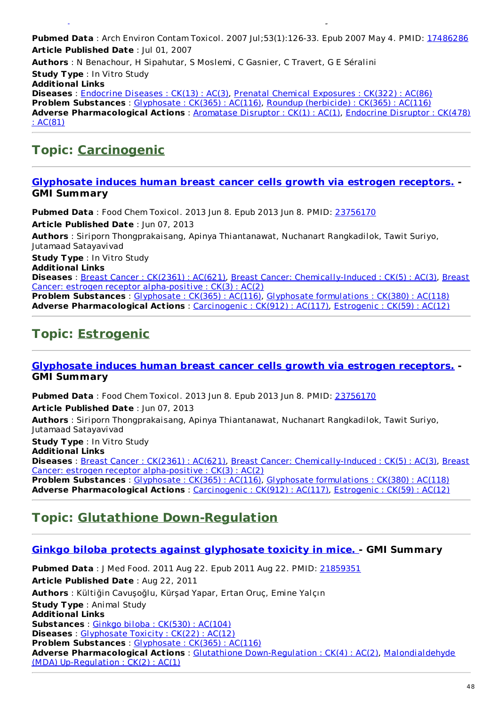**Pubmed Data** : Arch Environ Contam Toxicol. 2007 Jul;53(1):126-33. Epub 2007 May 4. PMID: [17486286](http://www.ncbi.nlm.nih.gov/pubmed/17486286) **Article Published Date** : Jul 01, 2007 **Authors** : N Benachour, H Sipahutar, S Moslemi, C Gasnier, C Travert, G E Séralini **Study Type** : In Vitro Study **Additional Links Diseases** : [Endocrine](http://www.greenmedinfo.com/disease/endocrine-diseases) Diseases : CK(13) : AC(3), Prenatal Chemical [Exposures](http://www.greenmedinfo.com/disease/prenatal-chemical-exposures) : CK(322) : AC(86) **Problem Substances** : [Glyphosate](http://www.greenmedinfo.com/toxic-ingredient/glyphosate) : CK(365) : AC(116), Roundup [\(herbicide\)](http://www.greenmedinfo.com/toxic-ingredient/roundup-herbicide) : CK(365) : AC(116) **Adverse [Pharmacological](http://www.greenmedinfo.com/adverse-pharmacological-action/endocrine-disruptor) Actions** : [Aromatase](http://www.greenmedinfo.com/adverse-pharmacological-action/aromatase-disruptor) Disruptor : CK(1) : AC(1), Endocrine Disruptor : CK(478) : AC(81)

### **Topic: [Carcinogenic](http://www.greenmedinfo.com/adverse-pharmacological-action/carcinogenic)**

#### **[Glyphosate](http://www.ncbi.nlm.nih.gov/pubmed/23756170) induces human breast cancer cells growth via estrogen receptors. - GMI Summary**

**Pubmed Data** : Food Chem Toxicol. 2013 Jun 8. Epub 2013 Jun 8. PMID: [23756170](http://www.ncbi.nlm.nih.gov/pubmed/23756170) **Article Published Date** : Jun 07, 2013 **Authors** : Siriporn Thongprakaisang, Apinya Thiantanawat, Nuchanart Rangkadilok, Tawit Suriyo, Jutamaad Satayavivad

**development in case of contamination. - GMI Summary**

**Study Type** : In Vitro Study

**Additional Links**

**Diseases** : Breast Cancer : [CK\(2361\)](http://www.greenmedinfo.com/disease/breast-cancer) : AC(621), Breast Cancer: [Chemically-Induced](http://www.greenmedinfo.com/disease/breast-cancer-estrogen-receptor-alpha-positive) : CK(5) : AC(3), Breast Cancer: estrogen receptor alpha-positive : CK(3) : AC(2)

**Problem Substances** : [Glyphosate](http://www.greenmedinfo.com/toxic-ingredient/glyphosate) : CK(365) : AC(116), Glyphosate [formulations](http://www.greenmedinfo.com/toxic-ingredient/glyphosate-formulations) : CK(380) : AC(118) **Adverse Pharmacological Actions** : [Carcinogenic](http://www.greenmedinfo.com/adverse-pharmacological-action/carcinogenic) : CK(912) : AC(117), [Estrogenic](http://www.greenmedinfo.com/adverse-pharmacological-action/estrogenic) : CK(59) : AC(12)

## **Topic: [Estrogenic](http://www.greenmedinfo.com/adverse-pharmacological-action/estrogenic)**

#### **[Glyphosate](http://www.ncbi.nlm.nih.gov/pubmed/23756170) induces human breast cancer cells growth via estrogen receptors. - GMI Summary**

**Pubmed Data** : Food Chem Toxicol. 2013 Jun 8. Epub 2013 Jun 8. PMID: [23756170](http://www.ncbi.nlm.nih.gov/pubmed/23756170) **Article Published Date** : Jun 07, 2013

**Authors** : Siriporn Thongprakaisang, Apinya Thiantanawat, Nuchanart Rangkadilok, Tawit Suriyo, Jutamaad Satayavivad

**Study Type** : In Vitro Study

**Additional Links**

**Diseases** : Breast Cancer : [CK\(2361\)](http://www.greenmedinfo.com/disease/breast-cancer) : AC(621), Breast Cancer: [Chemically-Induced](http://www.greenmedinfo.com/disease/breast-cancer-estrogen-receptor-alpha-positive) : CK(5) : AC(3), Breast Cancer: estrogen receptor alpha-positive : CK(3) : AC(2)

**Problem Substances** : [Glyphosate](http://www.greenmedinfo.com/toxic-ingredient/glyphosate) : CK(365) : AC(116), Glyphosate [formulations](http://www.greenmedinfo.com/toxic-ingredient/glyphosate-formulations) : CK(380) : AC(118) **Adverse Pharmacological Actions** : [Carcinogenic](http://www.greenmedinfo.com/adverse-pharmacological-action/carcinogenic) : CK(912) : AC(117), [Estrogenic](http://www.greenmedinfo.com/adverse-pharmacological-action/estrogenic) : CK(59) : AC(12)

### **Topic: Glutathione [Down-Regulation](http://www.greenmedinfo.com/adverse-pharmacological-action/glutathione-down-regulation)**

#### **Ginkgo biloba protects against [glyphosate](http://www.ncbi.nlm.nih.gov/pubmed/21859351) toxicity in mice. - GMI Summary**

**Pubmed Data** : J Med Food. 2011 Aug 22. Epub 2011 Aug 22. PMID: [21859351](http://www.ncbi.nlm.nih.gov/pubmed/21859351) **Article Published Date** : Aug 22, 2011 **Authors** : Kültiğin Cavuşoğlu, Kürşad Yapar, Ertan Oruç, Emine Yalçın **Study Type** : Animal Study **Additional Links Substances** : Ginkgo biloba : [CK\(530\)](http://www.greenmedinfo.com/substance/ginkgo-biloba) : AC(104) **Diseases** : [Glyphosate](http://www.greenmedinfo.com/disease/glyphosate-toxicity) Toxicity : CK(22) : AC(12) **Problem Substances** : [Glyphosate](http://www.greenmedinfo.com/toxic-ingredient/glyphosate) : CK(365) : AC(116) **Adverse [Pharmacological](http://www.greenmedinfo.com/adverse-pharmacological-action/malondialdehyde-mda-regulation) Actions** : Glutathione [Down-Regulation](http://www.greenmedinfo.com/adverse-pharmacological-action/glutathione-down-regulation) : CK(4) : AC(2), Malondialdehyde (MDA) Up-Regulation : CK(2) : AC(1)